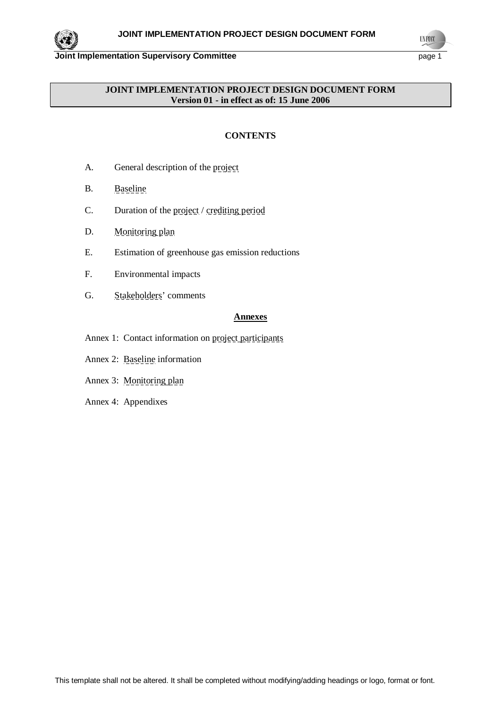

**INFO** 

#### **JOINT IMPLEMENTATION PROJECT DESIGN DOCUMENT FORM Version 01 - in effect as of: 15 June 2006**

#### **CONTENTS**

- A. General description of the project
- B. Baseline
- C. Duration of the project / crediting period
- D. Monitoring plan
- E. Estimation of greenhouse gas emission reductions
- F. Environmental impacts
- G. Stakeholders' comments

#### **Annexes**

- Annex 1: Contact information on project participants
- Annex 2: Baseline information
- Annex 3: Monitoring plan
- Annex 4: Appendixes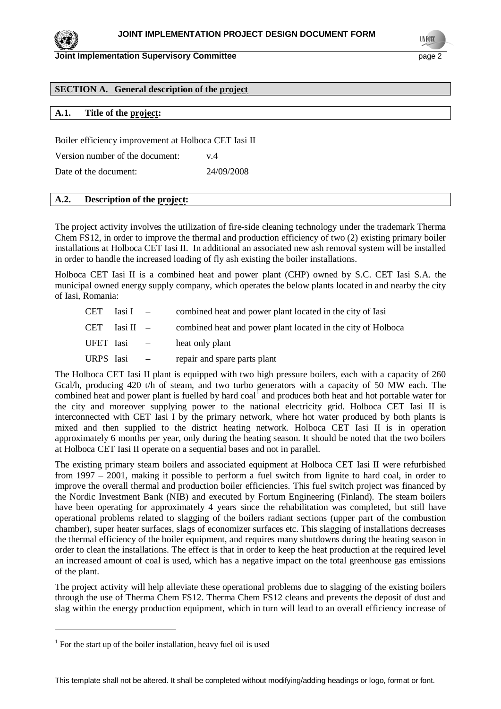

#### **SECTION A. General description of the project**

#### **A.1. Title of the project:**

Boiler efficiency improvement at Holboca CET Iasi II

Version number of the document: v.4

Date of the document: 24/09/2008

#### **A.2. Description of the project:**

The project activity involves the utilization of fire-side cleaning technology under the trademark Therma Chem FS12, in order to improve the thermal and production efficiency of two (2) existing primary boiler installations at Holboca CET Iasi II. In additional an associated new ash removal system will be installed in order to handle the increased loading of fly ash existing the boiler installations.

Holboca CET Iasi II is a combined heat and power plant (CHP) owned by S.C. CET Iasi S.A. the municipal owned energy supply company, which operates the below plants located in and nearby the city of Iasi, Romania:

|           |                   |                   | combined heat and power plant located in the city of Iasi    |
|-----------|-------------------|-------------------|--------------------------------------------------------------|
|           | $CET$ Iasi II $-$ |                   | combined heat and power plant located in the city of Holboca |
|           | UFET Iasi         | $\sim$ 100 $\sim$ | heat only plant                                              |
| URPS Iasi |                   | $\frac{1}{2}$     | repair and spare parts plant                                 |

The Holboca CET Iasi II plant is equipped with two high pressure boilers, each with a capacity of 260 Gcal/h, producing 420 t/h of steam, and two turbo generators with a capacity of 50 MW each. The combined heat and power plant is fuelled by hard coal<sup>[1](#page-1-0)</sup> and produces both heat and hot portable water for the city and moreover supplying power to the national electricity grid. Holboca CET Iasi II is interconnected with CET Iasi I by the primary network, where hot water produced by both plants is mixed and then supplied to the district heating network. Holboca CET Iasi II is in operation approximately 6 months per year, only during the heating season. It should be noted that the two boilers at Holboca CET Iasi II operate on a sequential bases and not in parallel.

The existing primary steam boilers and associated equipment at Holboca CET Iasi II were refurbished from 1997 – 2001, making it possible to perform a fuel switch from lignite to hard coal, in order to improve the overall thermal and production boiler efficiencies. This fuel switch project was financed by the Nordic Investment Bank (NIB) and executed by Fortum Engineering (Finland). The steam boilers have been operating for approximately 4 years since the rehabilitation was completed, but still have operational problems related to slagging of the boilers radiant sections (upper part of the combustion chamber), super heater surfaces, slags of economizer surfaces etc. This slagging of installations decreases the thermal efficiency of the boiler equipment, and requires many shutdowns during the heating season in order to clean the installations. The effect is that in order to keep the heat production at the required level an increased amount of coal is used, which has a negative impact on the total greenhouse gas emissions of the plant.

The project activity will help alleviate these operational problems due to slagging of the existing boilers through the use of Therma Chem FS12. Therma Chem FS12 cleans and prevents the deposit of dust and slag within the energy production equipment, which in turn will lead to an overall efficiency increase of

<u>.</u>

<span id="page-1-0"></span> $1$  For the start up of the boiler installation, heavy fuel oil is used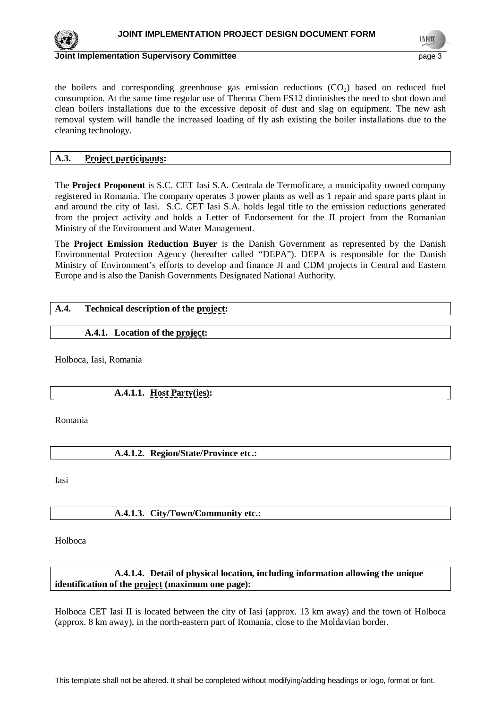

**INFO** 

#### **Joint Implementation Supervisory Committee** page 3

the boilers and corresponding greenhouse gas emission reductions  $(CO<sub>2</sub>)$  based on reduced fuel consumption. At the same time regular use of Therma Chem FS12 diminishes the need to shut down and clean boilers installations due to the excessive deposit of dust and slag on equipment. The new ash removal system will handle the increased loading of fly ash existing the boiler installations due to the cleaning technology.

#### **A.3. Project participants:**

The **Project Proponent** is S.C. CET Iasi S.A. Centrala de Termoficare, a municipality owned company registered in Romania. The company operates 3 power plants as well as 1 repair and spare parts plant in and around the city of Iasi. S.C. CET Iasi S.A. holds legal title to the emission reductions generated from the project activity and holds a Letter of Endorsement for the JI project from the Romanian Ministry of the Environment and Water Management.

The **Project Emission Reduction Buyer** is the Danish Government as represented by the Danish Environmental Protection Agency (hereafter called "DEPA"). DEPA is responsible for the Danish Ministry of Environment's efforts to develop and finance JI and CDM projects in Central and Eastern Europe and is also the Danish Governments Designated National Authority.

#### **A.4. Technical description of the project:**

#### **A.4.1. Location of the project:**

Holboca, Iasi, Romania

#### **A.4.1.1. Host Party(ies):**

Romania

**A.4.1.2. Region/State/Province etc.:**

Iasi

#### **A.4.1.3. City/Town/Community etc.:**

Holboca

#### **A.4.1.4. Detail of physical location, including information allowing the unique identification of the project (maximum one page):**

Holboca CET Iasi II is located between the city of Iasi (approx. 13 km away) and the town of Holboca (approx. 8 km away), in the north-eastern part of Romania, close to the Moldavian border.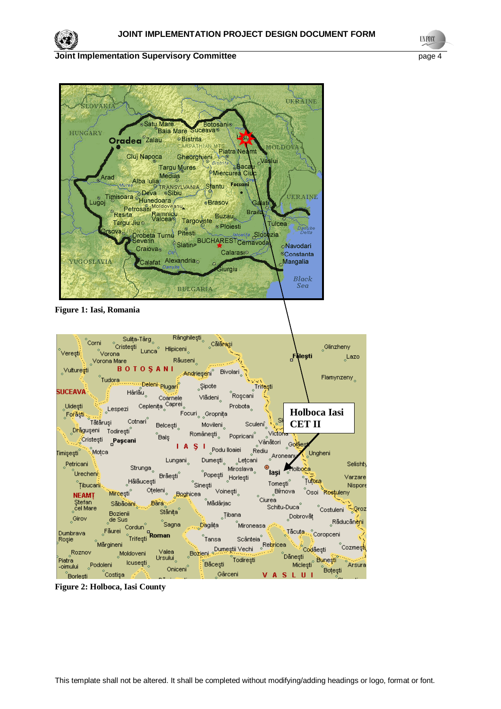

**UNFCCC** 







**Figure 2: Holboca, Iasi County**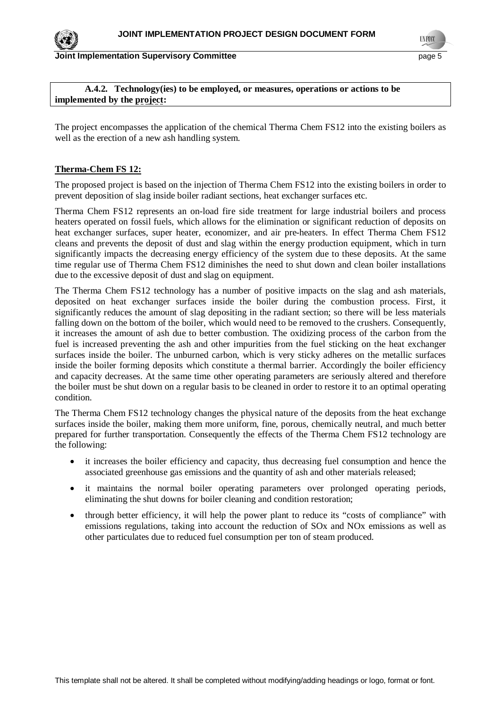#### **A.4.2. Technology(ies) to be employed, or measures, operations or actions to be implemented by the project:**

The project encompasses the application of the chemical Therma Chem FS12 into the existing boilers as well as the erection of a new ash handling system.

#### **Therma-Chem FS 12:**

The proposed project is based on the injection of Therma Chem FS12 into the existing boilers in order to prevent deposition of slag inside boiler radiant sections, heat exchanger surfaces etc.

Therma Chem FS12 represents an on-load fire side treatment for large industrial boilers and process heaters operated on fossil fuels, which allows for the elimination or significant reduction of deposits on heat exchanger surfaces, super heater, economizer, and air pre-heaters. In effect Therma Chem FS12 cleans and prevents the deposit of dust and slag within the energy production equipment, which in turn significantly impacts the decreasing energy efficiency of the system due to these deposits. At the same time regular use of Therma Chem FS12 diminishes the need to shut down and clean boiler installations due to the excessive deposit of dust and slag on equipment.

The Therma Chem FS12 technology has a number of positive impacts on the slag and ash materials, deposited on heat exchanger surfaces inside the boiler during the combustion process. First, it significantly reduces the amount of slag depositing in the radiant section; so there will be less materials falling down on the bottom of the boiler, which would need to be removed to the crushers. Consequently, it increases the amount of ash due to better combustion. The oxidizing process of the carbon from the fuel is increased preventing the ash and other impurities from the fuel sticking on the heat exchanger surfaces inside the boiler. The unburned carbon, which is very sticky adheres on the metallic surfaces inside the boiler forming deposits which constitute a thermal barrier. Accordingly the boiler efficiency and capacity decreases. At the same time other operating parameters are seriously altered and therefore the boiler must be shut down on a regular basis to be cleaned in order to restore it to an optimal operating condition.

The Therma Chem FS12 technology changes the physical nature of the deposits from the heat exchange surfaces inside the boiler, making them more uniform, fine, porous, chemically neutral, and much better prepared for further transportation. Consequently the effects of the Therma Chem FS12 technology are the following:

- it increases the boiler efficiency and capacity, thus decreasing fuel consumption and hence the associated greenhouse gas emissions and the quantity of ash and other materials released;
- it maintains the normal boiler operating parameters over prolonged operating periods, eliminating the shut downs for boiler cleaning and condition restoration;
- through better efficiency, it will help the power plant to reduce its "costs of compliance" with emissions regulations, taking into account the reduction of SOx and NOx emissions as well as other particulates due to reduced fuel consumption per ton of steam produced.

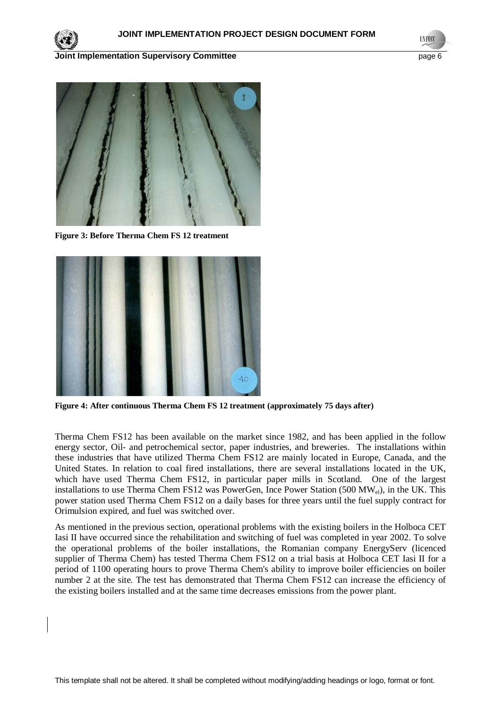



**INFO** 



**Figure 3: Before Therma Chem FS 12 treatment**



**Figure 4: After continuous Therma Chem FS 12 treatment (approximately 75 days after)**

Therma Chem FS12 has been available on the market since 1982, and has been applied in the follow energy sector, Oil- and petrochemical sector, paper industries, and breweries. The installations within these industries that have utilized Therma Chem FS12 are mainly located in Europe, Canada, and the United States. In relation to coal fired installations, there are several installations located in the UK, which have used Therma Chem FS12, in particular paper mills in Scotland. One of the largest installations to use Therma Chem FS12 was PowerGen, Ince Power Station (500 MW<sub>el</sub>), in the UK. This power station used Therma Chem FS12 on a daily bases for three years until the fuel supply contract for Orimulsion expired, and fuel was switched over.

As mentioned in the previous section, operational problems with the existing boilers in the Holboca CET Iasi II have occurred since the rehabilitation and switching of fuel was completed in year 2002. To solve the operational problems of the boiler installations, the Romanian company EnergyServ (licenced supplier of Therma Chem) has tested Therma Chem FS12 on a trial basis at Holboca CET Iasi II for a period of 1100 operating hours to prove Therma Chem's ability to improve boiler efficiencies on boiler number 2 at the site. The test has demonstrated that Therma Chem FS12 can increase the efficiency of the existing boilers installed and at the same time decreases emissions from the power plant.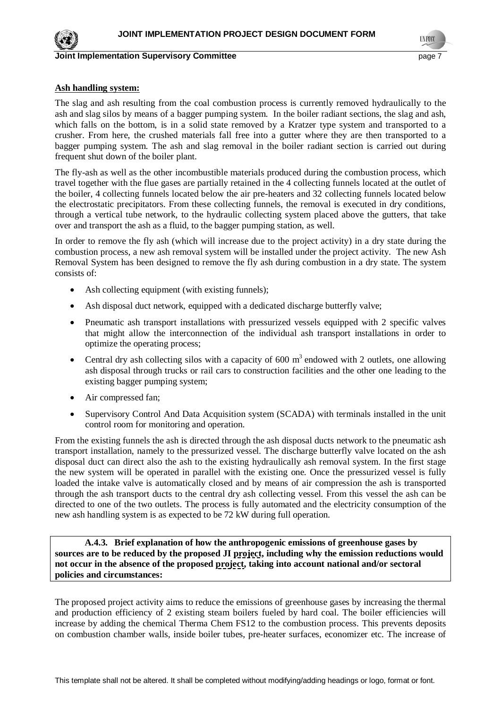



#### **Ash handling system:**

The slag and ash resulting from the coal combustion process is currently removed hydraulically to the ash and slag silos by means of a bagger pumping system. In the boiler radiant sections, the slag and ash, which falls on the bottom, is in a solid state removed by a Kratzer type system and transported to a crusher. From here, the crushed materials fall free into a gutter where they are then transported to a bagger pumping system. The ash and slag removal in the boiler radiant section is carried out during frequent shut down of the boiler plant.

The fly-ash as well as the other incombustible materials produced during the combustion process, which travel together with the flue gases are partially retained in the 4 collecting funnels located at the outlet of the boiler, 4 collecting funnels located below the air pre-heaters and 32 collecting funnels located below the electrostatic precipitators. From these collecting funnels, the removal is executed in dry conditions, through a vertical tube network, to the hydraulic collecting system placed above the gutters, that take over and transport the ash as a fluid, to the bagger pumping station, as well.

In order to remove the fly ash (which will increase due to the project activity) in a dry state during the combustion process, a new ash removal system will be installed under the project activity. The new Ash Removal System has been designed to remove the fly ash during combustion in a dry state. The system consists of:

- Ash collecting equipment (with existing funnels);
- Ash disposal duct network, equipped with a dedicated discharge butterfly valve;
- Pneumatic ash transport installations with pressurized vessels equipped with 2 specific valves that might allow the interconnection of the individual ash transport installations in order to optimize the operating process;
- Central dry ash collecting silos with a capacity of  $600 \text{ m}^3$  endowed with 2 outlets, one allowing ash disposal through trucks or rail cars to construction facilities and the other one leading to the existing bagger pumping system;
- Air compressed fan;
- Supervisory Control And Data Acquisition system (SCADA) with terminals installed in the unit control room for monitoring and operation.

From the existing funnels the ash is directed through the ash disposal ducts network to the pneumatic ash transport installation, namely to the pressurized vessel. The discharge butterfly valve located on the ash disposal duct can direct also the ash to the existing hydraulically ash removal system. In the first stage the new system will be operated in parallel with the existing one. Once the pressurized vessel is fully loaded the intake valve is automatically closed and by means of air compression the ash is transported through the ash transport ducts to the central dry ash collecting vessel. From this vessel the ash can be directed to one of the two outlets. The process is fully automated and the electricity consumption of the new ash handling system is as expected to be 72 kW during full operation.

**A.4.3. Brief explanation of how the anthropogenic emissions of greenhouse gases by sources are to be reduced by the proposed JI project, including why the emission reductions would not occur in the absence of the proposed project, taking into account national and/or sectoral policies and circumstances:**

The proposed project activity aims to reduce the emissions of greenhouse gases by increasing the thermal and production efficiency of 2 existing steam boilers fueled by hard coal. The boiler efficiencies will increase by adding the chemical Therma Chem FS12 to the combustion process. This prevents deposits on combustion chamber walls, inside boiler tubes, pre-heater surfaces, economizer etc. The increase of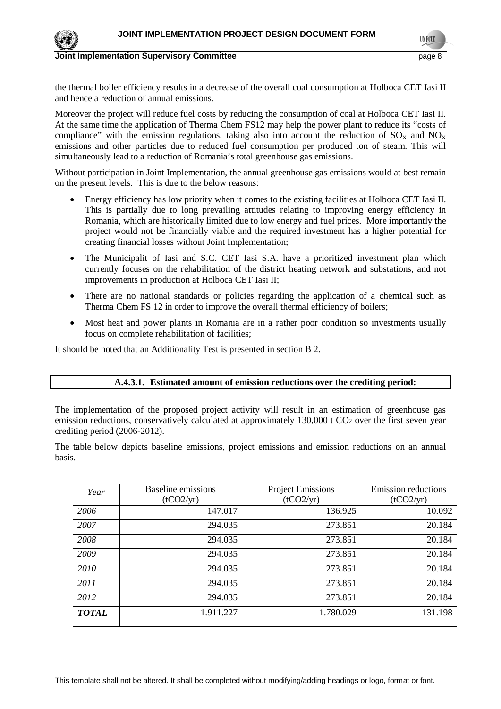

the thermal boiler efficiency results in a decrease of the overall coal consumption at Holboca CET Iasi II and hence a reduction of annual emissions.

Moreover the project will reduce fuel costs by reducing the consumption of coal at Holboca CET Iasi II. At the same time the application of Therma Chem FS12 may help the power plant to reduce its "costs of compliance" with the emission regulations, taking also into account the reduction of  $SO_x$  and  $NO_x$ emissions and other particles due to reduced fuel consumption per produced ton of steam. This will simultaneously lead to a reduction of Romania's total greenhouse gas emissions.

Without participation in Joint Implementation, the annual greenhouse gas emissions would at best remain on the present levels. This is due to the below reasons:

- Energy efficiency has low priority when it comes to the existing facilities at Holboca CET Iasi II. This is partially due to long prevailing attitudes relating to improving energy efficiency in Romania, which are historically limited due to low energy and fuel prices. More importantly the project would not be financially viable and the required investment has a higher potential for creating financial losses without Joint Implementation;
- The Municipalit of Iasi and S.C. CET Iasi S.A. have a prioritized investment plan which currently focuses on the rehabilitation of the district heating network and substations, and not improvements in production at Holboca CET Iasi II;
- There are no national standards or policies regarding the application of a chemical such as Therma Chem FS 12 in order to improve the overall thermal efficiency of boilers;
- Most heat and power plants in Romania are in a rather poor condition so investments usually focus on complete rehabilitation of facilities;

It should be noted that an Additionality Test is presented in section B 2.

#### **A.4.3.1. Estimated amount of emission reductions over the crediting period:**

The implementation of the proposed project activity will result in an estimation of greenhouse gas emission reductions, conservatively calculated at approximately 130,000 t CO2 over the first seven year crediting period (2006-2012).

The table below depicts baseline emissions, project emissions and emission reductions on an annual basis.

| Year         | <b>Baseline</b> emissions | <b>Project Emissions</b> | <b>Emission reductions</b> |
|--------------|---------------------------|--------------------------|----------------------------|
|              | (tCO2/yr)                 | (tCO2/yr)                | (tCO2/yr)                  |
| 2006         | 147.017                   | 136.925                  | 10.092                     |
| 2007         | 294.035                   | 273.851                  | 20.184                     |
| 2008         | 294.035                   | 273.851                  | 20.184                     |
| 2009         | 294.035                   | 273.851                  | 20.184                     |
| 2010         | 294.035                   | 273.851                  | 20.184                     |
| 2011         | 294.035                   | 273.851                  | 20.184                     |
| 2012         | 294.035                   | 273.851                  | 20.184                     |
| <b>TOTAL</b> | 1.911.227                 | 1.780.029                | 131.198                    |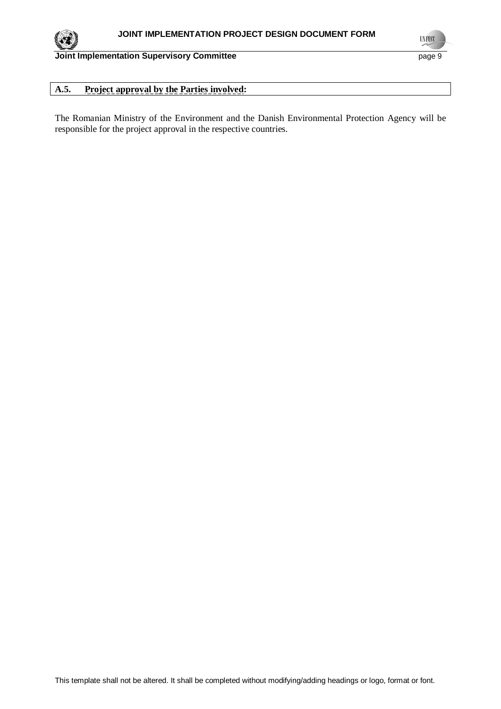**UNFCC** 

### **A.5. Project approval by the Parties involved:**

The Romanian Ministry of the Environment and the Danish Environmental Protection Agency will be responsible for the project approval in the respective countries.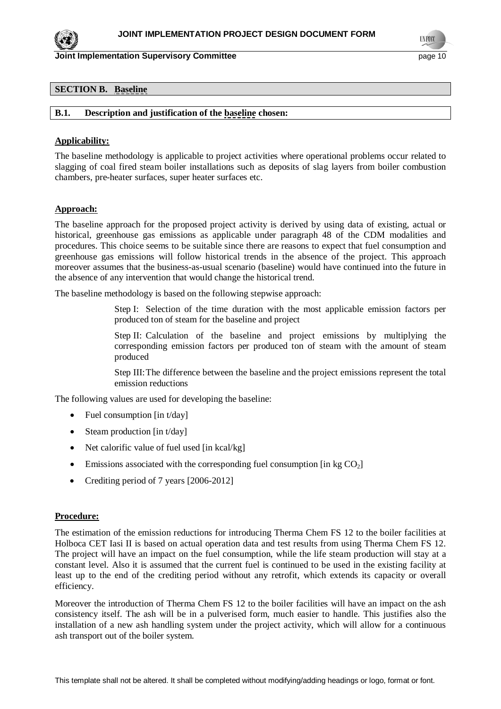

**Joint Implementation Supervisory Committee Committee** *page 10* 

**INFO** 

#### **SECTION B. Baseline**

#### **B.1. Description and justification of the baseline chosen:**

#### **Applicability:**

The baseline methodology is applicable to project activities where operational problems occur related to slagging of coal fired steam boiler installations such as deposits of slag layers from boiler combustion chambers, pre-heater surfaces, super heater surfaces etc.

#### **Approach:**

The baseline approach for the proposed project activity is derived by using data of existing, actual or historical, greenhouse gas emissions as applicable under paragraph 48 of the CDM modalities and procedures. This choice seems to be suitable since there are reasons to expect that fuel consumption and greenhouse gas emissions will follow historical trends in the absence of the project. This approach moreover assumes that the business-as-usual scenario (baseline) would have continued into the future in the absence of any intervention that would change the historical trend.

The baseline methodology is based on the following stepwise approach:

Step I: Selection of the time duration with the most applicable emission factors per produced ton of steam for the baseline and project

Step II: Calculation of the baseline and project emissions by multiplying the corresponding emission factors per produced ton of steam with the amount of steam produced

Step III:The difference between the baseline and the project emissions represent the total emission reductions

The following values are used for developing the baseline:

- Fuel consumption [in t/day]
- Steam production [in t/day]
- Net calorific value of fuel used [in kcal/kg]
- Emissions associated with the corresponding fuel consumption [in kg  $CO<sub>2</sub>$ ]
- Crediting period of 7 years [2006-2012]

#### **Procedure:**

The estimation of the emission reductions for introducing Therma Chem FS 12 to the boiler facilities at Holboca CET Iasi II is based on actual operation data and test results from using Therma Chem FS 12. The project will have an impact on the fuel consumption, while the life steam production will stay at a constant level. Also it is assumed that the current fuel is continued to be used in the existing facility at least up to the end of the crediting period without any retrofit, which extends its capacity or overall efficiency.

Moreover the introduction of Therma Chem FS 12 to the boiler facilities will have an impact on the ash consistency itself. The ash will be in a pulverised form, much easier to handle. This justifies also the installation of a new ash handling system under the project activity, which will allow for a continuous ash transport out of the boiler system.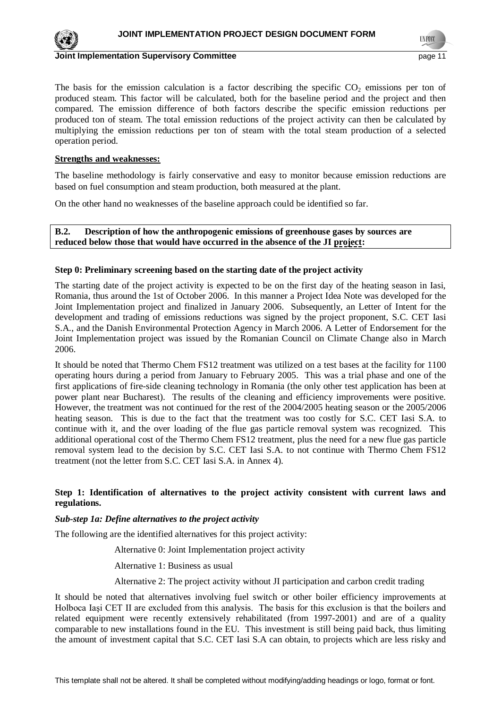

The basis for the emission calculation is a factor describing the specific  $CO<sub>2</sub>$  emissions per ton of produced steam. This factor will be calculated, both for the baseline period and the project and then compared. The emission difference of both factors describe the specific emission reductions per produced ton of steam. The total emission reductions of the project activity can then be calculated by multiplying the emission reductions per ton of steam with the total steam production of a selected operation period.

#### **Strengths and weaknesses:**

The baseline methodology is fairly conservative and easy to monitor because emission reductions are based on fuel consumption and steam production, both measured at the plant.

On the other hand no weaknesses of the baseline approach could be identified so far.

**B.2. Description of how the anthropogenic emissions of greenhouse gases by sources are reduced below those that would have occurred in the absence of the JI project:**

#### **Step 0: Preliminary screening based on the starting date of the project activity**

The starting date of the project activity is expected to be on the first day of the heating season in Iasi, Romania, thus around the 1st of October 2006. In this manner a Project Idea Note was developed for the Joint Implementation project and finalized in January 2006. Subsequently, an Letter of Intent for the development and trading of emissions reductions was signed by the project proponent, S.C. CET Iasi S.A., and the Danish Environmental Protection Agency in March 2006. A Letter of Endorsement for the Joint Implementation project was issued by the Romanian Council on Climate Change also in March 2006.

It should be noted that Thermo Chem FS12 treatment was utilized on a test bases at the facility for 1100 operating hours during a period from January to February 2005. This was a trial phase and one of the first applications of fire-side cleaning technology in Romania (the only other test application has been at power plant near Bucharest). The results of the cleaning and efficiency improvements were positive. However, the treatment was not continued for the rest of the 2004/2005 heating season or the 2005/2006 heating season. This is due to the fact that the treatment was too costly for S.C. CET Iasi S.A. to continue with it, and the over loading of the flue gas particle removal system was recognized. This additional operational cost of the Thermo Chem FS12 treatment, plus the need for a new flue gas particle removal system lead to the decision by S.C. CET Iasi S.A. to not continue with Thermo Chem FS12 treatment (not the letter from S.C. CET Iasi S.A. in Annex 4).

#### **Step 1: Identification of alternatives to the project activity consistent with current laws and regulations.**

#### *Sub-step 1a: Define alternatives to the project activity*

The following are the identified alternatives for this project activity:

Alternative 0: Joint Implementation project activity

Alternative 1: Business as usual

Alternative 2: The project activity without JI participation and carbon credit trading

It should be noted that alternatives involving fuel switch or other boiler efficiency improvements at Holboca Iaşi CET II are excluded from this analysis. The basis for this exclusion is that the boilers and related equipment were recently extensively rehabilitated (from 1997-2001) and are of a quality comparable to new installations found in the EU. This investment is still being paid back, thus limiting the amount of investment capital that S.C. CET Iasi S.A can obtain, to projects which are less risky and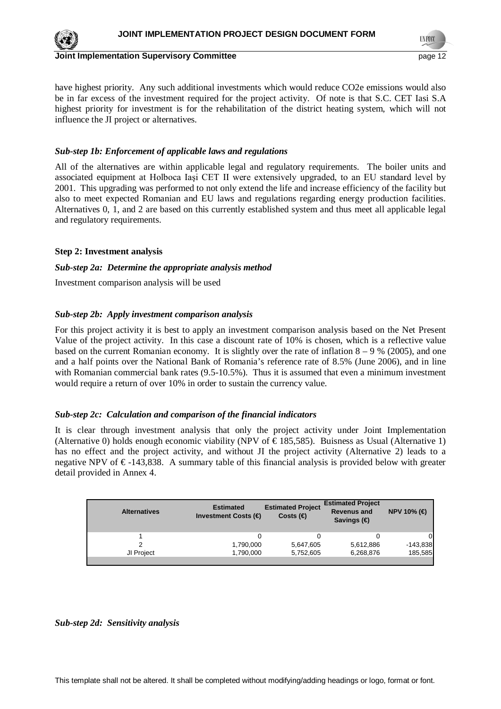

**Joint Implementation Supervisory Committee According to the Control of the Control of the Control of the Control of the Page 12** 

**INFO** 

have highest priority. Any such additional investments which would reduce CO2e emissions would also be in far excess of the investment required for the project activity. Of note is that S.C. CET Iasi S.A highest priority for investment is for the rehabilitation of the district heating system, which will not influence the JI project or alternatives.

#### *Sub-step 1b: Enforcement of applicable laws and regulations*

All of the alternatives are within applicable legal and regulatory requirements. The boiler units and associated equipment at Holboca Iaşi CET II were extensively upgraded, to an EU standard level by 2001. This upgrading was performed to not only extend the life and increase efficiency of the facility but also to meet expected Romanian and EU laws and regulations regarding energy production facilities. Alternatives 0, 1, and 2 are based on this currently established system and thus meet all applicable legal and regulatory requirements.

#### **Step 2: Investment analysis**

#### *Sub-step 2a: Determine the appropriate analysis method*

Investment comparison analysis will be used

#### *Sub-step 2b: Apply investment comparison analysis*

For this project activity it is best to apply an investment comparison analysis based on the Net Present Value of the project activity. In this case a discount rate of 10% is chosen, which is a reflective value based on the current Romanian economy. It is slightly over the rate of inflation  $8 - 9$  % (2005), and one and a half points over the National Bank of Romania's reference rate of 8.5% (June 2006), and in line with Romanian commercial bank rates (9.5-10.5%). Thus it is assumed that even a minimum investment would require a return of over 10% in order to sustain the currency value.

#### *Sub-step 2c: Calculation and comparison of the financial indicators*

It is clear through investment analysis that only the project activity under Joint Implementation (Alternative 0) holds enough economic viability (NPV of  $\in$  185,585). Buisness as Usual (Alternative 1) has no effect and the project activity, and without JI the project activity (Alternative 2) leads to a negative NPV of € -143,838. A summary table of this financial analysis is provided below with greater detail provided in Annex 4.

| <b>Alternatives</b> | <b>Estimated</b><br>Investment Costs $\Theta$ | <b>Estimated Project</b><br>Costs $\Theta$ | <b>Estimated Project</b><br><b>Revenus and</b><br>Savings $\bigoplus$ | NPV 10% ( $\bigoplus$ |
|---------------------|-----------------------------------------------|--------------------------------------------|-----------------------------------------------------------------------|-----------------------|
|                     | 0                                             |                                            |                                                                       | 0l                    |
| 2                   | 1,790,000                                     | 5,647,605                                  | 5,612,886                                                             | $-143,838$            |
| JI Project          | 1,790,000                                     | 5,752,605                                  | 6,268,876                                                             | 185,585               |
|                     |                                               |                                            |                                                                       |                       |

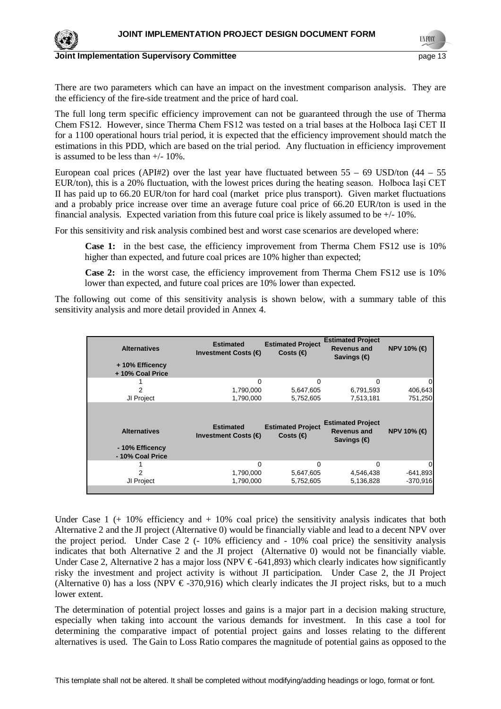

**Joint Implementation Supervisory Committee According to the Committee According to the Control of the Committee According to the Committee According to the Committee According to the Committee According to the Committee A** 

There are two parameters which can have an impact on the investment comparison analysis. They are the efficiency of the fire-side treatment and the price of hard coal.

The full long term specific efficiency improvement can not be guaranteed through the use of Therma Chem FS12. However, since Therma Chem FS12 was tested on a trial bases at the Holboca Iaşi CET II for a 1100 operational hours trial period, it is expected that the efficiency improvement should match the estimations in this PDD, which are based on the trial period. Any fluctuation in efficiency improvement is assumed to be less than  $+/- 10\%$ .

European coal prices (API#2) over the last year have fluctuated between  $55 - 69$  USD/ton  $(44 - 55$ EUR/ton), this is a 20% fluctuation, with the lowest prices during the heating season. Holboca Iaşi CET II has paid up to 66.20 EUR/ton for hard coal (market price plus transport). Given market fluctuations and a probably price increase over time an average future coal price of 66.20 EUR/ton is used in the financial analysis. Expected variation from this future coal price is likely assumed to be  $+/-10\%$ .

For this sensitivity and risk analysis combined best and worst case scenarios are developed where:

**Case 1:** in the best case, the efficiency improvement from Therma Chem FS12 use is 10% higher than expected, and future coal prices are 10% higher than expected;

**Case 2:** in the worst case, the efficiency improvement from Therma Chem FS12 use is 10% lower than expected, and future coal prices are 10% lower than expected.

The following out come of this sensitivity analysis is shown below, with a summary table of this sensitivity analysis and more detail provided in Annex 4.

| <b>Alternatives</b><br>+10% Efficency<br>+10% Coal Price   | <b>Estimated</b><br>Investment Costs (€ | <b>Estimated Project</b><br>Costs $\Theta$    | <b>Estimated Project</b><br><b>Revenus and</b><br>Savings $\bigoplus$ | NPV 10% (€     |
|------------------------------------------------------------|-----------------------------------------|-----------------------------------------------|-----------------------------------------------------------------------|----------------|
|                                                            | 0                                       | 0                                             | $\Omega$                                                              | 0              |
|                                                            | 1,790,000                               | 5,647,605                                     | 6,791,593                                                             | 406,643        |
| JI Project                                                 | 1,790,000                               | 5,752,605                                     | 7,513,181                                                             | 751,250        |
| <b>Alternatives</b><br>- 10% Efficency<br>- 10% Coal Price | <b>Estimated</b><br>Investment Costs (€ | <b>Estimated Project</b><br>Costs $\bigoplus$ | <b>Estimated Project</b><br><b>Revenus and</b><br>Savings $\bigoplus$ | NPV 10% (€)    |
|                                                            | $\Omega$                                | 0                                             | $\Omega$                                                              | $\overline{0}$ |
| 2                                                          | 1,790,000                               | 5,647,605                                     | 4,546,438                                                             | $-641,893$     |
| JI Project                                                 | 1,790,000                               | 5,752,605                                     | 5,136,828                                                             | $-370,916$     |
|                                                            |                                         |                                               |                                                                       |                |

Under Case  $1$  (+ 10% efficiency and + 10% coal price) the sensitivity analysis indicates that both Alternative 2 and the JI project (Alternative 0) would be financially viable and lead to a decent NPV over the project period. Under Case 2 (- 10% efficiency and - 10% coal price) the sensitivity analysis indicates that both Alternative 2 and the JI project (Alternative 0) would not be financially viable. Under Case 2, Alternative 2 has a major loss (NPV  $\epsilon$ -641,893) which clearly indicates how significantly risky the investment and project activity is without JI participation. Under Case 2, the JI Project (Alternative 0) has a loss (NPV  $\epsilon$ -370,916) which clearly indicates the JI project risks, but to a much lower extent.

The determination of potential project losses and gains is a major part in a decision making structure, especially when taking into account the various demands for investment. In this case a tool for determining the comparative impact of potential project gains and losses relating to the different alternatives is used. The Gain to Loss Ratio compares the magnitude of potential gains as opposed to the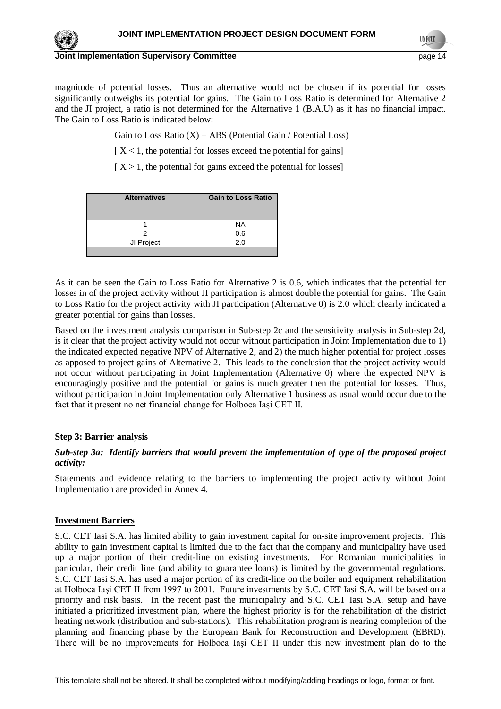

#### **Driving Implementation Supervisory Committee and Committee and Committee by Committee and Committee and Committee by August 2016**

**INFO** 

magnitude of potential losses. Thus an alternative would not be chosen if its potential for losses significantly outweighs its potential for gains. The Gain to Loss Ratio is determined for Alternative 2 and the JI project, a ratio is not determined for the Alternative 1 (B.A.U) as it has no financial impact. The Gain to Loss Ratio is indicated below:

Gain to Loss Ratio  $(X) = ABS$  (Potential Gain / Potential Loss)

 $[X < 1]$ , the potential for losses exceed the potential for gains

 $[X > 1]$ , the potential for gains exceed the potential for losses]

| <b>Alternatives</b> | <b>Gain to Loss Ratio</b> |
|---------------------|---------------------------|
|                     | NA                        |
| 2                   | 0.6                       |
| JI Project          | 2.0                       |
|                     |                           |

As it can be seen the Gain to Loss Ratio for Alternative 2 is 0.6, which indicates that the potential for losses in of the project activity without JI participation is almost double the potential for gains. The Gain to Loss Ratio for the project activity with JI participation (Alternative 0) is 2.0 which clearly indicated a greater potential for gains than losses.

Based on the investment analysis comparison in Sub-step 2c and the sensitivity analysis in Sub-step 2d, is it clear that the project activity would not occur without participation in Joint Implementation due to 1) the indicated expected negative NPV of Alternative 2, and 2) the much higher potential for project losses as apposed to project gains of Alternative 2. This leads to the conclusion that the project activity would not occur without participating in Joint Implementation (Alternative 0) where the expected NPV is encouragingly positive and the potential for gains is much greater then the potential for losses. Thus, without participation in Joint Implementation only Alternative 1 business as usual would occur due to the fact that it present no net financial change for Holboca Iaşi CET II.

#### **Step 3: Barrier analysis**

#### *Sub-step 3a: Identify barriers that would prevent the implementation of type of the proposed project activity:*

Statements and evidence relating to the barriers to implementing the project activity without Joint Implementation are provided in Annex 4.

#### **Investment Barriers**

S.C. CET Iasi S.A. has limited ability to gain investment capital for on-site improvement projects. This ability to gain investment capital is limited due to the fact that the company and municipality have used up a major portion of their credit-line on existing investments. For Romanian municipalities in particular, their credit line (and ability to guarantee loans) is limited by the governmental regulations. S.C. CET Iasi S.A. has used a major portion of its credit-line on the boiler and equipment rehabilitation at Holboca Iaşi CET II from 1997 to 2001. Future investments by S.C. CET Iasi S.A. will be based on a priority and risk basis. In the recent past the municipality and S.C. CET Iasi S.A. setup and have initiated a prioritized investment plan, where the highest priority is for the rehabilitation of the district heating network (distribution and sub-stations). This rehabilitation program is nearing completion of the planning and financing phase by the European Bank for Reconstruction and Development (EBRD). There will be no improvements for Holboca Iaşi CET II under this new investment plan do to the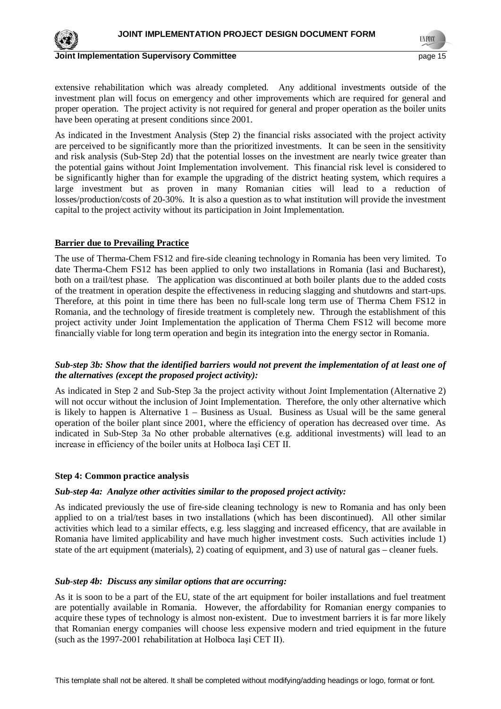

**Fig. 2.1 Implementation Supervisory Committee and Committee and Committee and Committee and Committee and Committee and Committee and Committee and Committee and Committee and Committee and Committee and Committee and Com** 

extensive rehabilitation which was already completed. Any additional investments outside of the investment plan will focus on emergency and other improvements which are required for general and proper operation. The project activity is not required for general and proper operation as the boiler units have been operating at present conditions since 2001.

As indicated in the Investment Analysis (Step 2) the financial risks associated with the project activity are perceived to be significantly more than the prioritized investments. It can be seen in the sensitivity and risk analysis (Sub-Step 2d) that the potential losses on the investment are nearly twice greater than the potential gains without Joint Implementation involvement. This financial risk level is considered to be significantly higher than for example the upgrading of the district heating system, which requires a large investment but as proven in many Romanian cities will lead to a reduction of losses/production/costs of 20-30%. It is also a question as to what institution will provide the investment capital to the project activity without its participation in Joint Implementation.

#### **Barrier due to Prevailing Practice**

The use of Therma-Chem FS12 and fire-side cleaning technology in Romania has been very limited. To date Therma-Chem FS12 has been applied to only two installations in Romania (Iasi and Bucharest), both on a trail/test phase. The application was discontinued at both boiler plants due to the added costs of the treatment in operation despite the effectiveness in reducing slagging and shutdowns and start-ups. Therefore, at this point in time there has been no full-scale long term use of Therma Chem FS12 in Romania, and the technology of fireside treatment is completely new. Through the establishment of this project activity under Joint Implementation the application of Therma Chem FS12 will become more financially viable for long term operation and begin its integration into the energy sector in Romania.

#### *Sub-step 3b: Show that the identified barriers would not prevent the implementation of at least one of the alternatives (except the proposed project activity):*

As indicated in Step 2 and Sub-Step 3a the project activity without Joint Implementation (Alternative 2) will not occur without the inclusion of Joint Implementation. Therefore, the only other alternative which is likely to happen is Alternative 1 – Business as Usual. Business as Usual will be the same general operation of the boiler plant since 2001, where the efficiency of operation has decreased over time. As indicated in Sub-Step 3a No other probable alternatives (e.g. additional investments) will lead to an increase in efficiency of the boiler units at Holboca Iaşi CET II.

#### **Step 4: Common practice analysis**

#### *Sub-step 4a: Analyze other activities similar to the proposed project activity:*

As indicated previously the use of fire-side cleaning technology is new to Romania and has only been applied to on a trial/test bases in two installations (which has been discontinued). All other similar activities which lead to a similar effects, e.g. less slagging and increased efficency, that are available in Romania have limited applicability and have much higher investment costs. Such activities include 1) state of the art equipment (materials), 2) coating of equipment, and 3) use of natural gas – cleaner fuels.

#### *Sub-step 4b: Discuss any similar options that are occurring:*

As it is soon to be a part of the EU, state of the art equipment for boiler installations and fuel treatment are potentially available in Romania. However, the affordability for Romanian energy companies to acquire these types of technology is almost non-existent. Due to investment barriers it is far more likely that Romanian energy companies will choose less expensive modern and tried equipment in the future (such as the 1997-2001 rehabilitation at Holboca Iaşi CET II).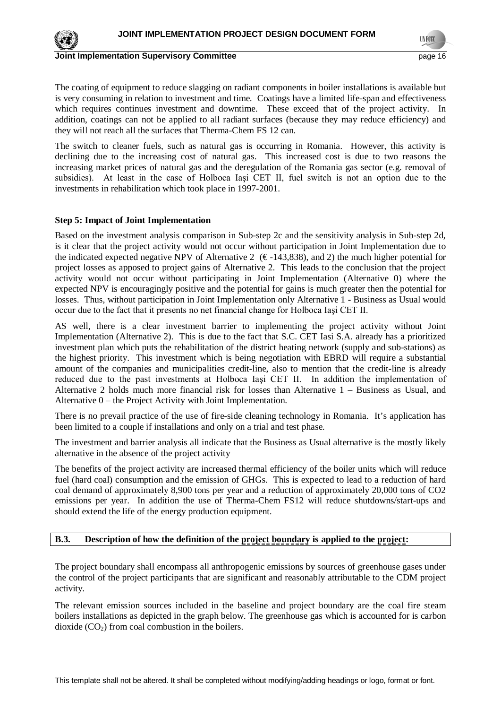

**IDOIT Implementation Supervisory Committee According to the Committee of the Committee According to the Committee According to the Committee According to the Committee According to the Committee According to the Committee** 

The coating of equipment to reduce slagging on radiant components in boiler installations is available but is very consuming in relation to investment and time. Coatings have a limited life-span and effectiveness which requires continues investment and downtime. These exceed that of the project activity. In addition, coatings can not be applied to all radiant surfaces (because they may reduce efficiency) and they will not reach all the surfaces that Therma-Chem FS 12 can.

The switch to cleaner fuels, such as natural gas is occurring in Romania. However, this activity is declining due to the increasing cost of natural gas. This increased cost is due to two reasons the increasing market prices of natural gas and the deregulation of the Romania gas sector (e.g. removal of subsidies). At least in the case of Holboca Iaşi CET II, fuel switch is not an option due to the investments in rehabilitation which took place in 1997-2001.

#### **Step 5: Impact of Joint Implementation**

Based on the investment analysis comparison in Sub-step 2c and the sensitivity analysis in Sub-step 2d, is it clear that the project activity would not occur without participation in Joint Implementation due to the indicated expected negative NPV of Alternative 2 ( $\epsilon$ -143,838), and 2) the much higher potential for project losses as apposed to project gains of Alternative 2. This leads to the conclusion that the project activity would not occur without participating in Joint Implementation (Alternative 0) where the expected NPV is encouragingly positive and the potential for gains is much greater then the potential for losses. Thus, without participation in Joint Implementation only Alternative 1 - Business as Usual would occur due to the fact that it presents no net financial change for Holboca Iaşi CET II.

AS well, there is a clear investment barrier to implementing the project activity without Joint Implementation (Alternative 2). This is due to the fact that S.C. CET Iasi S.A. already has a prioritized investment plan which puts the rehabilitation of the district heating network (supply and sub-stations) as the highest priority. This investment which is being negotiation with EBRD will require a substantial amount of the companies and municipalities credit-line, also to mention that the credit-line is already reduced due to the past investments at Holboca Iaşi CET II. In addition the implementation of Alternative 2 holds much more financial risk for losses than Alternative 1 – Business as Usual, and Alternative 0 – the Project Activity with Joint Implementation.

There is no prevail practice of the use of fire-side cleaning technology in Romania. It's application has been limited to a couple if installations and only on a trial and test phase.

The investment and barrier analysis all indicate that the Business as Usual alternative is the mostly likely alternative in the absence of the project activity

The benefits of the project activity are increased thermal efficiency of the boiler units which will reduce fuel (hard coal) consumption and the emission of GHGs. This is expected to lead to a reduction of hard coal demand of approximately 8,900 tons per year and a reduction of approximately 20,000 tons of CO2 emissions per year. In addition the use of Therma-Chem FS12 will reduce shutdowns/start-ups and should extend the life of the energy production equipment.

#### **B.3. Description of how the definition of the project boundary is applied to the project:**

The project boundary shall encompass all anthropogenic emissions by sources of greenhouse gases under the control of the project participants that are significant and reasonably attributable to the CDM project activity.

The relevant emission sources included in the baseline and project boundary are the coal fire steam boilers installations as depicted in the graph below. The greenhouse gas which is accounted for is carbon dioxide  $(CO_2)$  from coal combustion in the boilers.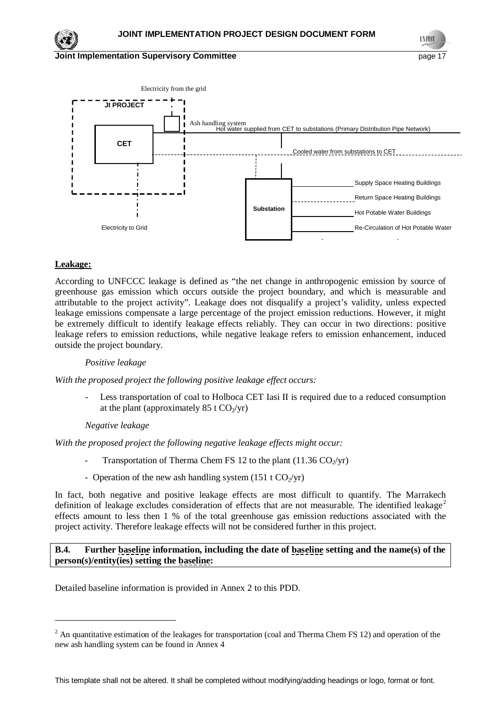**UNFCC** 

#### **Driving Implementation Supervisory Committee and Committee and Committee page 17**



#### **Leakage:**

<u>.</u>

According to UNFCCC leakage is defined as "the net change in anthropogenic emission by source of greenhouse gas emission which occurs outside the project boundary, and which is measurable and attributable to the project activity". Leakage does not disqualify a project's validity, unless expected leakage emissions compensate a large percentage of the project emission reductions. However, it might be extremely difficult to identify leakage effects reliably. They can occur in two directions: positive leakage refers to emission reductions, while negative leakage refers to emission enhancement*,* induced outside the project boundary.

#### *Positive leakage*

*With the proposed project the following positive leakage effect occurs:*

Less transportation of coal to Holboca CET Iasi II is required due to a reduced consumption at the plant (approximately 85 t  $CO_2/yr$ )

#### *Negative leakage*

*With the proposed project the following negative leakage effects might occur:*

- Transportation of Therma Chem FS 12 to the plant  $(11.36 \text{ CO}_2/\text{yr})$
- Operation of the new ash handling system  $(151 \text{ t } CO_2/\text{vr})$

In fact, both negative and positive leakage effects are most difficult to quantify. The Marrakech definition of leakage excludes consideration of effects that are not measurable. The identified leakage<sup>[2](#page-16-0)</sup> effects amount to less then 1 % of the total greenhouse gas emission reductions associated with the project activity. Therefore leakage effects will not be considered further in this project.

**B.4. Further baseline information, including the date of baseline setting and the name(s) of the person(s)/entity(ies) setting the baseline:**

Detailed baseline information is provided in Annex 2 to this PDD.

<span id="page-16-0"></span> $2$  An quantitative estimation of the leakages for transportation (coal and Therma Chem FS 12) and operation of the new ash handling system can be found in Annex 4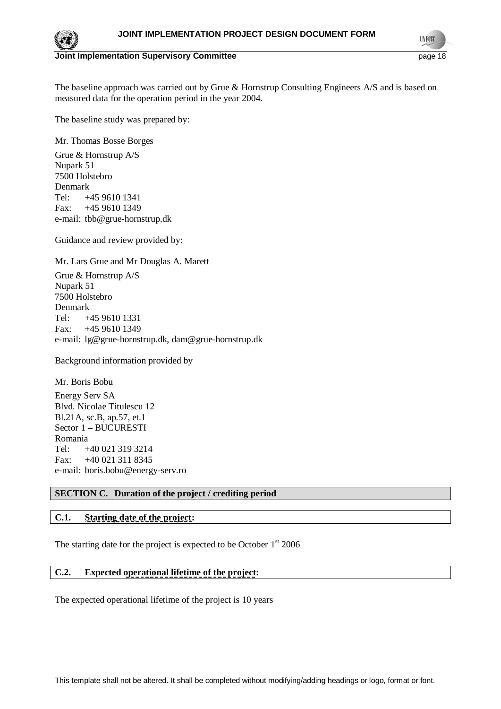

#### **Joint Implementation Supervisory Committee According to the Committee According to the Control of the Committee According to the Committee According to the Page 18**

The baseline approach was carried out by Grue & Hornstrup Consulting Engineers A/S and is based on measured data for the operation period in the year 2004.

The baseline study was prepared by:

Mr. Thomas Bosse Borges

Grue & Hornstrup A/S Nupark 51 7500 Holstebro Denmark Tel: +45 9610 1341 Fax: +45 9610 1349 e-mail: tbb@grue-hornstrup.dk

Guidance and review provided by:

Mr. Lars Grue and Mr Douglas A. Marett

Grue & Hornstrup A/S Nupark 51 7500 Holstebro Denmark Tel: +45 9610 1331 Fax: +45 9610 1349 e-mail: lg@grue-hornstrup.dk, dam@grue-hornstrup.dk

Background information provided by

Mr. Boris Bobu

Energy Serv SA Blvd. Nicolae Titulescu 12 Bl.21A, sc.B, ap.57, et.1 Sector 1 – BUCURESTI Romania Tel: +40 021 319 3214 Fax: +40 021 311 8345 e-mail: boris.bobu@energy-serv.ro

#### **SECTION C. Duration of the project / crediting period**

#### **C.1. Starting date of the project:**

The starting date for the project is expected to be October  $1<sup>st</sup>$  2006

#### **C.2. Expected operational lifetime of the project:**

The expected operational lifetime of the project is 10 years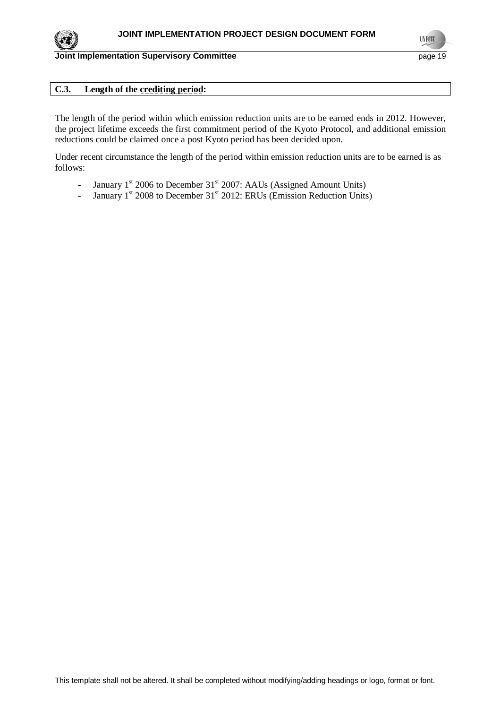

**UNFCC** 

#### **C.3. Length of the crediting period:**

The length of the period within which emission reduction units are to be earned ends in 2012. However, the project lifetime exceeds the first commitment period of the Kyoto Protocol, and additional emission reductions could be claimed once a post Kyoto period has been decided upon.

Under recent circumstance the length of the period within emission reduction units are to be earned is as follows:

- January  $1^{st}$  2006 to December  $31^{st}$  2007: AAUs (Assigned Amount Units)
- January 1<sup>st</sup> 2008 to December 31<sup>st</sup> 2012: ERUs (Emission Reduction Units)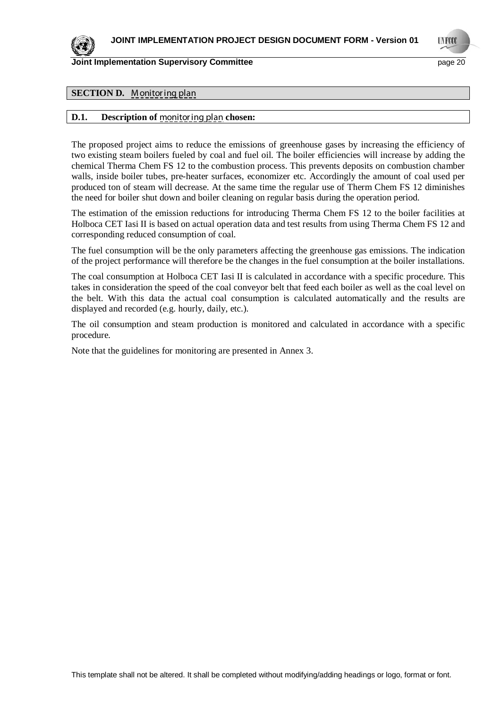

**UVFCCC** 

#### **SECTION D.** Monitor ing plan

#### **D.1. Description of** monitor ing plan **chosen:**

The proposed project aims to reduce the emissions of greenhouse gases by increasing the efficiency of two existing steam boilers fueled by coal and fuel oil. The boiler efficiencies will increase by adding the chemical Therma Chem FS 12 to the combustion process. This prevents deposits on combustion chamber walls, inside boiler tubes, pre-heater surfaces, economizer etc. Accordingly the amount of coal used per produced ton of steam will decrease. At the same time the regular use of Therm Chem FS 12 diminishes the need for boiler shut down and boiler cleaning on regular basis during the operation period.

The estimation of the emission reductions for introducing Therma Chem FS 12 to the boiler facilities at Holboca CET Iasi II is based on actual operation data and test results from using Therma Chem FS 12 and corresponding reduced consumption of coal.

The fuel consumption will be the only parameters affecting the greenhouse gas emissions. The indication of the project performance will therefore be the changes in the fuel consumption at the boiler installations.

The coal consumption at Holboca CET Iasi II is calculated in accordance with a specific procedure. This takes in consideration the speed of the coal conveyor belt that feed each boiler as well as the coal level on the belt. With this data the actual coal consumption is calculated automatically and the results are displayed and recorded (e.g. hourly, daily, etc.).

The oil consumption and steam production is monitored and calculated in accordance with a specific procedure.

Note that the guidelines for monitoring are presented in Annex 3.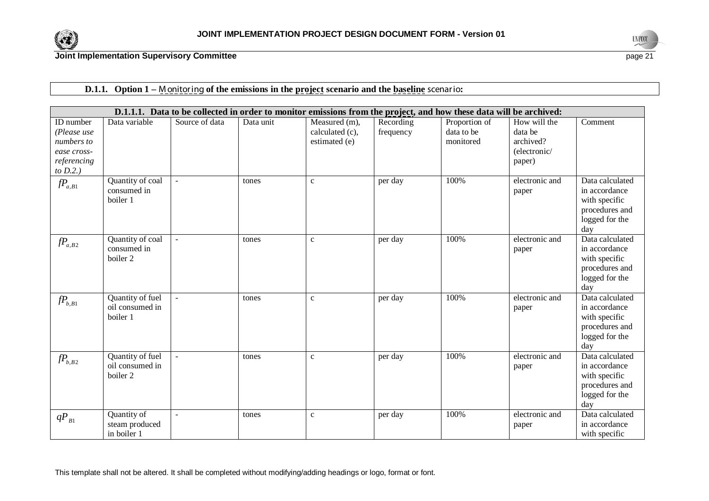



#### **D.1.1. Option 1** – Monitoring of the emissions in the project scenario and the baseline scenario:

|             | D.1.1.1. Data to be collected in order to monitor emissions from the project, and how these data will be archived: |                |           |                 |           |               |                |                                 |
|-------------|--------------------------------------------------------------------------------------------------------------------|----------------|-----------|-----------------|-----------|---------------|----------------|---------------------------------|
| ID number   | Data variable                                                                                                      | Source of data | Data unit | Measured (m),   | Recording | Proportion of | How will the   | Comment                         |
| (Please use |                                                                                                                    |                |           | calculated (c), | frequency | data to be    | data be        |                                 |
| numbers to  |                                                                                                                    |                |           | estimated (e)   |           | monitored     | archived?      |                                 |
| ease cross- |                                                                                                                    |                |           |                 |           |               | (electronic/   |                                 |
| referencing |                                                                                                                    |                |           |                 |           |               | paper)         |                                 |
| to $D.2.$ ) |                                                                                                                    |                |           |                 |           |               |                |                                 |
| $fP_{a,B1}$ | Quantity of coal                                                                                                   | $\overline{a}$ | tones     | $\mathbf{C}$    | per day   | 100%          | electronic and | Data calculated                 |
|             | consumed in<br>boiler 1                                                                                            |                |           |                 |           |               | paper          | in accordance                   |
|             |                                                                                                                    |                |           |                 |           |               |                | with specific<br>procedures and |
|             |                                                                                                                    |                |           |                 |           |               |                | logged for the                  |
|             |                                                                                                                    |                |           |                 |           |               |                | day                             |
|             | Quantity of coal                                                                                                   | $\sim$         | tones     | $\mathbf{c}$    | per day   | 100%          | electronic and | Data calculated                 |
| $fP_{a,B2}$ | consumed in                                                                                                        |                |           |                 |           |               | paper          | in accordance                   |
|             | boiler 2                                                                                                           |                |           |                 |           |               |                | with specific                   |
|             |                                                                                                                    |                |           |                 |           |               |                | procedures and                  |
|             |                                                                                                                    |                |           |                 |           |               |                | logged for the                  |
|             |                                                                                                                    |                |           |                 |           |               |                | day                             |
| $fP_{b,B1}$ | Quantity of fuel                                                                                                   |                | tones     | $\mathbf{c}$    | per day   | 100%          | electronic and | Data calculated                 |
|             | oil consumed in                                                                                                    |                |           |                 |           |               | paper          | in accordance                   |
|             | boiler 1                                                                                                           |                |           |                 |           |               |                | with specific                   |
|             |                                                                                                                    |                |           |                 |           |               |                | procedures and                  |
|             |                                                                                                                    |                |           |                 |           |               |                | logged for the                  |
|             |                                                                                                                    |                |           |                 |           |               |                | day                             |
| $fP_{b,B2}$ | Quantity of fuel                                                                                                   | $\omega$       | tones     | $\mathbf{C}$    | per day   | 100%          | electronic and | Data calculated                 |
|             | oil consumed in                                                                                                    |                |           |                 |           |               | paper          | in accordance                   |
|             | boiler 2                                                                                                           |                |           |                 |           |               |                | with specific                   |
|             |                                                                                                                    |                |           |                 |           |               |                | procedures and                  |
|             |                                                                                                                    |                |           |                 |           |               |                | logged for the<br>day           |
|             | Quantity of                                                                                                        | $\sim$         |           | $\mathbf{C}$    | per day   | 100%          | electronic and | Data calculated                 |
| $qP_{B1}$   | steam produced                                                                                                     |                | tones     |                 |           |               |                | in accordance                   |
|             | in boiler 1                                                                                                        |                |           |                 |           |               | paper          | with specific                   |
|             |                                                                                                                    |                |           |                 |           |               |                |                                 |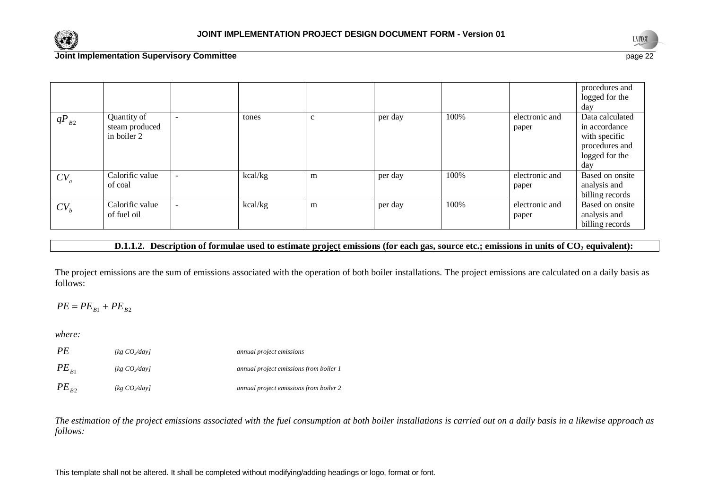



|           |                                              |                |         |   |         |      |                         | procedures and<br>logged for the<br>day                                                      |
|-----------|----------------------------------------------|----------------|---------|---|---------|------|-------------------------|----------------------------------------------------------------------------------------------|
| $qP_{B2}$ | Quantity of<br>steam produced<br>in boiler 2 |                | tones   | c | per day | 100% | electronic and<br>paper | Data calculated<br>in accordance<br>with specific<br>procedures and<br>logged for the<br>day |
| $CV_a$    | Calorific value<br>of coal                   |                | kcal/kg | m | per day | 100% | electronic and<br>paper | Based on onsite<br>analysis and<br>billing records                                           |
| $CV_b$    | Calorific value<br>of fuel oil               | $\blacksquare$ | kcal/kg | m | per day | 100% | electronic and<br>paper | Based on onsite<br>analysis and<br>billing records                                           |

#### **D.1.1.2.** Description of formulae used to estimate project emissions (for each gas, source etc.; emissions in units of CO<sub>2</sub> equivalent):

The project emissions are the sum of emissions associated with the operation of both boiler installations. The project emissions are calculated on a daily basis as follows:

 $PE = PE_{B1} + PE_{B2}$ 

*where:*

| PE        | [kg $CO_2$ /day]  | annual project emissions               |
|-----------|-------------------|----------------------------------------|
| $PE_{B1}$ | [ $kg CO_2$ /day] | annual project emissions from boiler 1 |
| $PE_{B2}$ | [kg $CO_2$ /day]  | annual project emissions from boiler 2 |

*The estimation of the project emissions associated with the fuel consumption at both boiler installations is carried out on a daily basis in a likewise approach as follows:*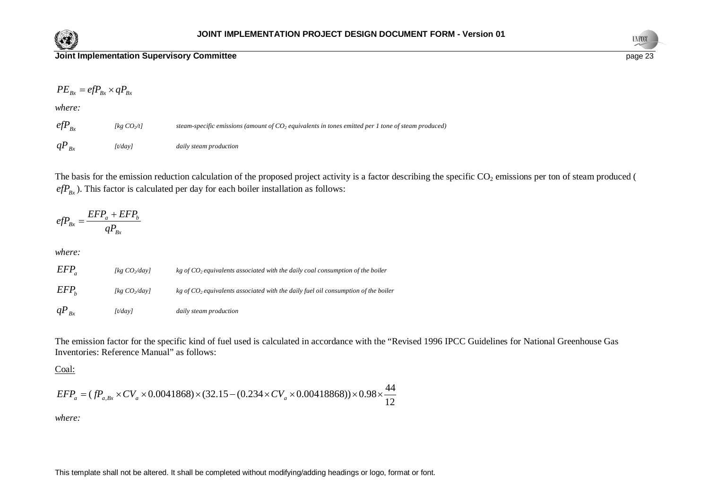



$$
PE_{Bx} = e f P_{Bx} \times q P_{Bx}
$$

*where:*

 $\ell fP_{R_x}$  *[kg CO<sub>2</sub>/t] steam-specific emissions (amount of CO<sub>2</sub> equivalents in tones emitted per 1 tone of steam produced) Bx qP [t/day] daily steam production*

The basis for the emission reduction calculation of the proposed project activity is a factor describing the specific  $CO_2$  emissions per ton of steam produced (  $efP_{R<sub>x</sub>}$ ). This factor is calculated per day for each boiler installation as follows:

$$
efP_{Bx} = \frac{EFP_a + EFP_b}{qP_{Bx}}
$$

*where:*

| $EFP_a$   | [ $kg CO$ $/day$ ] | kg of $CO2$ equivalents associated with the daily coal consumption of the boiler     |
|-----------|--------------------|--------------------------------------------------------------------------------------|
| $EFP_h$   | [ $kg CO$ $/day$ ] | kg of $CO2$ equivalents associated with the daily fuel oil consumption of the boiler |
| $qP_{Bx}$ | [t/day]            | daily steam production                                                               |

The emission factor for the specific kind of fuel used is calculated in accordance with the "Revised 1996 IPCC Guidelines for National Greenhouse Gas Inventories: Reference Manual" as follows:

Coal:

$$
EFP_a = (fP_{a,Bx} \times CV_a \times 0.0041868) \times (32.15 - (0.234 \times CV_a \times 0.00418868)) \times 0.98 \times \frac{44}{12}
$$

*where:*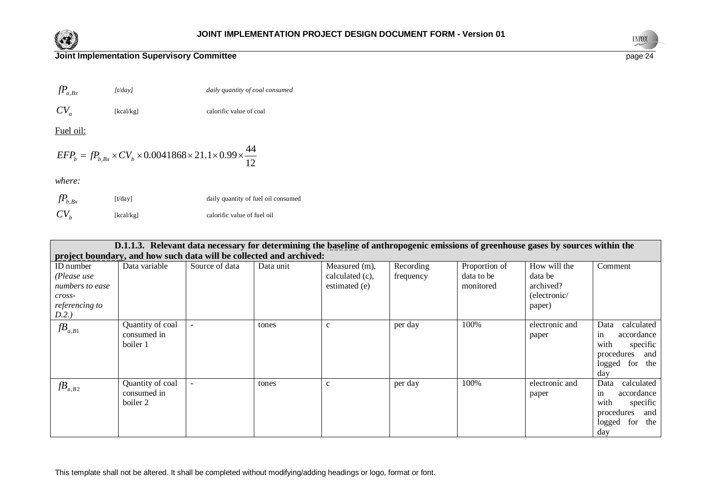



| $\int P_{a,Bx}$ | [t/day] | daily quantity of coal consumed |
|-----------------|---------|---------------------------------|
|                 |         |                                 |

 $CV_a$  [kcal/kg] calorific value of coal

Fuel oil:

$$
EFP_b = fP_{b,Bx} \times CV_b \times 0.0041868 \times 21.1 \times 0.99 \times \frac{44}{12}
$$

*where:*

| $f\!\!P_{b,Bx}$ | [t/day]   | daily quantity of fuel oil consumed |
|-----------------|-----------|-------------------------------------|
| $CV_{h}$        | [kcal/kg] | calorific value of fuel oil         |

|                 | D.1.1.3. Relevant data necessary for determining the baseline of anthropogenic emissions of greenhouse gases by sources within the |                |           |                 |           |               |                         |                                                                                                                |
|-----------------|------------------------------------------------------------------------------------------------------------------------------------|----------------|-----------|-----------------|-----------|---------------|-------------------------|----------------------------------------------------------------------------------------------------------------|
|                 | project boundary, and how such data will be collected and archived:                                                                |                |           |                 |           |               |                         |                                                                                                                |
| ID number       | Data variable                                                                                                                      | Source of data | Data unit | Measured (m),   | Recording | Proportion of | How will the            | Comment                                                                                                        |
| (Please use     |                                                                                                                                    |                |           | calculated (c), | frequency | data to be    | data be                 |                                                                                                                |
| numbers to ease |                                                                                                                                    |                |           | estimated (e)   |           | monitored     | archived?               |                                                                                                                |
| cross-          |                                                                                                                                    |                |           |                 |           |               | (electronic/            |                                                                                                                |
| referencing to  |                                                                                                                                    |                |           |                 |           |               | paper)                  |                                                                                                                |
| D.2.)           |                                                                                                                                    |                |           |                 |           |               |                         |                                                                                                                |
| $fB_{a,B1}$     | Quantity of coal<br>consumed in<br>boiler 1                                                                                        |                | tones     | $\mathbf{C}$    | per day   | 100%          | electronic and<br>paper | calculated<br>Data<br>in<br>accordance<br>with<br>specific<br>procedures<br>and<br>for<br>the<br>logged        |
|                 |                                                                                                                                    |                |           |                 |           |               |                         | day                                                                                                            |
| $fB_{a,B2}$     | Quantity of coal<br>consumed in<br>boiler 2                                                                                        |                | tones     | $\mathbf{C}$    | per day   | 100%          | electronic and<br>paper | Data<br>calculated<br>in<br>accordance<br>with<br>specific<br>procedures<br>and<br>for<br>the<br>logged<br>day |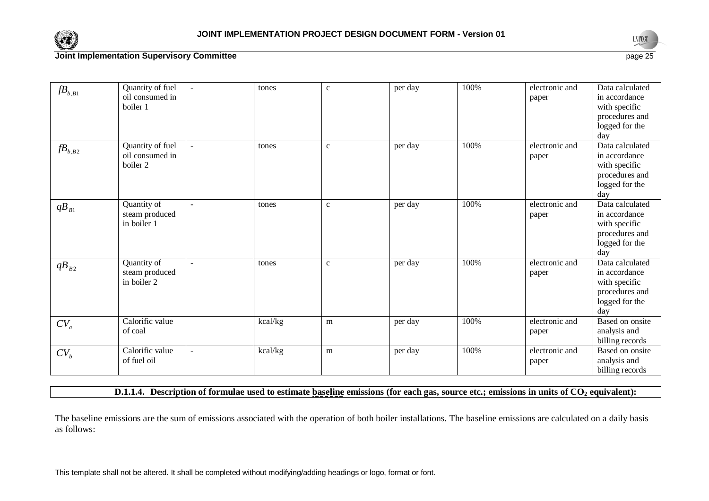



| $fB_{b,B1}$ | Quantity of fuel<br>oil consumed in<br>boiler 1 | $\sim$         | tones   | $\mathbf{C}$ | per day | 100% | electronic and<br>paper | Data calculated<br>in accordance<br>with specific<br>procedures and<br>logged for the<br>day |
|-------------|-------------------------------------------------|----------------|---------|--------------|---------|------|-------------------------|----------------------------------------------------------------------------------------------|
| $fB_{b,B2}$ | Quantity of fuel<br>oil consumed in<br>boiler 2 | $\blacksquare$ | tones   | $\mathbf c$  | per day | 100% | electronic and<br>paper | Data calculated<br>in accordance<br>with specific<br>procedures and<br>logged for the<br>day |
| $qB_{B1}$   | Quantity of<br>steam produced<br>in boiler 1    | $\overline{a}$ | tones   | $\mathbf c$  | per day | 100% | electronic and<br>paper | Data calculated<br>in accordance<br>with specific<br>procedures and<br>logged for the<br>day |
| $qB_{B2}$   | Quantity of<br>steam produced<br>in boiler 2    | $\sim$         | tones   | $\mathbf{C}$ | per day | 100% | electronic and<br>paper | Data calculated<br>in accordance<br>with specific<br>procedures and<br>logged for the<br>day |
| $CV_a$      | Calorific value<br>of coal                      |                | kcal/kg | m            | per day | 100% | electronic and<br>paper | Based on onsite<br>analysis and<br>billing records                                           |
| $CV_b$      | Calorific value<br>of fuel oil                  | $\overline{a}$ | kcal/kg | m            | per day | 100% | electronic and<br>paper | Based on onsite<br>analysis and<br>billing records                                           |

**D.1.1.4.** Description of formulae used to estimate baseline emissions (for each gas, source etc.; emissions in units of CO<sub>2</sub> equivalent):

The baseline emissions are the sum of emissions associated with the operation of both boiler installations. The baseline emissions are calculated on a daily basis as follows: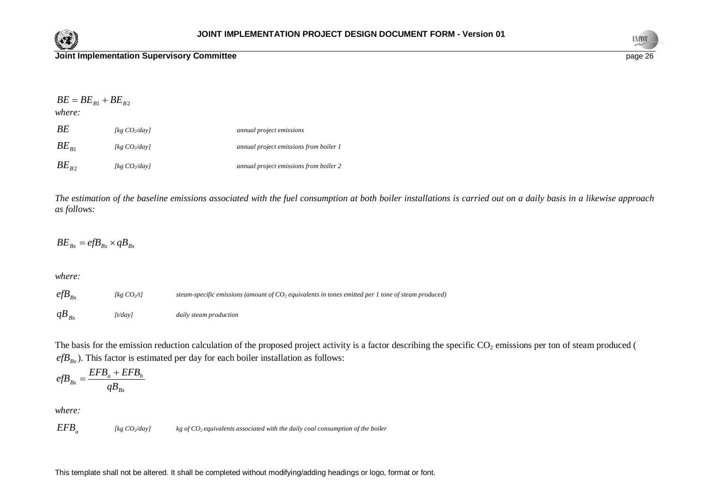



| $BE = BE_{B1} + BE_{B2}$ |                   |
|--------------------------|-------------------|
| where:                   |                   |
| BE                       | [ $kg CO_2/day$ ] |

| BE        | [ $kg CO$ , <i>dav</i> ]       | annual project emissions               |
|-----------|--------------------------------|----------------------------------------|
| $BE_{B1}$ | [ $kg CO$ $\land$ day]         | annual project emissions from boiler 1 |
| $BE_{R2}$ | [ $kg CO$ <sub>2</sub> $day$ ] | annual project emissions from boiler 2 |

*The estimation of the baseline emissions associated with the fuel consumption at both boiler installations is carried out on a daily basis in a likewise approach as follows:* 

 $BE_{\scriptscriptstyle Bx} = efB_{\scriptscriptstyle Bx} \times qB_{\scriptscriptstyle Bx}$ 

*where:*

 $e f B_{R_x}$  [kg CO<sub>2</sub>/t] *steam-specific emissions (amount of CO<sub>2</sub> equivalents in tones emitted per 1 tone of steam produced) Bx qB [t/day] daily steam production*

The basis for the emission reduction calculation of the proposed project activity is a factor describing the specific  $CO_2$  emissions per ton of steam produced (  $efB_{R<sub>x</sub>}$ ). This factor is estimated per day for each boiler installation as follows:

$$
efB_{Bx} = \frac{EFB_a + EFB_b}{qB_{Bx}}
$$

*where:*

*EFB<sub>a</sub> [kg CO<sub>2</sub>/day] kg of CO<sub>2</sub> equivalents associated with the daily coal consumption of the boiler*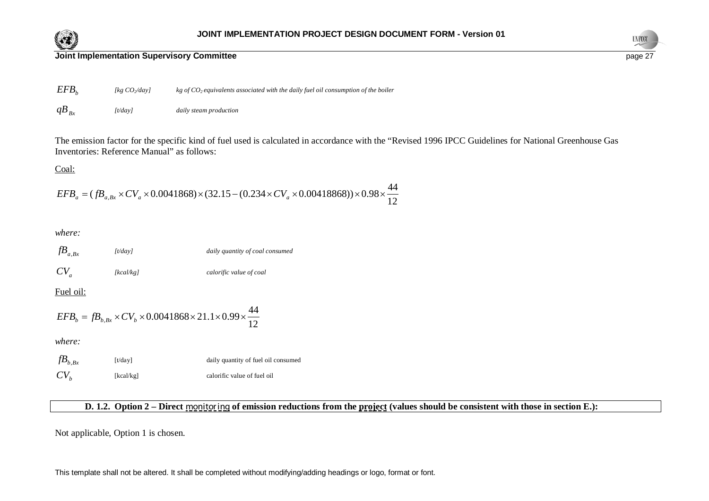



 $EFB<sub>k</sub>$  *[kg CO<sub>2</sub>/day] kg of CO<sub>2</sub> equivalents associated with the daily fuel oil consumption of the boiler* 

*Bx qB [t/day] daily steam production*

The emission factor for the specific kind of fuel used is calculated in accordance with the "Revised 1996 IPCC Guidelines for National Greenhouse Gas Inventories: Reference Manual" as follows:

Coal:

$$
EFB_a = (fB_{a,Bx} \times CV_a \times 0.0041868) \times (32.15 - (0.234 \times CV_a \times 0.00418868)) \times 0.98 \times \frac{44}{12}
$$

*where:*

| $fB_{a,Bx}$ | [t/day]   | daily quantity of coal consumed |
|-------------|-----------|---------------------------------|
| $CV_{a}$    | [kcal/kg] | calorific value of coal         |

Fuel oil:

$$
EFB_b = fB_{b,Bx} \times CV_b \times 0.0041868 \times 21.1 \times 0.99 \times \frac{44}{12}
$$

*where:*

| $fB_{b,Bx}$ | $\lceil t / \text{day} \rceil$ | daily quantity of fuel oil consumed |
|-------------|--------------------------------|-------------------------------------|
| $CV_{h}$    | [kcal/kg]                      | calorific value of fuel oil         |

#### **D. 1.2. Option 2 – Direct** monitor ing **of emission reductions from the project (values should be consistent with those in section E.):**

Not applicable, Option 1 is chosen.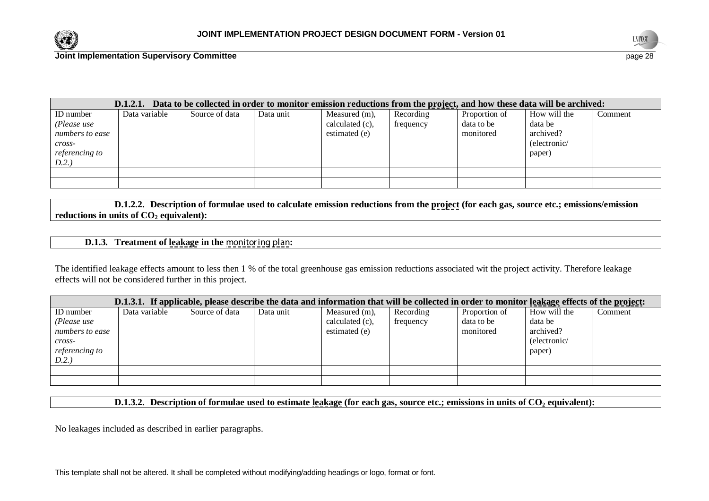



| Data to be collected in order to monitor emission reductions from the project, and how these data will be archived:<br>D.1.2.1. |               |                |           |                                                   |                        |                                          |                                                                |         |
|---------------------------------------------------------------------------------------------------------------------------------|---------------|----------------|-----------|---------------------------------------------------|------------------------|------------------------------------------|----------------------------------------------------------------|---------|
| <b>ID</b> number<br>(Please use<br>numbers to ease<br>$\mathit{cross}$ -<br>referencing to<br>D.2.                              | Data variable | Source of data | Data unit | Measured (m),<br>calculated (c),<br>estimated (e) | Recording<br>frequency | Proportion of<br>data to be<br>monitored | How will the<br>data be<br>archived?<br>(electronic/<br>paper) | Comment |
|                                                                                                                                 |               |                |           |                                                   |                        |                                          |                                                                |         |
|                                                                                                                                 |               |                |           |                                                   |                        |                                          |                                                                |         |

**D.1.2.2. Description of formulae used to calculate emission reductions from the project (for each gas, source etc.; emissions/emission**  reductions in units of CO<sub>2</sub> equivalent):

**D.1.3. Treatment of leakage in the** monitor ing plan**:**

The identified leakage effects amount to less then 1 % of the total greenhouse gas emission reductions associated wit the project activity. Therefore leakage effects will not be considered further in this project.

| D.1.3.1. If applicable, please describe the data and information that will be collected in order to monitor leakage effects of the project: |               |                |           |                 |           |               |              |         |
|---------------------------------------------------------------------------------------------------------------------------------------------|---------------|----------------|-----------|-----------------|-----------|---------------|--------------|---------|
| ID number                                                                                                                                   | Data variable | Source of data | Data unit | Measured (m),   | Recording | Proportion of | How will the | Comment |
| (Please use                                                                                                                                 |               |                |           | calculated (c), | frequency | data to be    | data be      |         |
| numbers to ease                                                                                                                             |               |                |           | estimated (e)   |           | monitored     | archived?    |         |
| $\mathit{cross}$ -                                                                                                                          |               |                |           |                 |           |               | (electronic/ |         |
| referencing to                                                                                                                              |               |                |           |                 |           |               | paper)       |         |
| D.2.                                                                                                                                        |               |                |           |                 |           |               |              |         |
|                                                                                                                                             |               |                |           |                 |           |               |              |         |
|                                                                                                                                             |               |                |           |                 |           |               |              |         |

**D.1.3.2.** Description of formulae used to estimate leakage (for each gas, source etc.; emissions in units of CO<sub>2</sub> equivalent):

No leakages included as described in earlier paragraphs.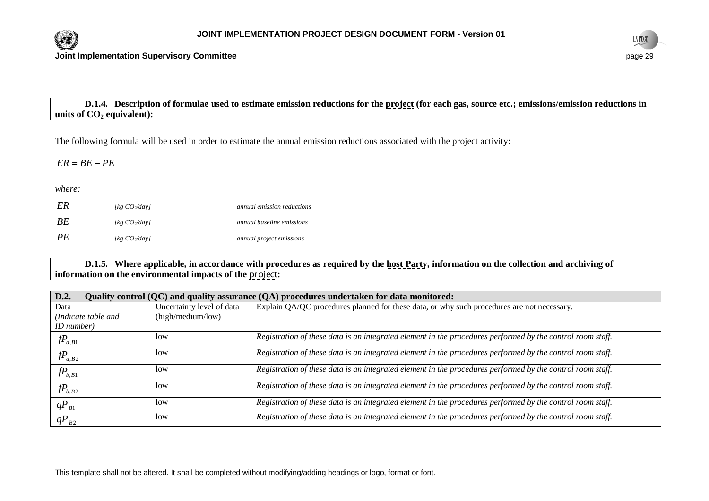



**D.1.4. Description of formulae used to estimate emission reductions for the project (for each gas, source etc.; emissions/emission reductions in**  units of CO<sub>2</sub> equivalent):

The following formula will be used in order to estimate the annual emission reductions associated with the project activity:

 $ER = BE - PE$ 

*where:*

| ER             | [kg $CO_2$ /day]                 | <i>annual emission reductions</i> |
|----------------|----------------------------------|-----------------------------------|
| ВE             | $\iota$ kg CO <sub>2</sub> /day] | annual baseline emissions         |
| $\overline{P}$ | [ $kg CO$ <sub>2</sub> $day$ ]   | annual project emissions          |

#### **D.1.5. Where applicable, in accordance with procedures as required by the host Party, information on the collection and archiving of**  information on the environmental impacts of the project:

| D.2.<br>Quality control (QC) and quality assurance (QA) procedures undertaken for data monitored: |                           |                                                                                                            |  |  |  |
|---------------------------------------------------------------------------------------------------|---------------------------|------------------------------------------------------------------------------------------------------------|--|--|--|
| Data                                                                                              | Uncertainty level of data | Explain QA/QC procedures planned for these data, or why such procedures are not necessary.                 |  |  |  |
| (Indicate table and                                                                               | (high/medium/low)         |                                                                                                            |  |  |  |
| <i>ID</i> number)                                                                                 |                           |                                                                                                            |  |  |  |
| $fP_{a,B1}$                                                                                       | low                       | Registration of these data is an integrated element in the procedures performed by the control room staff. |  |  |  |
| $fP_{a,B2}$                                                                                       | low                       | Registration of these data is an integrated element in the procedures performed by the control room staff. |  |  |  |
| $fP_{b,B1}$                                                                                       | low                       | Registration of these data is an integrated element in the procedures performed by the control room staff. |  |  |  |
| $fP_{b,B2}$                                                                                       | low                       | Registration of these data is an integrated element in the procedures performed by the control room staff. |  |  |  |
| $qP_{B1}$                                                                                         | low                       | Registration of these data is an integrated element in the procedures performed by the control room staff. |  |  |  |
| $qP_{B2}$                                                                                         | low                       | Registration of these data is an integrated element in the procedures performed by the control room staff. |  |  |  |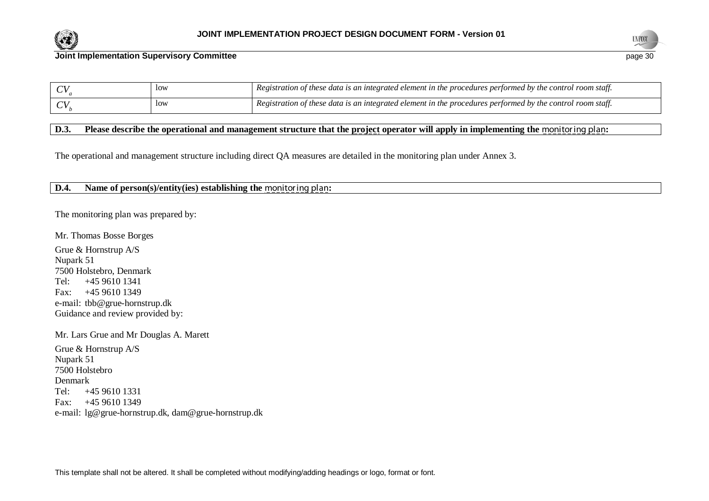



| 10 <sub>W</sub> | $n\rho r$<br>element<br>, procedures<br>Registration<br>contr.<br>room staff.<br>the<br>these data is<br>unteerated<br>· in<br>, an<br>tormea<br>tne      |
|-----------------|-----------------------------------------------------------------------------------------------------------------------------------------------------------|
| 10W             | : ner<br><i>procedures</i><br>Registration of<br>untegrated<br>element<br>the<br>control<br>room statt.<br>these data is<br>, an<br>· in<br>tormed<br>tne |

#### **D.3. Please describe the operational and management structure that the project operator will apply in implementing the** monitor ing plan**:**

The operational and management structure including direct QA measures are detailed in the monitoring plan under Annex 3.

#### **D.4. Name of person(s)/entity(ies) establishing the <u>monitoring plan</u>:**

The monitoring plan was prepared by:

Mr. Thomas Bosse Borges

Grue & Hornstrup A/S Nupark 51 7500 Holstebro, Denmark Tel: +45 9610 1341 Fax: +45 9610 1349 e-mail: tbb@grue-hornstrup.dk Guidance and review provided by:

Mr. Lars Grue and Mr Douglas A. Marett

Grue & Hornstrup A/S Nupark 51 7500 Holstebro Denmark Tel: +45 9610 1331 Fax: +45 9610 1349 e-mail: lg@grue-hornstrup.dk, dam@grue-hornstrup.dk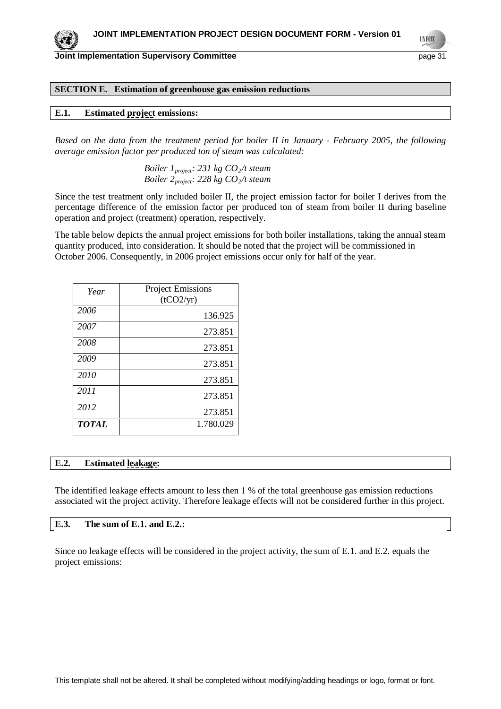#### **Joint Implementation Supervisory Committee Access 21 Access 21 Access 21 Access 21 Access 21 Access 21 Access** 21

**INFO** 

#### **SECTION E. Estimation of greenhouse gas emission reductions**

#### **E.1. Estimated project emissions:**

*Based on the data from the treatment period for boiler II in January - February 2005, the following average emission factor per produced ton of steam was calculated:*

> *Boiler 1project: 231 kg CO2 /t steam Boiler 2 project: 228 kg CO2 /t steam*

Since the test treatment only included boiler II, the project emission factor for boiler I derives from the percentage difference of the emission factor per produced ton of steam from boiler II during baseline operation and project (treatment) operation, respectively.

The table below depicts the annual project emissions for both boiler installations, taking the annual steam quantity produced, into consideration. It should be noted that the project will be commissioned in October 2006. Consequently, in 2006 project emissions occur only for half of the year.

| Year         | <b>Project Emissions</b> |
|--------------|--------------------------|
|              | (tCO2/yr)                |
| 2006         | 136.925                  |
| 2007         | 273.851                  |
| 2008         | 273.851                  |
| 2009         | 273.851                  |
| 2010         | 273.851                  |
| 2011         | 273.851                  |
| 2012         | 273.851                  |
| <b>TOTAL</b> | 1.780.029                |

#### **E.2. Estimated leakage:**

The identified leakage effects amount to less then 1 % of the total greenhouse gas emission reductions associated wit the project activity. Therefore leakage effects will not be considered further in this project.

#### **E.3. The sum of E.1. and E.2.:**

Since no leakage effects will be considered in the project activity, the sum of E.1. and E.2. equals the project emissions: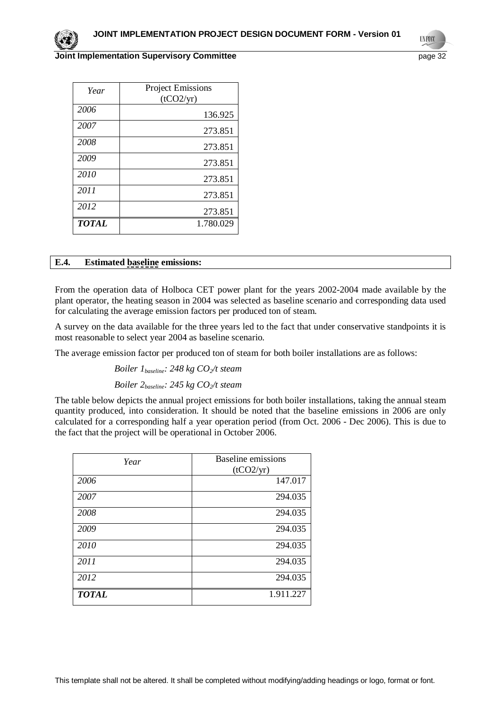**INFO** 

#### **Joint Implementation Supervisory Committee According to the Committee According to the Control of Science According to the Page 32 and According to the Page 32**

| Year         | <b>Project Emissions</b><br>(tCO2/yr) |
|--------------|---------------------------------------|
| 2006         | 136.925                               |
| 2007         | 273.851                               |
| 2008         | 273.851                               |
| 2009         | 273.851                               |
| 2010         | 273.851                               |
| 2011         | 273.851                               |
| 2012         | 273.851                               |
| <b>TOTAL</b> | 1.780.029                             |

#### **E.4. Estimated baseline emissions:**

From the operation data of Holboca CET power plant for the years 2002-2004 made available by the plant operator, the heating season in 2004 was selected as baseline scenario and corresponding data used for calculating the average emission factors per produced ton of steam.

A survey on the data available for the three years led to the fact that under conservative standpoints it is most reasonable to select year 2004 as baseline scenario.

The average emission factor per produced ton of steam for both boiler installations are as follows:

*Boiler 1*<sub>baseline</sub>: 248 kg CO<sub>2</sub>/t steam *Boiler*  $2<sub>baseline</sub>: 245 kg CO<sub>2</sub>/t steam$ 

The table below depicts the annual project emissions for both boiler installations, taking the annual steam quantity produced, into consideration. It should be noted that the baseline emissions in 2006 are only calculated for a corresponding half a year operation period (from Oct. 2006 - Dec 2006). This is due to the fact that the project will be operational in October 2006.

| Year         | Baseline emissions<br>(tCO2/yr) |
|--------------|---------------------------------|
| 2006         | 147.017                         |
| 2007         | 294.035                         |
| 2008         | 294.035                         |
| 2009         | 294.035                         |
| 2010         | 294.035                         |
| 2011         | 294.035                         |
| 2012         | 294.035                         |
| <b>TOTAL</b> | 1.911.227                       |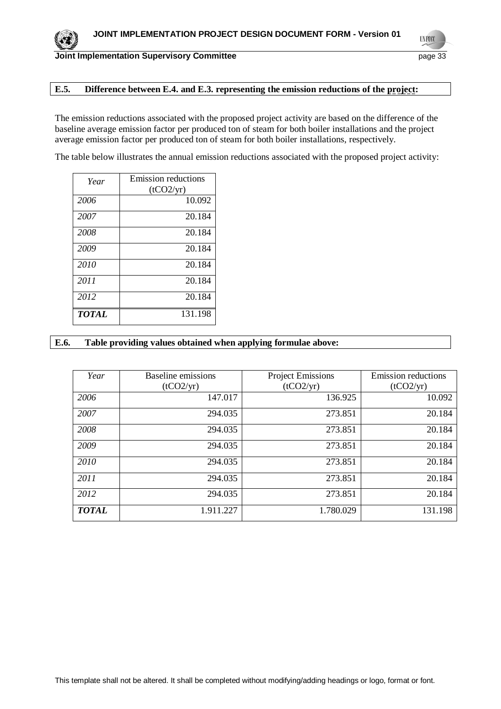#### **E.5. Difference between E.4. and E.3. representing the emission reductions of the project:**

The emission reductions associated with the proposed project activity are based on the difference of the baseline average emission factor per produced ton of steam for both boiler installations and the project average emission factor per produced ton of steam for both boiler installations, respectively.

The table below illustrates the annual emission reductions associated with the proposed project activity:

| Year         | <b>Emission reductions</b><br>(tCO2/yr) |
|--------------|-----------------------------------------|
| 2006         | 10.092                                  |
| 2007         | 20.184                                  |
| 2008         | 20.184                                  |
| 2009         | 20.184                                  |
| 2010         | 20.184                                  |
| 2011         | 20.184                                  |
| 2012         | 20.184                                  |
| <b>TOTAL</b> | 131.198                                 |

#### **E.6. Table providing values obtained when applying formulae above:**

| Year         | <b>Baseline</b> emissions<br>(tCO2/yr) | <b>Project Emissions</b><br>(tCO2/yr) | <b>Emission reductions</b><br>(tCO2/yr) |
|--------------|----------------------------------------|---------------------------------------|-----------------------------------------|
| 2006         | 147.017                                | 136.925                               | 10.092                                  |
| 2007         | 294.035                                | 273.851                               | 20.184                                  |
| 2008         | 294.035                                | 273.851                               | 20.184                                  |
| 2009         | 294.035                                | 273.851                               | 20.184                                  |
| 2010         | 294.035                                | 273.851                               | 20.184                                  |
| 2011         | 294.035                                | 273.851                               | 20.184                                  |
| 2012         | 294.035                                | 273.851                               | 20.184                                  |
| <b>TOTAL</b> | 1.911.227                              | 1.780.029                             | 131.198                                 |

**UNFCC**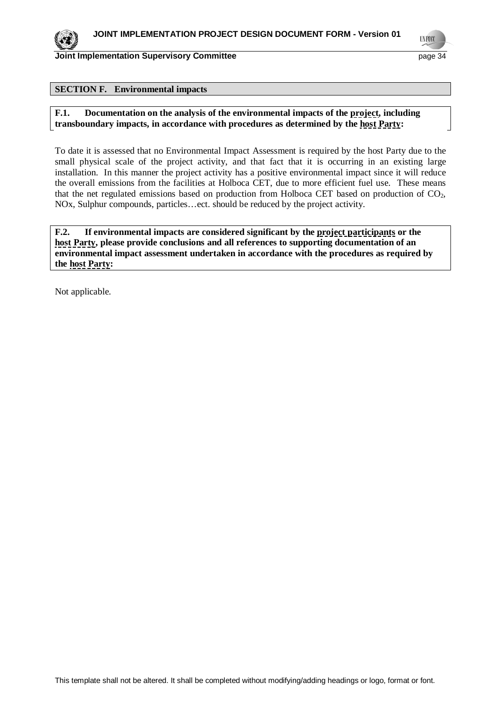

**UNFCC** 

#### **SECTION F. Environmental impacts**

#### **F.1. Documentation on the analysis of the environmental impacts of the project, including transboundary impacts, in accordance with procedures as determined by the host Party:**

To date it is assessed that no Environmental Impact Assessment is required by the host Party due to the small physical scale of the project activity, and that fact that it is occurring in an existing large installation. In this manner the project activity has a positive environmental impact since it will reduce the overall emissions from the facilities at Holboca CET, due to more efficient fuel use. These means that the net regulated emissions based on production from Holboca CET based on production of  $CO<sub>2</sub>$ , NOx, Sulphur compounds, particles…ect. should be reduced by the project activity.

**F.2. If environmental impacts are considered significant by the project participants or the host Party, please provide conclusions and all references to supporting documentation of an environmental impact assessment undertaken in accordance with the procedures as required by the host Party:**

Not applicable.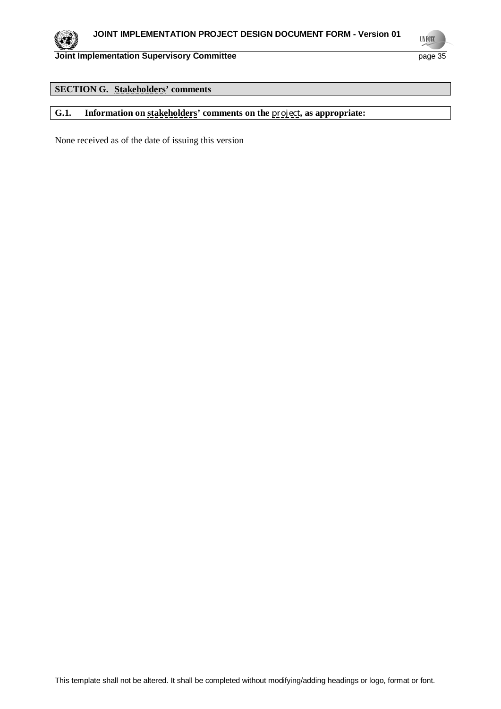**UNFCCC** 

#### **SECTION G. Stakeholders' comments**

#### **G.1. Information on stakeholders' comments on the** pr oject**, as appropriate:**

None received as of the date of issuing this version

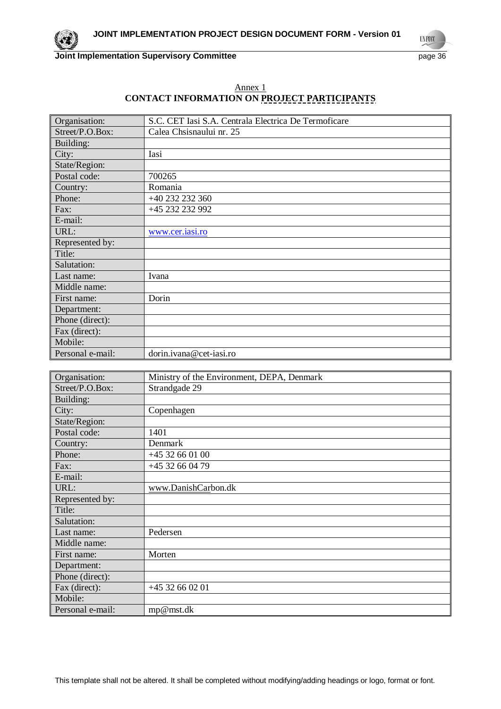| Organisation:    | S.C. CET Iasi S.A. Centrala Electrica De Termoficare |
|------------------|------------------------------------------------------|
| Street/P.O.Box:  | Calea Chsisnaului nr. 25                             |
| Building:        |                                                      |
| City:            | Iasi                                                 |
| State/Region:    |                                                      |
| Postal code:     | 700265                                               |
| Country:         | Romania                                              |
| Phone:           | +40 232 232 360                                      |
| Fax:             | +45 232 232 992                                      |
| E-mail:          |                                                      |
| URL:             | www.cer.iasi.ro                                      |
| Represented by:  |                                                      |
| Title:           |                                                      |
| Salutation:      |                                                      |
| Last name:       | Ivana                                                |
| Middle name:     |                                                      |
| First name:      | Dorin                                                |
| Department:      |                                                      |
| Phone (direct):  |                                                      |
| Fax (direct):    |                                                      |
| Mobile:          |                                                      |
| Personal e-mail: | dorin.ivana@cet-iasi.ro                              |

#### Annex 1 **CONTACT INFORMATION ON PROJECT PARTICIPANTS**

| Organisation:    | Ministry of the Environment, DEPA, Denmark |
|------------------|--------------------------------------------|
| Street/P.O.Box:  | Strandgade 29                              |
| Building:        |                                            |
| City:            | Copenhagen                                 |
| State/Region:    |                                            |
| Postal code:     | 1401                                       |
| Country:         | Denmark                                    |
| Phone:           | +45 32 66 01 00                            |
| Fax:             | +45 32 66 04 79                            |
| E-mail:          |                                            |
| URL:             | www.DanishCarbon.dk                        |
| Represented by:  |                                            |
| Title:           |                                            |
| Salutation:      |                                            |
| Last name:       | Pedersen                                   |
| Middle name:     |                                            |
| First name:      | Morten                                     |
| Department:      |                                            |
| Phone (direct):  |                                            |
| Fax (direct):    | +45 32 66 02 01                            |
| Mobile:          |                                            |
| Personal e-mail: | mp@mst.dk                                  |

**UNFCCC**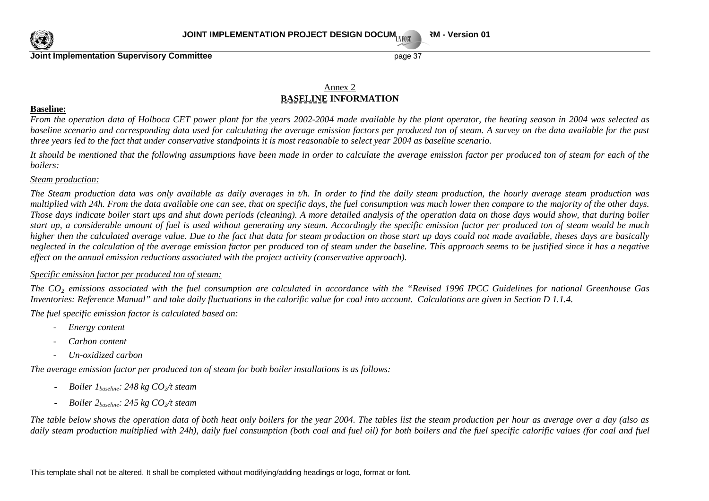

**JOINT IMPLEMENTATION PROJECT DESIGN DOCUM<sub>INPRC</sub> 2M - Version 01** 

**Joint Implementation Supervisory Committee** page 37

#### Annex 2 **BASELINE INFORMATION**

#### **Baseline:**

*From the operation data of Holboca CET power plant for the years 2002-2004 made available by the plant operator, the heating season in 2004 was selected as baseline scenario and corresponding data used for calculating the average emission factors per produced ton of steam. A survey on the data available for the past three years led to the fact that under conservative standpoints it is most reasonable to select year 2004 as baseline scenario.*

*It should be mentioned that the following assumptions have been made in order to calculate the average emission factor per produced ton of steam for each of the boilers:*

#### *Steam production:*

*The Steam production data was only available as daily averages in t/h. In order to find the daily steam production, the hourly average steam production was multiplied with 24h. From the data available one can see, that on specific days, the fuel consumption was much lower then compare to the majority of the other days. Those days indicate boiler start ups and shut down periods (cleaning). A more detailed analysis of the operation data on those days would show, that during boiler start up, a considerable amount of fuel is used without generating any steam. Accordingly the specific emission factor per produced ton of steam would be much higher then the calculated average value. Due to the fact that data for steam production on those start up days could not made available, theses days are basically neglected in the calculation of the average emission factor per produced ton of steam under the baseline. This approach seems to be justified since it has a negative effect on the annual emission reductions associated with the project activity (conservative approach).*

#### *Specific emission factor per produced ton of steam:*

*The CO 2 emissions associated with the fuel consumption are calculated in accordance with the "Revised 1996 IPCC Guidelines for national Greenhouse Gas Inventories: Reference Manual" and take daily fluctuations in the calorific value for coal into account. Calculations are given in Section D 1.1.4.* 

*The fuel specific emission factor is calculated based on:*

- *Energy content*
- *Carbon content*
- *Un-oxidized carbon*

*The average emission factor per produced ton of steam for both boiler installations is as follows:*

- *Boiler 1*<sub>baseline</sub>: 248 kg CO<sub>2</sub>/t steam
- *Boiler*  $2<sub>baseline</sub>: 245 kg CO<sub>2</sub>/t steam$

*The table below shows the operation data of both heat only boilers for the year 2004. The tables list the steam production per hour as average over a day (also as*  daily steam production multiplied with 24h), daily fuel consumption (both coal and fuel oil) for both boilers and the fuel specific calorific values (for coal and fuel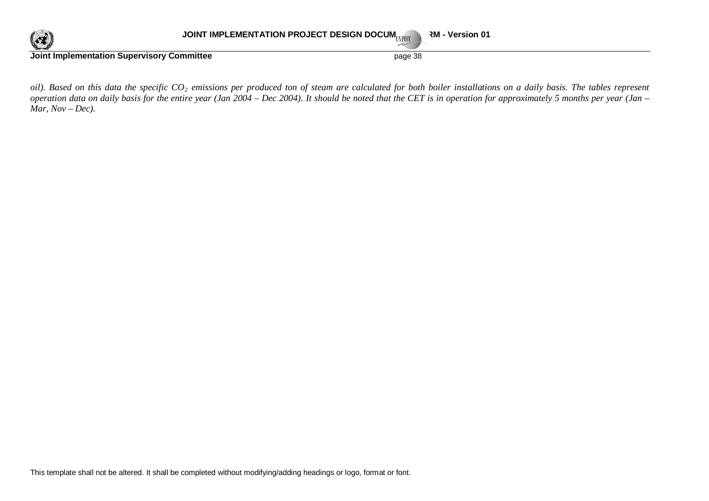

*oil). Based on this data the specific CO2 emissions per produced ton of steam are calculated for both boiler installations on a daily basis. The tables represent operation data on daily basis for the entire year (Jan 2004 – Dec 2004). It should be noted that the CET is in operation for approximately 5 months per year (Jan – Mar, Nov – Dec).*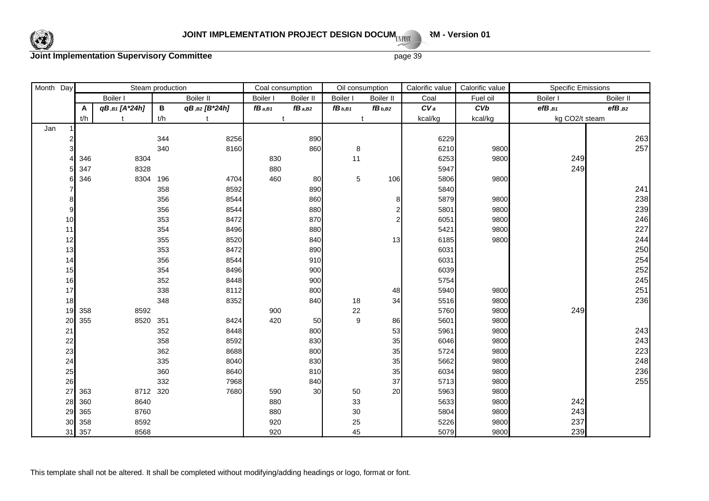

**Joint Implementation Supervisory Committee** page 39

 $\sim$ 

| Month Day |                |        | Steam production |     |                  | Coal consumption |                  | Oil consumption |                  | Calorific value | Calorific value | <b>Specific Emissions</b> |              |
|-----------|----------------|--------|------------------|-----|------------------|------------------|------------------|-----------------|------------------|-----------------|-----------------|---------------------------|--------------|
|           |                |        | Boiler I         |     | <b>Boiler II</b> | <b>Boiler I</b>  | <b>Boiler II</b> | <b>Boiler I</b> | <b>Boiler II</b> | Coal            | Fuel oil        | <b>Boiler I</b>           | Boiler II    |
|           |                | Α      | qB,B1 [A*24h]    | B   | qB, B2 [B*24h]   | $fB$ a,B1        | $fB_{a,B2}$      | $fB_{b,B1}$     | $fB_{b,B2}$      | CVa             | <b>CVb</b>      | efB, B1                   | $efB$ , $B2$ |
|           |                | t/h    |                  | t/h | $\mathbf{t}$     | t                |                  | $\mathsf{t}$    |                  | kcal/kg         | kcal/kg         | kg CO2/t steam            |              |
| Jan       |                |        |                  |     |                  |                  |                  |                 |                  |                 |                 |                           |              |
|           | $\mathbf{2}$   |        |                  | 344 | 8256             |                  | 890              |                 |                  | 6229            |                 |                           | 263          |
|           | 3 <sup>1</sup> |        |                  | 340 | 8160             |                  | 860              | $\,8\,$         |                  | 6210            | 9800            |                           | 257          |
|           | Δ              | 346    | 8304             |     |                  | 830              |                  | 11              |                  | 6253            | 9800            | 249                       |              |
|           | 5              | 347    | 8328             |     |                  | 880              |                  |                 |                  | 5947            |                 | 249                       |              |
|           | 6              | 346    | 8304             | 196 | 4704             | 460              | 80               | $\mathbf 5$     | 106              | 5806            | 9800            |                           |              |
|           |                |        |                  | 358 | 8592             |                  | 890              |                 |                  | 5840            |                 |                           | 241          |
|           | 8              |        |                  | 356 | 8544             |                  | 860              |                 | 8                | 5879            | 9800            |                           | 238          |
|           | 9              |        |                  | 356 | 8544             |                  | 880              |                 | $\overline{c}$   | 5801            | 9800            |                           | 239          |
|           | 10             |        |                  | 353 | 8472             |                  | 870              |                 | $\overline{2}$   | 6051            | 9800            |                           | 246          |
|           | 11             |        |                  | 354 | 8496             |                  | 880              |                 |                  | 5421            | 9800            |                           | 227          |
|           | 12             |        |                  | 355 | 8520             |                  | 840              |                 | 13               | 6185            | 9800            |                           | 244          |
|           | 13             |        |                  | 353 | 8472             |                  | 890              |                 |                  | 6031            |                 |                           | 250          |
|           | 14             |        |                  | 356 | 8544             |                  | 910              |                 |                  | 6031            |                 |                           | 254          |
|           | 15             |        |                  | 354 | 8496             |                  | 900              |                 |                  | 6039            |                 |                           | 252          |
|           | 16             |        |                  | 352 | 8448             |                  | 900              |                 |                  | 5754            |                 |                           | 245          |
|           | 17             |        |                  | 338 | 8112             |                  | 800              |                 | 48               | 5940            | 9800            |                           | 251          |
|           | 18             |        |                  | 348 | 8352             |                  | 840              | 18              | 34               | 5516            | 9800            |                           | 236          |
|           | 19             | 358    | 8592             |     |                  | 900              |                  | 22              |                  | 5760            | 9800            | 249                       |              |
|           | 20             | 355    | 8520             | 351 | 8424             | 420              | 50               | 9               | 86               | 5601            | 9800            |                           |              |
|           | 21             |        |                  | 352 | 8448             |                  | 800              |                 | 53               | 5961            | 9800            |                           | 243          |
|           | 22             |        |                  | 358 | 8592             |                  | 830              |                 | 35               | 6046            | 9800            |                           | 243          |
|           | 23             |        |                  | 362 | 8688             |                  | 800              |                 | 35               | 5724            | 9800            |                           | 223          |
|           | 24             |        |                  | 335 | 8040             |                  | 830              |                 | 35               | 5662            | 9800            |                           | 248          |
|           | 25             |        |                  | 360 | 8640             |                  | 810              |                 | 35               | 6034            | 9800            |                           | 236          |
|           | 26             |        |                  | 332 | 7968             |                  | 840              |                 | 37               | 5713            | 9800            |                           | 255          |
|           | 27             | 363    | 8712 320         |     | 7680             | 590              | 30               | 50              | 20               | 5963            | 9800            |                           |              |
|           | 28             | 360    | 8640             |     |                  | 880              |                  | 33              |                  | 5633            | 9800            | 242                       |              |
|           | 29             | 365    | 8760             |     |                  | 880              |                  | 30              |                  | 5804            | 9800            | 243                       |              |
|           | 30             | 358    | 8592             |     |                  | 920              |                  | 25              |                  | 5226            | 9800            | 237                       |              |
|           |                | 31 357 | 8568             |     |                  | 920              |                  | 45              |                  | 5079            | 9800            | 239                       |              |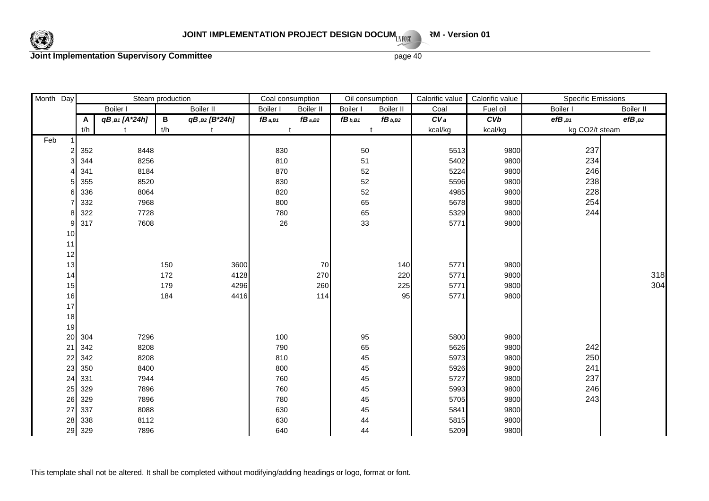

| Month Day       |        | Steam production |     |               | Coal consumption |                  | Oil consumption |             | Calorific value | Calorific value | <b>Specific Emissions</b> |              |
|-----------------|--------|------------------|-----|---------------|------------------|------------------|-----------------|-------------|-----------------|-----------------|---------------------------|--------------|
|                 |        | Boiler I         |     | Boiler II     | Boiler I         | <b>Boiler II</b> | Boiler I        | Boiler II   | Coal            | Fuel oil        | Boiler I                  | Boiler II    |
|                 | A      | qB,B1 [A*24h]    | В   | qB,B2 [B*24h] | $fB_{a,B1}$      | $fB_{a,B2}$      | $fB_{b,B1}$     | $fB_{b,B2}$ | CVa             | CVD             | efB, B1                   | $efB$ , $B2$ |
|                 | t/h    |                  | t/h |               |                  |                  |                 |             | kcal/kg         | kcal/kg         | kg CO2/t steam            |              |
| Feb             |        |                  |     |               |                  |                  |                 |             |                 |                 |                           |              |
| 2               | 352    | 8448             |     |               | 830              |                  | 50              |             | 5513            | 9800            | 237                       |              |
| 3               | 344    | 8256             |     |               | 810              |                  | 51              |             | 5402            | 9800            | 234                       |              |
|                 | 341    | 8184             |     |               | 870              |                  | 52              |             | 5224            | 9800            | 246                       |              |
| 5               | 355    | 8520             |     |               | 830              |                  | 52              |             | 5596            | 9800            | 238                       |              |
| 61              | 336    | 8064             |     |               | 820              |                  | 52              |             | 4985            | 9800            | 228                       |              |
|                 | 332    | 7968             |     |               | 800              |                  | 65              |             | 5678            | 9800            | 254                       |              |
| 81              | 322    | 7728             |     |               | 780              |                  | 65              |             | 5329            | 9800            | 244                       |              |
| 9               | 317    | 7608             |     |               | 26               |                  | 33              |             | 5771            | 9800            |                           |              |
| 10 <sup>1</sup> |        |                  |     |               |                  |                  |                 |             |                 |                 |                           |              |
| 11              |        |                  |     |               |                  |                  |                 |             |                 |                 |                           |              |
| 12              |        |                  |     |               |                  |                  |                 |             |                 |                 |                           |              |
| 13              |        |                  | 150 | 3600          |                  | 70               |                 | 140         | 5771            | 9800            |                           |              |
| 14              |        |                  | 172 | 4128          |                  | 270              |                 | 220         | 5771            | 9800            |                           | 318          |
| 15              |        |                  | 179 | 4296          |                  | 260              |                 | 225         | 5771            | 9800            |                           | 304          |
| 16              |        |                  | 184 | 4416          |                  | 114              |                 | 95          | 5771            | 9800            |                           |              |
| 17              |        |                  |     |               |                  |                  |                 |             |                 |                 |                           |              |
| 18              |        |                  |     |               |                  |                  |                 |             |                 |                 |                           |              |
| 19              |        |                  |     |               |                  |                  |                 |             |                 |                 |                           |              |
| 20              | 304    | 7296             |     |               | 100              |                  | 95              |             | 5800            | 9800            |                           |              |
| 21              | 342    | 8208             |     |               | 790              |                  | 65              |             | 5626            | 9800            | 242                       |              |
| 22              | 342    | 8208             |     |               | 810              |                  | 45              |             | 5973            | 9800            | 250                       |              |
| 23              | 350    | 8400             |     |               | 800              |                  | 45              |             | 5926            | 9800            | 241                       |              |
| 24              | 331    | 7944             |     |               | 760              |                  | 45              |             | 5727            | 9800            | 237                       |              |
| 25              | 329    | 7896             |     |               | 760              |                  | 45              |             | 5993            | 9800            | 246                       |              |
| 26              | 329    | 7896             |     |               | 780              |                  | 45              |             | 5705            | 9800            | 243                       |              |
| 27              | 337    | 8088             |     |               | 630              |                  | 45              |             | 5841            | 9800            |                           |              |
| 28              | 338    | 8112             |     |               | 630              |                  | 44              |             | 5815            | 9800            |                           |              |
|                 | 29 329 | 7896             |     |               | 640              |                  | 44              |             | 5209            | 9800            |                           |              |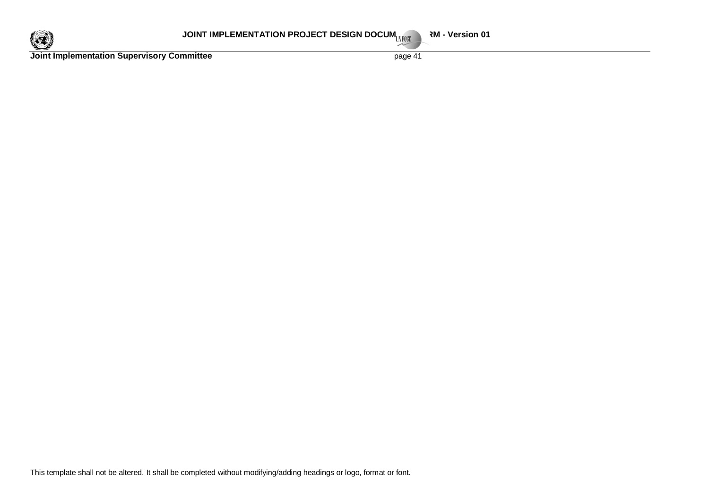

**Joint Implementation Supervisory Committee** page 41

 $\sim$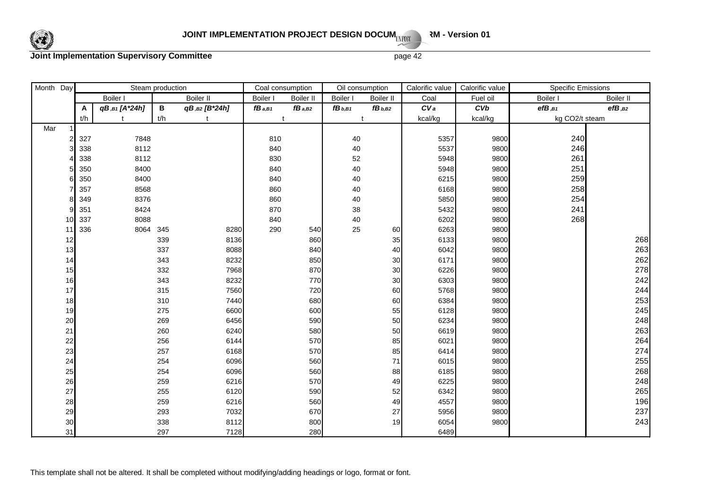

# **JOINT IMPLEMENTATION PROJECT DESIGN DOCUMENT ROW ROOF ROUGHT ROW PROJECT OF REAL PROPERTY ROLL PROPERTY AND RE**

**Joint Implementation Supervisory Committee** page 42

| Month Day |    |     | Steam production |     |                | Coal consumption     |             | Oil consumption |             | Calorific value | Calorific value | <b>Specific Emissions</b> |           |
|-----------|----|-----|------------------|-----|----------------|----------------------|-------------|-----------------|-------------|-----------------|-----------------|---------------------------|-----------|
|           |    |     | Boiler I         |     | Boiler II      | Boiler I             | Boiler II   | Boiler I        | Boiler II   | Coal            | Fuel oil        | Boiler I                  | Boiler II |
|           |    | A   | qB,B1 [A*24h]    | B   | qB, B2 [B*24h] | $fB$ <sub>a,B1</sub> | $fB_{a,B2}$ | $fB_{b,B1}$     | $fB_{b,B2}$ | CVa             | <b>CVb</b>      | efB, B1                   | $efB$ ,в2 |
|           |    | t/h |                  | t/h |                | t                    |             |                 |             | kcal/kg         | kcal/kg         | kg CO2/t steam            |           |
| Mar       |    |     |                  |     |                |                      |             |                 |             |                 |                 |                           |           |
|           |    | 327 | 7848             |     |                | 810                  |             | 40              |             | 5357            | 9800            | 240                       |           |
|           |    | 338 | 8112             |     |                | 840                  |             | 40              |             | 5537            | 9800            | 246                       |           |
|           |    | 338 | 8112             |     |                | 830                  |             | 52              |             | 5948            | 9800            | 261                       |           |
|           |    | 350 | 8400             |     |                | 840                  |             | 40              |             | 5948            | 9800            | 251                       |           |
|           |    | 350 | 8400             |     |                | 840                  |             | 40              |             | 6215            | 9800            | 259                       |           |
|           |    | 357 | 8568             |     |                | 860                  |             | 40              |             | 6168            | 9800            | 258                       |           |
|           |    | 349 | 8376             |     |                | 860                  |             | 40              |             | 5850            | 9800            | 254                       |           |
|           | 9  | 351 | 8424             |     |                | 870                  |             | 38              |             | 5432            | 9800            | 241                       |           |
|           | 10 | 337 | 8088             |     |                | 840                  |             | 40              |             | 6202            | 9800            | 268                       |           |
|           | 11 | 336 | 8064 345         |     | 8280           | 290                  | 540         | 25              | 60          | 6263            | 9800            |                           |           |
|           | 12 |     |                  | 339 | 8136           |                      | 860         |                 | 35          | 6133            | 9800            |                           | 268       |
|           | 13 |     |                  | 337 | 8088           |                      | 840         |                 | 40          | 6042            | 9800            |                           | 263       |
|           | 14 |     |                  | 343 | 8232           |                      | 850         |                 | 30          | 6171            | 9800            |                           | 262       |
|           | 15 |     |                  | 332 | 7968           |                      | 870         |                 | 30          | 6226            | 9800            |                           | 278       |
|           | 16 |     |                  | 343 | 8232           |                      | 770         |                 | 30          | 6303            | 9800            |                           | 242       |
|           | 17 |     |                  | 315 | 7560           |                      | 720         |                 | 60          | 5768            | 9800            |                           | 244       |
|           | 18 |     |                  | 310 | 7440           |                      | 680         |                 | 60          | 6384            | 9800            |                           | 253       |
|           | 19 |     |                  | 275 | 6600           |                      | 600         |                 | 55          | 6128            | 9800            |                           | 245       |
|           | 20 |     |                  | 269 | 6456           |                      | 590         |                 | 50          | 6234            | 9800            |                           | 248       |
|           | 21 |     |                  | 260 | 6240           |                      | 580         |                 | 50          | 6619            | 9800            |                           | 263       |
|           | 22 |     |                  | 256 | 6144           |                      | 570         |                 | 85          | 6021            | 9800            |                           | 264       |
|           | 23 |     |                  | 257 | 6168           |                      | 570         |                 | 85          | 6414            | 9800            |                           | 274       |
|           | 24 |     |                  | 254 | 6096           |                      | 560         |                 | 71          | 6015            | 9800            |                           | 255       |
|           | 25 |     |                  | 254 | 6096           |                      | 560         |                 | 88          | 6185            | 9800            |                           | 268       |
|           | 26 |     |                  | 259 | 6216           |                      | 570         |                 | 49          | 6225            | 9800            |                           | 248       |
|           | 27 |     |                  | 255 | 6120           |                      | 590         |                 | 52          | 6342            | 9800            |                           | 265       |
|           | 28 |     |                  | 259 | 6216           |                      | 560         |                 | 49          | 4557            | 9800            |                           | 196       |
|           | 29 |     |                  | 293 | 7032           |                      | 670         |                 | 27          | 5956            | 9800            |                           | 237       |
|           | 30 |     |                  | 338 | 8112           |                      | 800         |                 | 19          | 6054            | 9800            |                           | 243       |
|           | 31 |     |                  | 297 | 7128           |                      | 280         |                 |             | 6489            |                 |                           |           |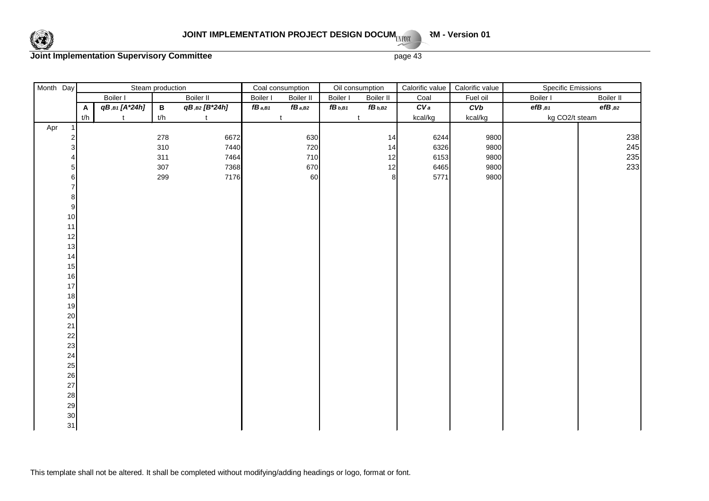

**Joint Implementation Supervisory Committee** page 43

 $\frac{1}{\sqrt{2}}$ 

| Month Day      |                           |               | Steam production |               |             | Coal consumption |             | Oil consumption | Calorific value | Calorific value | <b>Specific Emissions</b> |           |
|----------------|---------------------------|---------------|------------------|---------------|-------------|------------------|-------------|-----------------|-----------------|-----------------|---------------------------|-----------|
|                |                           | Boiler I      |                  | Boiler II     | Boiler I    | Boiler II        | Boiler I    | Boiler II       | Coal            | Fuel oil        | Boiler I                  | Boiler II |
|                | $\boldsymbol{\mathsf{A}}$ | qB,B1 [A*24h] | $\, {\bf B} \,$  | qB,B2 [B*24h] | $fB_{a,B1}$ | $fB$ а, В2       | $fB_{b,B1}$ | $fB_{b,B2}$     | CVa             | $\textit{CVD}$  | efB, B1                   | $efB$ ,в2 |
|                | t/h                       |               | t/h              | t             |             | $\mathbf{t}$     |             | $\mathbf{t}$    | kcal/kg         | kcal/kg         | kg CO2/t steam            |           |
| Apr<br>-1      |                           |               |                  |               |             |                  |             |                 |                 |                 |                           |           |
| $\mathbf{2}$   |                           |               | 278              | 6672          |             | 630              |             | 14              | 6244            | 9800            |                           | 238       |
| $\overline{3}$ |                           |               | 310              | 7440          |             | 720              |             | 14              | 6326            | 9800            |                           | 245       |
| 4              |                           |               | 311              | 7464          |             | 710              |             | 12              | 6153            | 9800            |                           | 235       |
| 5 <sup>1</sup> |                           |               | 307              | 7368          |             | 670              |             | 12              | 6465            | 9800            |                           | 233       |
| $6 \mid$       |                           |               | 299              | 7176          |             | 60               |             | 8 <sup>8</sup>  | 5771            | 9800            |                           |           |
| $\overline{7}$ |                           |               |                  |               |             |                  |             |                 |                 |                 |                           |           |
| 8              |                           |               |                  |               |             |                  |             |                 |                 |                 |                           |           |
| 9              |                           |               |                  |               |             |                  |             |                 |                 |                 |                           |           |
| 10             |                           |               |                  |               |             |                  |             |                 |                 |                 |                           |           |
| 11             |                           |               |                  |               |             |                  |             |                 |                 |                 |                           |           |
| 12             |                           |               |                  |               |             |                  |             |                 |                 |                 |                           |           |
| 13             |                           |               |                  |               |             |                  |             |                 |                 |                 |                           |           |
| 14             |                           |               |                  |               |             |                  |             |                 |                 |                 |                           |           |
| 15             |                           |               |                  |               |             |                  |             |                 |                 |                 |                           |           |
| 16             |                           |               |                  |               |             |                  |             |                 |                 |                 |                           |           |
| 17             |                           |               |                  |               |             |                  |             |                 |                 |                 |                           |           |
| 18             |                           |               |                  |               |             |                  |             |                 |                 |                 |                           |           |
| 19             |                           |               |                  |               |             |                  |             |                 |                 |                 |                           |           |
| 20             |                           |               |                  |               |             |                  |             |                 |                 |                 |                           |           |
| 21             |                           |               |                  |               |             |                  |             |                 |                 |                 |                           |           |
| 22             |                           |               |                  |               |             |                  |             |                 |                 |                 |                           |           |
| 23             |                           |               |                  |               |             |                  |             |                 |                 |                 |                           |           |
| 24             |                           |               |                  |               |             |                  |             |                 |                 |                 |                           |           |
| 25             |                           |               |                  |               |             |                  |             |                 |                 |                 |                           |           |
| 26             |                           |               |                  |               |             |                  |             |                 |                 |                 |                           |           |
| $27\,$         |                           |               |                  |               |             |                  |             |                 |                 |                 |                           |           |
| 28             |                           |               |                  |               |             |                  |             |                 |                 |                 |                           |           |
| $29\,$         |                           |               |                  |               |             |                  |             |                 |                 |                 |                           |           |
| $30\,$         |                           |               |                  |               |             |                  |             |                 |                 |                 |                           |           |
| 31             |                           |               |                  |               |             |                  |             |                 |                 |                 |                           |           |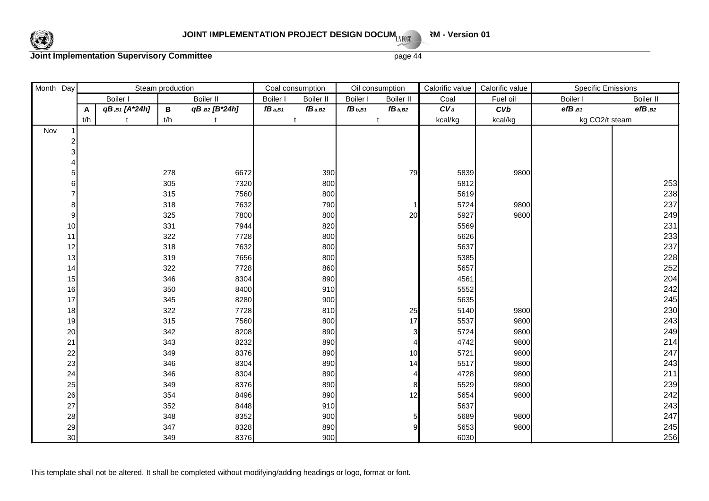

**Joint Implementation Supervisory Committee** page 44

 $\sim$ 

| Month Day               |     | Steam production |     |                  |                      | Coal consumption     |             | Oil consumption | Calorific value | Calorific value | <b>Specific Emissions</b> |                  |
|-------------------------|-----|------------------|-----|------------------|----------------------|----------------------|-------------|-----------------|-----------------|-----------------|---------------------------|------------------|
|                         |     | <b>Boiler I</b>  |     | <b>Boiler II</b> | Boiler I             | <b>Boiler II</b>     | Boiler I    | Boiler II       | Coal            | Fuel oil        | Boiler I                  | <b>Boiler II</b> |
|                         | A   | qB,B1 [A*24h]    | В   | qB, B2 [B*24h]   | $fB$ <sub>a,B1</sub> | $fB$ <sub>a,B2</sub> | $fB_{b,B1}$ | $fB_{b,B2}$     | CVa             | CVD             | efB, B1                   | $efB$ , $B2$     |
|                         | t/h |                  | t/h |                  |                      |                      |             |                 | kcal/kg         | kcal/kg         | kg CO2/t steam            |                  |
| Nov                     |     |                  |     |                  |                      |                      |             |                 |                 |                 |                           |                  |
| $\mathbf{2}$            |     |                  |     |                  |                      |                      |             |                 |                 |                 |                           |                  |
| $\overline{\mathbf{3}}$ |     |                  |     |                  |                      |                      |             |                 |                 |                 |                           |                  |
| 4                       |     |                  |     |                  |                      |                      |             |                 |                 |                 |                           |                  |
| 5 <sub>5</sub>          |     |                  | 278 | 6672             |                      | 390                  |             | 79              | 5839            | 9800            |                           |                  |
| $6 \mid$                |     |                  | 305 | 7320             |                      | 800                  |             |                 | 5812            |                 |                           | 253              |
| $\overline{7}$          |     |                  | 315 | 7560             |                      | 800                  |             |                 | 5619            |                 |                           | 238              |
| 8                       |     |                  | 318 | 7632             |                      | 790                  |             | -1              | 5724            | 9800            |                           | 237              |
| 9                       |     |                  | 325 | 7800             |                      | 800                  |             | 20              | 5927            | 9800            |                           | 249              |
| 10                      |     |                  | 331 | 7944             |                      | 820                  |             |                 | 5569            |                 |                           | 231              |
| 11                      |     |                  | 322 | 7728             |                      | 800                  |             |                 | 5626            |                 |                           | 233              |
| 12                      |     |                  | 318 | 7632             |                      | 800                  |             |                 | 5637            |                 |                           | 237              |
| 13                      |     |                  | 319 | 7656             |                      | 800                  |             |                 | 5385            |                 |                           | 228              |
| 14                      |     |                  | 322 | 7728             |                      | 860                  |             |                 | 5657            |                 |                           | 252              |
| 15                      |     |                  | 346 | 8304             |                      | 890                  |             |                 | 4561            |                 |                           | 204              |
| 16                      |     |                  | 350 | 8400             |                      | 910                  |             |                 | 5552            |                 |                           | 242              |
| 17                      |     |                  | 345 | 8280             |                      | 900                  |             |                 | 5635            |                 |                           | 245              |
| 18                      |     |                  | 322 | 7728             |                      | 810                  |             | 25              | 5140            | 9800            |                           | 230              |
| 19                      |     |                  | 315 | 7560             |                      | 800                  |             | 17              | 5537            | 9800            |                           | 243              |
| 20                      |     |                  | 342 | 8208             |                      | 890                  |             | 3               | 5724            | 9800            |                           | 249              |
| 21                      |     |                  | 343 | 8232             |                      | 890                  |             | 4               | 4742            | 9800            |                           | 214              |
| 22                      |     |                  | 349 | 8376             |                      | 890                  |             | 10              | 5721            | 9800            |                           | 247              |
| 23                      |     |                  | 346 | 8304             |                      | 890                  |             | 14              | 5517            | 9800            |                           | 243              |
| 24                      |     |                  | 346 | 8304             |                      | 890                  |             | 4               | 4728            | 9800            |                           | 211              |
| 25                      |     |                  | 349 | 8376             |                      | 890                  |             | 8               | 5529            | 9800            |                           | 239              |
| 26                      |     |                  | 354 | 8496             |                      | 890                  |             | 12              | 5654            | 9800            |                           | 242              |
| 27                      |     |                  | 352 | 8448             |                      | 910                  |             |                 | 5637            |                 |                           | 243              |
| 28                      |     |                  | 348 | 8352             |                      | 900                  |             | 5               | 5689            | 9800            |                           | 247              |
| 29                      |     |                  | 347 | 8328             |                      | 890                  |             | $\mathbf 9$     | 5653            | 9800            |                           | 245              |
| 30 <sub>o</sub>         |     |                  | 349 | 8376             |                      | 900                  |             |                 | 6030            |                 |                           | 256              |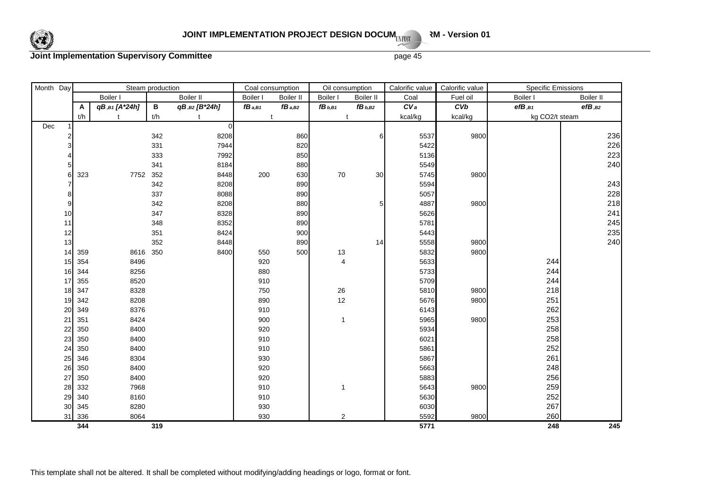

**Joint Implementation Supervisory Committee** page 45

 $\sim$ 

| Month Day |                 |            | Steam production |     |                | Coal consumption   |                  | Oil consumption |                  | Calorific value | Calorific value | <b>Specific Emissions</b> |              |
|-----------|-----------------|------------|------------------|-----|----------------|--------------------|------------------|-----------------|------------------|-----------------|-----------------|---------------------------|--------------|
|           |                 |            | Boiler I         |     | Boiler II      | Boiler I           | <b>Boiler II</b> | Boiler I        | <b>Boiler II</b> | Coal            | Fuel oil        | Boiler I                  | Boiler II    |
|           |                 | Α          | qB, B1 [A*24h]   | В   | qB, B2 [B*24h] | fB <sub>a,B1</sub> | $fB_{a,B2}$      | $fB_{b,B1}$     | $fB_{b,B2}$      | CVa             | CVb             | efB, B1                   | $efB$ , $B2$ |
|           |                 | t/h        | t                | t/h | t              | $\mathbf{t}$       |                  | t               |                  | kcal/kg         | kcal/kg         | kg CO2/t steam            |              |
| Dec       |                 |            |                  |     | $\mathbf 0$    |                    |                  |                 |                  |                 |                 |                           |              |
|           |                 |            |                  | 342 | 8208           |                    | 860              |                 | 6                | 5537            | 9800            |                           | 236          |
|           | 3               |            |                  | 331 | 7944           |                    | 820              |                 |                  | 5422            |                 |                           | 226          |
|           |                 |            |                  | 333 | 7992           |                    | 850              |                 |                  | 5136            |                 |                           | 223          |
|           | 5 <sup>1</sup>  |            |                  | 341 | 8184           |                    | 880              |                 |                  | 5549            |                 |                           | 240          |
|           | 6               | 323        | 7752 352         |     | 8448           | 200                | 630              | $70\,$          | 30               | 5745            | 9800            |                           |              |
|           | 7               |            |                  | 342 | 8208           |                    | 890              |                 |                  | 5594            |                 |                           | 243          |
|           | 8               |            |                  | 337 | 8088           |                    | 890              |                 |                  | 5057            |                 |                           | 228          |
|           | 9 <sub>l</sub>  |            |                  | 342 | 8208           |                    | 880              |                 | 5                | 4887            | 9800            |                           | 218          |
|           | 10 <sup>1</sup> |            |                  | 347 | 8328           |                    | 890              |                 |                  | 5626            |                 |                           | 241          |
|           | 11              |            |                  | 348 | 8352           |                    | 890              |                 |                  | 5781            |                 |                           | 245          |
|           | 12              |            |                  | 351 | 8424           |                    | 900              |                 |                  | 5443            |                 |                           | 235          |
|           | 13              |            |                  | 352 | 8448           |                    | 890              |                 | 14               | 5558            | 9800            |                           | 240          |
|           | 14              | 359        | 8616 350         |     | 8400           | 550                | 500              | 13              |                  | 5832            | 9800            |                           |              |
|           | 15              | 354        | 8496             |     |                | 920                |                  | 4               |                  | 5633            |                 | 244                       |              |
|           | 16              | 344        | 8256             |     |                | 880                |                  |                 |                  | 5733            |                 | 244                       |              |
|           | 17              | 355        | 8520             |     |                | 910                |                  |                 |                  | 5709            |                 | 244                       |              |
|           | 18 <sup>1</sup> | 347        | 8328             |     |                | 750                |                  | 26              |                  | 5810            | 9800            | 218                       |              |
|           | 19              | 342        | 8208             |     |                | 890                |                  | 12              |                  | 5676            | 9800            | 251                       |              |
|           | 20 <sup>1</sup> | 349        | 8376             |     |                | 910                |                  |                 |                  | 6143            |                 | 262                       |              |
|           | 21              | 351        | 8424             |     |                | 900                |                  | $\mathbf{1}$    |                  | 5965            | 9800            | 253                       |              |
|           | 22              | 350        | 8400             |     |                | 920                |                  |                 |                  | 5934            |                 | 258                       |              |
|           | 23              | 350        | 8400             |     |                | 910                |                  |                 |                  | 6021            |                 | 258                       |              |
|           | 24              | 350        | 8400             |     |                | 910                |                  |                 |                  | 5861            |                 | 252<br>261                |              |
|           | 25              | 346        | 8304             |     |                | 930                |                  |                 |                  | 5867            |                 | 248                       |              |
|           | 26<br>27        | 350<br>350 | 8400<br>8400     |     |                | 920<br>920         |                  |                 |                  | 5663<br>5883    |                 | 256                       |              |
|           | 28              | 332        | 7968             |     |                | 910                |                  | 1               |                  | 5643            | 9800            | 259                       |              |
|           | 29              | 340        | 8160             |     |                | 910                |                  |                 |                  | 5630            |                 | 252                       |              |
|           | 30 <sup>1</sup> | 345        | 8280             |     |                | 930                |                  |                 |                  | 6030            |                 | 267                       |              |
|           | 31              | 336        | 8064             |     |                | 930                |                  | 2               |                  | 5592            | 9800            | 260                       |              |
|           |                 | 344        |                  | 319 |                |                    |                  |                 |                  | 5771            |                 | 248                       | 245          |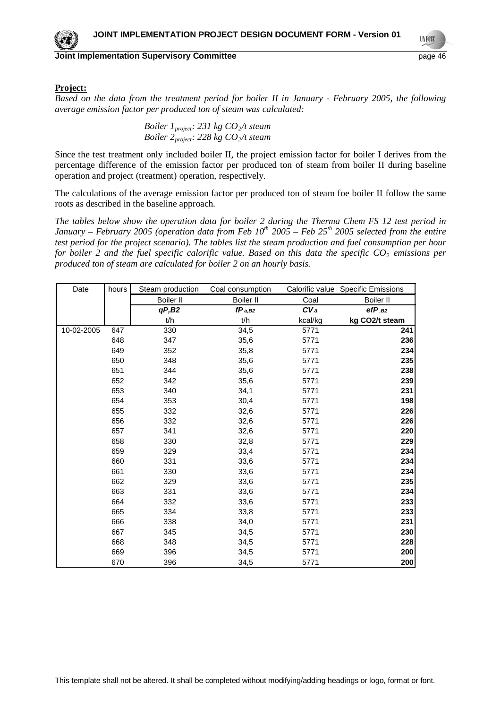**UNFCC** 

#### **Project:**

*Based on the data from the treatment period for boiler II in January - February 2005, the following average emission factor per produced ton of steam was calculated:*

> *Boiler 1project: 231 kg CO2 /t steam Boiler 2 project: 228 kg CO2 /t steam*

Since the test treatment only included boiler II, the project emission factor for boiler I derives from the percentage difference of the emission factor per produced ton of steam from boiler II during baseline operation and project (treatment) operation, respectively.

The calculations of the average emission factor per produced ton of steam foe boiler II follow the same roots as described in the baseline approach.

*The tables below show the operation data for boiler 2 during the Therma Chem FS 12 test period in January – February 2005 (operation data from Feb*  $10^{th}$  *2005 – Feb 25<sup>th</sup> 2005 selected from the entire test period for the project scenario). The tables list the steam production and fuel consumption per hour for boiler* 2 and the fuel specific calorific value. Based on this data the specific  $CO_2$  emissions per *produced ton of steam are calculated for boiler 2 on an hourly basis.* 

| Date       | hours | Steam production | Coal consumption |         | Calorific value Specific Emissions |
|------------|-------|------------------|------------------|---------|------------------------------------|
|            |       | <b>Boiler II</b> | <b>Boiler II</b> | Coal    | <b>Boiler II</b>                   |
|            |       | qP,B2            | $fP_{a,B2}$      | CVa     | $efP$ , $B2$                       |
|            |       | t/h              | t/h              | kcal/kg | kg CO2/t steam                     |
| 10-02-2005 | 647   | 330              | 34,5             | 5771    | 241                                |
|            | 648   | 347              | 35,6             | 5771    | 236                                |
|            | 649   | 352              | 35,8             | 5771    | 234                                |
|            | 650   | 348              | 35,6             | 5771    | 235                                |
|            | 651   | 344              | 35,6             | 5771    | 238                                |
|            | 652   | 342              | 35,6             | 5771    | 239                                |
|            | 653   | 340              | 34,1             | 5771    | 231                                |
|            | 654   | 353              | 30,4             | 5771    | 198                                |
|            | 655   | 332              | 32,6             | 5771    | 226                                |
|            | 656   | 332              | 32,6             | 5771    | 226                                |
|            | 657   | 341              | 32,6             | 5771    | 220                                |
|            | 658   | 330              | 32,8             | 5771    | 229                                |
|            | 659   | 329              | 33,4             | 5771    | 234                                |
|            | 660   | 331              | 33,6             | 5771    | 234                                |
|            | 661   | 330              | 33,6             | 5771    | 234                                |
|            | 662   | 329              | 33,6             | 5771    | 235                                |
|            | 663   | 331              | 33,6             | 5771    | 234                                |
|            | 664   | 332              | 33,6             | 5771    | 233                                |
|            | 665   | 334              | 33,8             | 5771    | 233                                |
|            | 666   | 338              | 34,0             | 5771    | 231                                |
|            | 667   | 345              | 34,5             | 5771    | 230                                |
|            | 668   | 348              | 34,5             | 5771    | 228                                |
|            | 669   | 396              | 34,5             | 5771    | 200                                |
|            | 670   | 396              | 34,5             | 5771    | 200                                |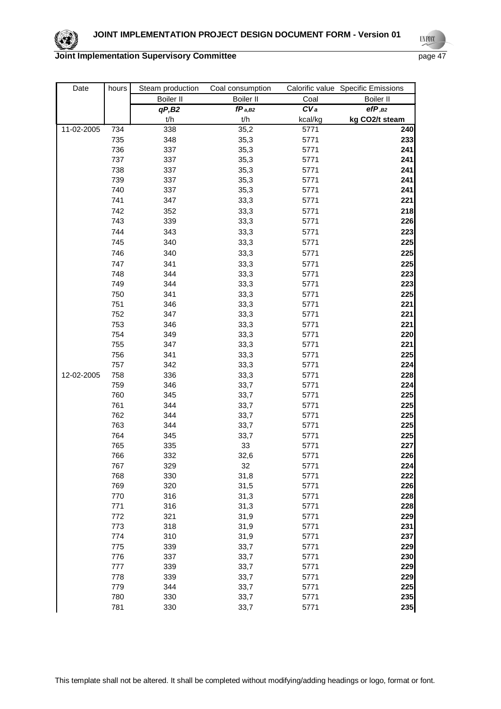| Date       | hours | Steam production | Coal consumption | Calorific value | <b>Specific Emissions</b> |
|------------|-------|------------------|------------------|-----------------|---------------------------|
|            |       | <b>Boiler II</b> | Boiler II        | Coal            | <b>Boiler II</b>          |
|            |       | qP,B2            | $fP_{a,B2}$      | CVa             | $efP$ , $B2$              |
|            |       | t/h              | t/h              | kcal/kg         | kg CO2/t steam            |
| 11-02-2005 | 734   | 338              | 35,2             | 5771            | 240                       |
|            | 735   | 348              | 35,3             | 5771            | 233                       |
|            | 736   | 337              | 35,3             | 5771            | 241                       |
|            | 737   | 337              | 35,3             | 5771            | 241                       |
|            | 738   | 337              | 35,3             | 5771            | 241                       |
|            | 739   | 337              | 35,3             | 5771            | 241                       |
|            | 740   | 337              | 35,3             | 5771            | 241                       |
|            | 741   | 347              | 33,3             | 5771            | 221                       |
|            | 742   | 352              | 33,3             | 5771            | 218                       |
|            | 743   | 339              | 33,3             | 5771            | 226                       |
|            | 744   | 343              | 33,3             | 5771            | 223                       |
|            | 745   | 340              | 33,3             | 5771            | 225                       |
|            | 746   | 340              | 33,3             | 5771            | 225                       |
|            | 747   | 341              | 33,3             | 5771            | 225                       |
|            | 748   | 344              | 33,3             | 5771            | 223                       |
|            | 749   | 344              | 33,3             | 5771            | 223                       |
|            | 750   | 341              | 33,3             | 5771            | 225                       |
|            | 751   | 346              | 33,3             | 5771            | 221                       |
|            | 752   | 347              | 33,3             | 5771            | 221                       |
|            | 753   | 346              | 33,3             | 5771            | 221                       |
|            | 754   | 349              | 33,3             | 5771            | 220                       |
|            | 755   | 347              | 33,3             | 5771            | 221                       |
|            | 756   | 341              | 33,3             | 5771            | 225                       |
|            | 757   | 342              | 33,3             | 5771            | 224                       |
| 12-02-2005 | 758   | 336              | 33,3             | 5771            | 228                       |
|            | 759   | 346              | 33,7             | 5771            | 224                       |
|            | 760   | 345              | 33,7             | 5771            | 225                       |
|            | 761   | 344              | 33,7             | 5771            | 225                       |
|            | 762   | 344              | 33,7             | 5771            | 225                       |
|            | 763   | 344              | 33,7             | 5771            | 225                       |
|            | 764   | 345              | 33,7             | 5771            | 225                       |
|            | 765   | 335              | 33               | 5771            | 227                       |
|            | 766   | 332              | 32,6             | 5771            | 226                       |
|            | 767   | 329              | 32               | 5771            | 224                       |
|            | 768   | 330              | 31,8             | 5771            | 222                       |
|            | 769   | 320              | 31,5             | 5771            | 226                       |
|            | 770   | 316              | 31,3             | 5771            | 228                       |
|            | 771   | 316              | 31,3             | 5771            | 228                       |
|            | 772   | 321              | 31,9             | 5771            | 229                       |
|            | 773   | 318              | 31,9             | 5771            | 231                       |
|            | 774   | 310              | 31,9             | 5771            | 237                       |
|            | 775   | 339              | 33,7             | 5771            | 229                       |
|            | 776   | 337              | 33,7             | 5771            | 230                       |
|            | 777   | 339              | 33,7             | 5771            | 229                       |
|            | 778   | 339              | 33,7             | 5771            | 229                       |
|            | 779   | 344              | 33,7             | 5771            | 225                       |
|            | 780   | 330              | 33,7             | 5771            | 235                       |
|            | 781   | 330              | 33,7             | 5771            | 235                       |

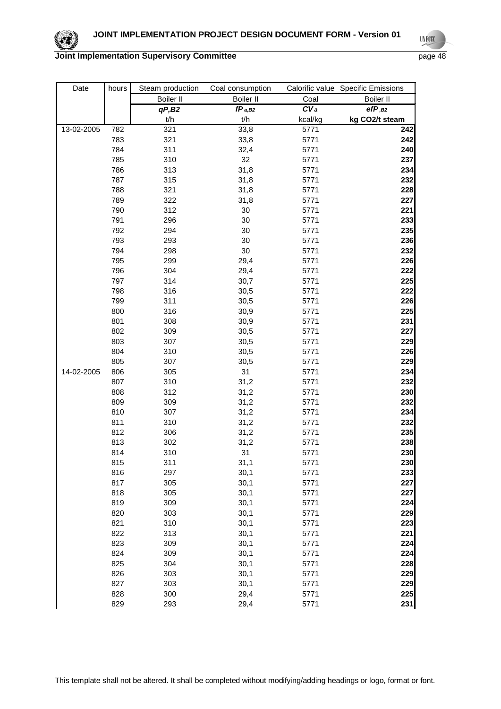| Date       | hours | Steam production | Coal consumption | Calorific value | <b>Specific Emissions</b> |
|------------|-------|------------------|------------------|-----------------|---------------------------|
|            |       | <b>Boiler II</b> | <b>Boiler II</b> | Coal            | <b>Boiler II</b>          |
|            |       | qP,B2            | $fP_{a,B2}$      | CVa             | $efP$ , $B2$              |
|            |       | t/h              | t/h              | kcal/kg         | kg CO2/t steam            |
| 13-02-2005 | 782   | 321              | 33,8             | 5771            | 242                       |
|            | 783   | 321              | 33,8             | 5771            | 242                       |
|            | 784   | 311              | 32,4             | 5771            | 240                       |
|            | 785   | 310              | 32               | 5771            | 237                       |
|            | 786   | 313              | 31,8             | 5771            | 234                       |
|            | 787   | 315              | 31,8             | 5771            | 232                       |
|            | 788   | 321              | 31,8             | 5771            | 228                       |
|            | 789   | 322              | 31,8             | 5771            | 227                       |
|            | 790   | 312              | $30\,$           | 5771            | 221                       |
|            | 791   | 296              | $30\,$           | 5771            | 233                       |
|            | 792   | 294              | $30\,$           | 5771            | 235                       |
|            | 793   | 293              | $30\,$           | 5771            | 236                       |
|            | 794   | 298              | 30               | 5771            | 232                       |
|            | 795   | 299              | 29,4             | 5771            | 226                       |
|            | 796   | 304              | 29,4             | 5771            | 222                       |
|            | 797   | 314              | 30,7             | 5771            | 225                       |
|            | 798   | 316              | 30,5             | 5771            | 222                       |
|            | 799   | 311              | 30,5             | 5771            | 226                       |
|            | 800   | 316              | 30,9             | 5771            | 225                       |
|            | 801   | 308              | 30,9             | 5771            | 231                       |
|            | 802   | 309              | 30,5             | 5771            | 227                       |
|            | 803   | 307              | 30,5             | 5771            | 229                       |
|            | 804   | 310              | 30,5             | 5771            | 226                       |
|            | 805   | 307              | 30,5             | 5771            | 229                       |
| 14-02-2005 | 806   | 305              | 31               | 5771            | 234                       |
|            | 807   | 310              | 31,2             | 5771            | 232                       |
|            | 808   | 312              | 31,2             | 5771            | 230                       |
|            | 809   | 309              | 31,2             | 5771            | 232                       |
|            | 810   | 307              | 31,2             | 5771            | 234                       |
|            | 811   | 310              | 31,2             | 5771            | 232                       |
|            | 812   | 306              | 31,2             | 5771            | 235                       |
|            | 813   | 302              | 31,2             | 5771            | 238                       |
|            | 814   | 310              | 31               | 5771            | 230                       |
|            | 815   | 311              | 31,1             | 5771            | 230                       |
|            | 816   | 297              | 30,1             | 5771            | 233                       |
|            | 817   | 305              | 30,1             | 5771            | 227                       |
|            | 818   | 305              | 30,1             | 5771            | 227                       |
|            | 819   | 309              | 30,1             | 5771            | 224                       |
|            | 820   | 303              | 30,1             | 5771            | 229                       |
|            | 821   | 310              | 30,1             | 5771            | 223                       |
|            | 822   | 313              | 30,1             | 5771            | 221                       |
|            | 823   | 309              | 30,1             | 5771            | 224                       |
|            | 824   | 309              | 30,1             | 5771            | 224                       |
|            | 825   | 304              | 30,1             | 5771            | 228                       |
|            | 826   | 303              | 30,1             | 5771            | 229                       |
|            | 827   | 303              | 30,1             | 5771            | 229                       |
|            | 828   | 300              | 29,4             | 5771            | 225                       |
|            | 829   | 293              | 29,4             | 5771            | 231                       |

**UNFCCC**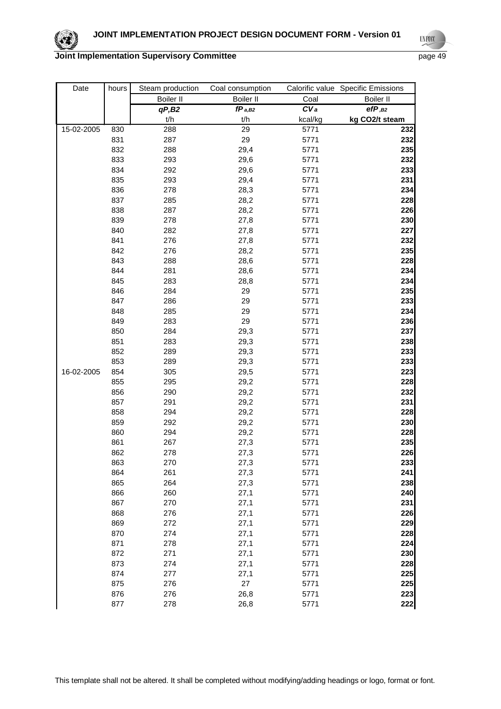| Date       | hours | Steam production | Coal consumption       | Calorific value | <b>Specific Emissions</b> |
|------------|-------|------------------|------------------------|-----------------|---------------------------|
|            |       | <b>Boiler II</b> | <b>Boiler II</b>       | Coal            | <b>Boiler II</b>          |
|            |       | qP,B2            | $\overline{f}P_{a,B2}$ | CVa             | $efP$ , $B2$              |
|            |       | t/h              | t/h                    | kcal/kg         | kg CO2/t steam            |
| 15-02-2005 | 830   | 288              | 29                     | 5771            | 232                       |
|            | 831   | 287              | 29                     | 5771            | 232                       |
|            | 832   | 288              | 29,4                   | 5771            | 235                       |
|            | 833   | 293              | 29,6                   | 5771            | 232                       |
|            | 834   | 292              | 29,6                   | 5771            | 233                       |
|            | 835   | 293              | 29,4                   | 5771            | 231                       |
|            | 836   | 278              | 28,3                   | 5771            | 234                       |
|            | 837   | 285              | 28,2                   | 5771            | 228                       |
|            | 838   | 287              | 28,2                   | 5771            | 226                       |
|            | 839   | 278              | 27,8                   | 5771            | 230                       |
|            | 840   | 282              | 27,8                   | 5771            | 227                       |
|            | 841   | 276              | 27,8                   | 5771            | 232                       |
|            | 842   | 276              | 28,2                   | 5771            | 235                       |
|            | 843   | 288              | 28,6                   | 5771            | 228                       |
|            | 844   | 281              | 28,6                   | 5771            | 234                       |
|            | 845   | 283              | 28,8                   | 5771            | 234                       |
|            | 846   | 284              | 29                     | 5771            | 235                       |
|            | 847   | 286              | 29                     | 5771            | 233                       |
|            | 848   | 285              | 29                     | 5771            | 234                       |
|            | 849   | 283              | 29                     | 5771            | 236                       |
|            | 850   | 284              | 29,3                   | 5771            | 237                       |
|            | 851   | 283              | 29,3                   | 5771            | 238                       |
|            | 852   | 289              | 29,3                   | 5771            | 233                       |
|            | 853   | 289              | 29,3                   | 5771            | 233                       |
| 16-02-2005 | 854   | 305              | 29,5                   | 5771            | 223                       |
|            | 855   | 295              | 29,2                   | 5771            | 228                       |
|            | 856   | 290              | 29,2                   | 5771            | 232                       |
|            | 857   | 291              | 29,2                   | 5771            | 231                       |
|            | 858   | 294              | 29,2                   | 5771            | 228                       |
|            | 859   | 292              | 29,2                   | 5771            | 230                       |
|            | 860   | 294              | 29,2                   | 5771            | 228                       |
|            | 861   | 267              | 27,3                   | 5771            | 235                       |
|            | 862   | 278              | 27,3                   | 5771            | 226                       |
|            | 863   | 270              | 27,3                   | 5771            | 233                       |
|            | 864   | 261              | 27,3                   | 5771            | 241                       |
|            | 865   | 264              | 27,3                   | 5771            | 238                       |
|            | 866   | 260              | 27,1                   | 5771            | 240                       |
|            | 867   | 270              | 27,1                   | 5771            | 231                       |
|            | 868   | 276              | 27,1                   | 5771            | 226                       |
|            | 869   | 272              | 27,1                   | 5771            | 229                       |
|            | 870   | 274              | 27,1                   | 5771            | 228                       |
|            | 871   | 278              | 27,1                   | 5771            | 224                       |
|            | 872   | 271              | 27,1                   | 5771            | 230                       |
|            | 873   | 274              | 27,1                   | 5771            | 228                       |
|            | 874   | 277              | 27,1                   | 5771            | 225                       |
|            | 875   | 276              | $27\,$                 | 5771            | 225                       |
|            | 876   | 276              | 26,8                   | 5771            | 223                       |
|            | 877   | 278              | 26,8                   | 5771            | 222                       |
|            |       |                  |                        |                 |                           |

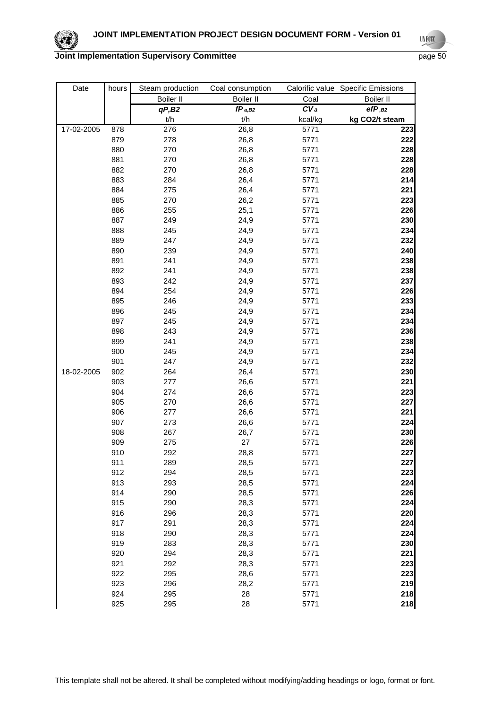| Date       | hours | Steam production | Coal consumption       | Calorific value | <b>Specific Emissions</b> |
|------------|-------|------------------|------------------------|-----------------|---------------------------|
|            |       | <b>Boiler II</b> | <b>Boiler II</b>       | Coal            | <b>Boiler II</b>          |
|            |       | qP,B2            | $\overline{f}P_{a,B2}$ | CVa             | $efP$ , $B2$              |
|            |       | t/h              | t/h                    | kcal/kg         | kg CO2/t steam            |
| 17-02-2005 | 878   | 276              | 26,8                   | 5771            | 223                       |
|            | 879   | 278              | 26,8                   | 5771            | 222                       |
|            | 880   | 270              | 26,8                   | 5771            | 228                       |
|            | 881   | 270              | 26,8                   | 5771            | 228                       |
|            | 882   | 270              | 26,8                   | 5771            | 228                       |
|            | 883   | 284              | 26,4                   | 5771            | 214                       |
|            | 884   | 275              | 26,4                   | 5771            | 221                       |
|            | 885   | 270              | 26,2                   | 5771            | 223                       |
|            | 886   | 255              | 25,1                   | 5771            | 226                       |
|            | 887   | 249              | 24,9                   | 5771            | 230                       |
|            | 888   | 245              | 24,9                   | 5771            | 234                       |
|            | 889   | 247              | 24,9                   | 5771            | 232                       |
|            | 890   | 239              | 24,9                   | 5771            | 240                       |
|            | 891   | 241              | 24,9                   | 5771            | 238                       |
|            | 892   | 241              | 24,9                   | 5771            | 238                       |
|            | 893   | 242              | 24,9                   | 5771            | 237                       |
|            | 894   | 254              | 24,9                   | 5771            | 226                       |
|            | 895   | 246              | 24,9                   | 5771            | 233                       |
|            | 896   | 245              | 24,9                   | 5771            | 234                       |
|            | 897   | 245              | 24,9                   | 5771            | 234                       |
|            | 898   | 243              | 24,9                   | 5771            | 236                       |
|            | 899   | 241              | 24,9                   | 5771            | 238                       |
|            | 900   | 245              | 24,9                   | 5771            | 234                       |
|            | 901   | 247              | 24,9                   | 5771            | 232                       |
| 18-02-2005 | 902   | 264              | 26,4                   | 5771            | 230                       |
|            | 903   | 277              | 26,6                   | 5771            | 221                       |
|            | 904   | 274              | 26,6                   | 5771            | 223                       |
|            | 905   | 270              | 26,6                   | 5771            | 227                       |
|            | 906   | 277              | 26,6                   | 5771            | 221                       |
|            | 907   | 273              | 26,6                   | 5771            | 224                       |
|            | 908   | 267              | 26,7                   | 5771            | 230                       |
|            | 909   | 275              | 27                     | 5771            | 226                       |
|            | 910   | 292              | 28,8                   | 5771            | 227                       |
|            | 911   | 289              | 28,5                   |                 | 227                       |
|            |       |                  |                        | 5771            |                           |
|            | 912   | 294              | 28,5                   | 5771            | 223<br>224                |
|            | 913   | 293              | 28,5                   | 5771            |                           |
|            | 914   | 290              | 28,5                   | 5771            | 226                       |
|            | 915   | 290              | 28,3                   | 5771            | 224                       |
|            | 916   | 296              | 28,3                   | 5771            | 220                       |
|            | 917   | 291              | 28,3                   | 5771            | 224                       |
|            | 918   | 290              | 28,3                   | 5771            | 224                       |
|            | 919   | 283              | 28,3                   | 5771            | 230                       |
|            | 920   | 294              | 28,3                   | 5771            | 221                       |
|            | 921   | 292              | 28,3                   | 5771            | 223                       |
|            | 922   | 295              | 28,6                   | 5771            | 223                       |
|            | 923   | 296              | 28,2                   | 5771            | 219                       |
|            | 924   | 295              | 28                     | 5771            | 218                       |
|            | 925   | 295              | 28                     | 5771            | 218                       |

**UNFCCC**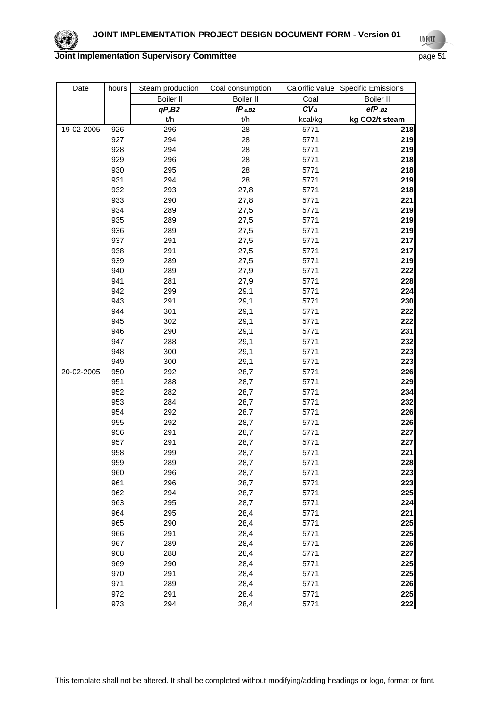| Date       | hours      | Steam production | Coal consumption |              | Calorific value Specific Emissions |
|------------|------------|------------------|------------------|--------------|------------------------------------|
|            |            | <b>Boiler II</b> | <b>Boiler II</b> | Coal         | <b>Boiler II</b>                   |
|            |            | qP,B2            | $fP_{a,B2}$      | CVa          | $efP$ , $B2$                       |
|            |            | t/h              | t/h              | kcal/kg      | kg CO2/t steam                     |
| 19-02-2005 | 926        | 296              | 28               | 5771         | 218                                |
|            | 927        | 294              | 28               | 5771         | 219                                |
|            | 928        | 294              | 28               | 5771         | 219                                |
|            | 929        | 296              | 28               | 5771         | 218                                |
|            | 930        | 295              | 28               | 5771         | 218                                |
|            | 931        | 294              | 28               | 5771         | 219                                |
|            | 932        | 293              | 27,8             | 5771         | 218                                |
|            | 933        | 290              | 27,8             | 5771         | 221                                |
|            | 934        | 289              | 27,5             | 5771         | 219                                |
|            | 935        | 289              | 27,5             | 5771         | 219                                |
|            | 936        | 289              | 27,5             | 5771         | 219                                |
|            | 937        | 291              | 27,5             | 5771         | 217                                |
|            | 938        | 291              | 27,5             | 5771         | 217                                |
|            | 939        | 289              | 27,5             | 5771         | 219                                |
|            | 940        | 289              | 27,9             | 5771         | 222                                |
|            | 941        | 281              | 27,9             | 5771         | 228                                |
|            | 942        | 299              | 29,1             | 5771         | 224                                |
|            | 943        | 291              | 29,1             | 5771         | 230                                |
|            | 944        | 301              | 29,1             | 5771         | 222                                |
|            | 945        | 302              | 29,1             | 5771         | 222                                |
|            | 946        | 290              | 29,1             | 5771         | 231                                |
|            | 947        | 288              | 29,1             | 5771         | 232                                |
|            | 948        | 300              | 29,1             | 5771         | 223                                |
|            | 949        | 300              | 29,1             | 5771         | 223                                |
| 20-02-2005 | 950        | 292              | 28,7             | 5771         | 226                                |
|            | 951        | 288              | 28,7             | 5771         | 229                                |
|            | 952        | 282              | 28,7             | 5771         | 234                                |
|            | 953        | 284              | 28,7             | 5771         | 232                                |
|            | 954        | 292              | 28,7             | 5771         | 226                                |
|            | 955        | 292              | 28,7             | 5771         | 226                                |
|            | 956        | 291              | 28,7             | 5771         | 227                                |
|            | 957        | 291              | 28,7             | 5771         | 227                                |
|            | 958        | 299              | 28,7             | 5771         | 221<br>228                         |
|            | 959        | 289              | 28,7             | 5771         |                                    |
|            | 960        | 296              | 28,7             | 5771         | 223                                |
|            | 961        | 296              | 28,7             | 5771         | 223                                |
|            | 962        | 294<br>295       | 28,7             | 5771         | 225                                |
|            | 963<br>964 | 295              | 28,7             | 5771         | 224<br>221                         |
|            | 965        | 290              | 28,4<br>28,4     | 5771<br>5771 | 225                                |
|            |            |                  |                  |              | 225                                |
|            | 966<br>967 | 291<br>289       | 28,4<br>28,4     | 5771<br>5771 | 226                                |
|            | 968        | 288              | 28,4             | 5771         | 227                                |
|            | 969        | 290              | 28,4             | 5771         | 225                                |
|            | 970        | 291              | 28,4             | 5771         | 225                                |
|            | 971        | 289              | 28,4             | 5771         | 226                                |
|            | 972        | 291              | 28,4             | 5771         | 225                                |
|            | 973        | 294              | 28,4             | 5771         | 222                                |
|            |            |                  |                  |              |                                    |



ĭ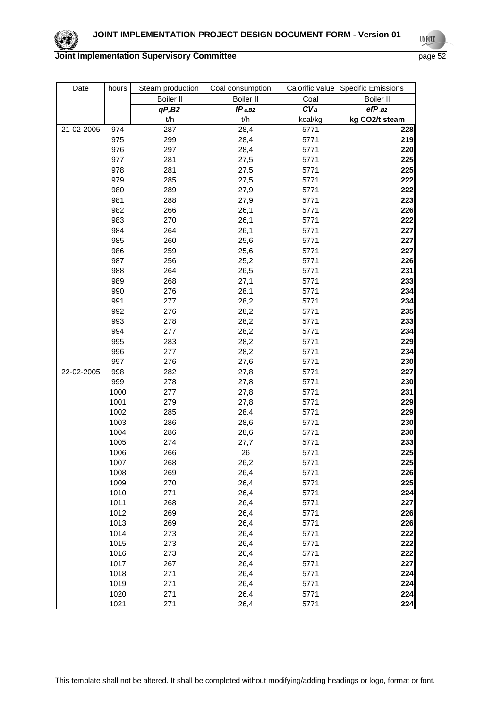| Date       | hours | Steam production | Coal consumption | Calorific value | <b>Specific Emissions</b> |
|------------|-------|------------------|------------------|-----------------|---------------------------|
|            |       | <b>Boiler II</b> | <b>Boiler II</b> | Coal            | <b>Boiler II</b>          |
|            |       | qP,B2            | $fP_{a,B2}$      | CVa             | $efP$ , $B2$              |
|            |       | t/h              | t/h              | kcal/kg         | kg CO2/t steam            |
| 21-02-2005 | 974   | 287              | 28,4             | 5771            | 228                       |
|            | 975   | 299              | 28,4             | 5771            | 219                       |
|            | 976   | 297              | 28,4             | 5771            | 220                       |
|            | 977   | 281              | 27,5             | 5771            | 225                       |
|            | 978   | 281              | 27,5             | 5771            | 225                       |
|            | 979   | 285              | 27,5             | 5771            | 222                       |
|            | 980   | 289              | 27,9             | 5771            | 222                       |
|            | 981   | 288              | 27,9             | 5771            | 223                       |
|            | 982   | 266              | 26,1             | 5771            | 226                       |
|            | 983   | 270              | 26,1             | 5771            | 222                       |
|            | 984   | 264              | 26,1             | 5771            | 227                       |
|            | 985   | 260              | 25,6             | 5771            | 227                       |
|            | 986   | 259              | 25,6             | 5771            | 227                       |
|            | 987   | 256              | 25,2             | 5771            | 226                       |
|            | 988   | 264              | 26,5             | 5771            | 231                       |
|            | 989   | 268              | 27,1             | 5771            | 233                       |
|            | 990   | 276              | 28,1             | 5771            | 234                       |
|            | 991   | 277              | 28,2             | 5771            | 234                       |
|            | 992   | 276              | 28,2             | 5771            | 235                       |
|            | 993   | 278              | 28,2             | 5771            | 233                       |
|            | 994   | 277              | 28,2             | 5771            | 234                       |
|            | 995   | 283              | 28,2             | 5771            | 229                       |
|            | 996   | 277              | 28,2             | 5771            | 234                       |
|            | 997   | 276              | 27,6             | 5771            | 230                       |
| 22-02-2005 | 998   | 282              | 27,8             | 5771            | 227                       |
|            | 999   | 278              | 27,8             | 5771            | 230                       |
|            | 1000  | 277              | 27,8             | 5771            | 231                       |
|            | 1001  | 279              | 27,8             | 5771            | 229                       |
|            | 1002  | 285              | 28,4             | 5771            | 229                       |
|            | 1003  | 286              | 28,6             | 5771            | 230                       |
|            | 1004  | 286              | 28,6             | 5771            | 230                       |
|            | 1005  | 274              | 27,7             | 5771            | 233                       |
|            | 1006  | 266              | 26               | 5771            | 225                       |
|            | 1007  | 268              | 26,2             | 5771            | 225                       |
|            | 1008  | 269              | 26,4             | 5771            | 226                       |
|            | 1009  | 270              | 26,4             | 5771            | 225                       |
|            | 1010  | 271              | 26,4             | 5771            | 224                       |
|            | 1011  | 268              | 26,4             | 5771            | 227                       |
|            | 1012  | 269              | 26,4             | 5771            | 226                       |
|            | 1013  | 269              | 26,4             | 5771            | 226                       |
|            | 1014  | 273              | 26,4             | 5771            | 222                       |
|            | 1015  | 273              | 26,4             | 5771            | 222                       |
|            | 1016  | 273              | 26,4             | 5771            | 222                       |
|            | 1017  | 267              | 26,4             | 5771            | 227                       |
|            | 1018  | 271              | 26,4             | 5771            | 224                       |
|            | 1019  | 271              | 26,4             | 5771            | 224                       |
|            | 1020  | 271              | 26,4             | 5771            | 224                       |
|            | 1021  | 271              | 26,4             | 5771            | 224                       |
|            |       |                  |                  |                 |                           |

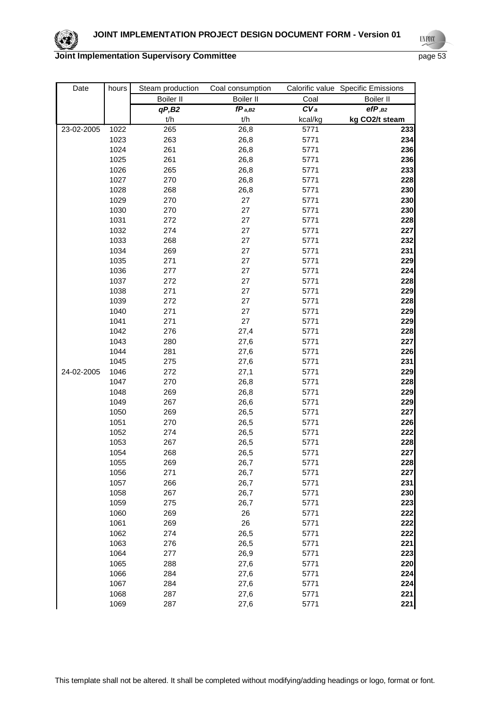| Date       | hours | Steam production | Coal consumption | Calorific value | <b>Specific Emissions</b> |
|------------|-------|------------------|------------------|-----------------|---------------------------|
|            |       | <b>Boiler II</b> | <b>Boiler II</b> | Coal            | <b>Boiler II</b>          |
|            |       | qP,B2            | $fP_{a,B2}$      | CVa             | $efP$ , $B2$              |
|            |       | t/h              | t/h              | kcal/kg         | kg CO2/t steam            |
| 23-02-2005 | 1022  | 265              | 26,8             | 5771            | 233                       |
|            | 1023  | 263              | 26,8             | 5771            | 234                       |
|            | 1024  | 261              | 26,8             | 5771            | 236                       |
|            | 1025  | 261              | 26,8             | 5771            | 236                       |
|            | 1026  | 265              | 26,8             | 5771            | 233                       |
|            | 1027  | 270              | 26,8             | 5771            | 228                       |
|            | 1028  | 268              | 26,8             | 5771            | 230                       |
|            | 1029  | 270              | 27               | 5771            | 230                       |
|            | 1030  | 270              | 27               | 5771            | 230                       |
|            | 1031  | 272              | 27               | 5771            | 228                       |
|            | 1032  | 274              | 27               | 5771            | 227                       |
|            | 1033  | 268              | 27               | 5771            | 232                       |
|            | 1034  | 269              | 27               | 5771            | 231                       |
|            | 1035  | 271              | 27               | 5771            | 229                       |
|            | 1036  | 277              | 27               | 5771            | 224                       |
|            | 1037  | 272              | 27               | 5771            | 228                       |
|            | 1038  | 271              | 27               | 5771            | 229                       |
|            | 1039  | 272              | 27               | 5771            | 228                       |
|            | 1040  | 271              | 27               | 5771            | 229                       |
|            | 1041  | 271              | 27               | 5771            | 229                       |
|            | 1042  | 276              | 27,4             | 5771            | 228                       |
|            | 1043  | 280              | 27,6             | 5771            | 227                       |
|            | 1044  | 281              | 27,6             | 5771            | 226                       |
|            | 1045  | 275              | 27,6             | 5771            | 231                       |
| 24-02-2005 | 1046  | 272              | 27,1             | 5771            | 229                       |
|            | 1047  | 270              | 26,8             | 5771            | 228                       |
|            | 1048  | 269              | 26,8             | 5771            | 229                       |
|            | 1049  | 267              | 26,6             | 5771            | 229                       |
|            | 1050  | 269              | 26,5             | 5771            | 227                       |
|            | 1051  | 270              | 26,5             | 5771            | 226                       |
|            | 1052  | 274              | 26,5             | 5771            | 222                       |
|            | 1053  | 267              | 26,5             | 5771            | 228                       |
|            | 1054  | 268              | 26,5             | 5771            | 227                       |
|            | 1055  | 269              | 26,7             | 5771            | 228                       |
|            | 1056  | 271              | 26,7             | 5771            | 227                       |
|            | 1057  | 266              | 26,7             | 5771            | 231                       |
|            | 1058  | 267              | 26,7             | 5771            | 230                       |
|            | 1059  | 275              | 26,7             | 5771            | 223                       |
|            | 1060  | 269              | 26               | 5771            | 222                       |
|            | 1061  | 269              | 26               | 5771            | 222                       |
|            | 1062  | 274              | 26,5             | 5771            | 222                       |
|            | 1063  | 276              | 26,5             | 5771            | 221                       |
|            | 1064  | 277              | 26,9             | 5771            | 223                       |
|            | 1065  | 288              | 27,6             | 5771            | 220                       |
|            | 1066  | 284              | 27,6             | 5771            | 224                       |
|            | 1067  | 284              | 27,6             | 5771            | 224                       |
|            | 1068  | 287              | 27,6             | 5771            | 221                       |
|            | 1069  | 287              | 27,6             | 5771            | 221                       |

**UNFCCC**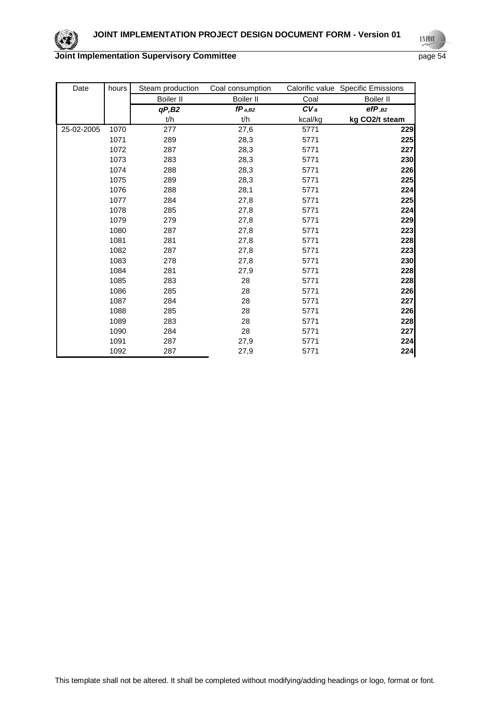| Date       | hours | Steam production | Coal consumption |         | Calorific value Specific Emissions |
|------------|-------|------------------|------------------|---------|------------------------------------|
|            |       | <b>Boiler II</b> | <b>Boiler II</b> | Coal    | Boiler II                          |
|            |       | qP,B2            | $fP_{a,B2}$      | CVa     | $efP$ , $B2$                       |
|            |       | t/h              | t/h              | kcal/kg | kg CO2/t steam                     |
| 25-02-2005 | 1070  | 277              | 27,6             | 5771    | 229                                |
|            | 1071  | 289              | 28,3             | 5771    | 225                                |
|            | 1072  | 287              | 28,3             | 5771    | 227                                |
|            | 1073  | 283              | 28,3             | 5771    | 230                                |
|            | 1074  | 288              | 28,3             | 5771    | 226                                |
|            | 1075  | 289              | 28,3             | 5771    | 225                                |
|            | 1076  | 288              | 28,1             | 5771    | 224                                |
|            | 1077  | 284              | 27,8             | 5771    | 225                                |
|            | 1078  | 285              | 27,8             | 5771    | 224                                |
|            | 1079  | 279              | 27,8             | 5771    | 229                                |
|            | 1080  | 287              | 27,8             | 5771    | 223                                |
|            | 1081  | 281              | 27,8             | 5771    | 228                                |
|            | 1082  | 287              | 27,8             | 5771    | 223                                |
|            | 1083  | 278              | 27,8             | 5771    | 230                                |
|            | 1084  | 281              | 27,9             | 5771    | 228                                |
|            | 1085  | 283              | 28               | 5771    | 228                                |
|            | 1086  | 285              | 28               | 5771    | 226                                |
|            | 1087  | 284              | 28               | 5771    | 227                                |
|            | 1088  | 285              | 28               | 5771    | 226                                |
|            | 1089  | 283              | 28               | 5771    | 228                                |
|            | 1090  | 284              | 28               | 5771    | 227                                |
|            | 1091  | 287              | 27,9             | 5771    | 224                                |
|            | 1092  | 287              | 27,9             | 5771    | 224                                |

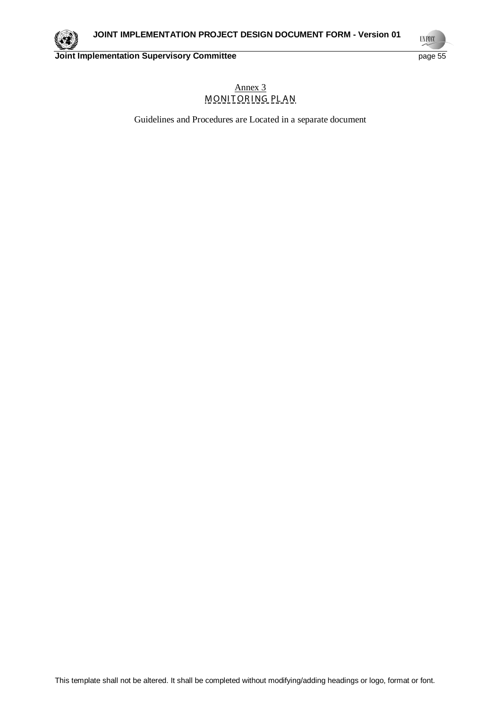

#### Annex 3 MONITORING PLAN

Guidelines and Procedures are Located in a separate document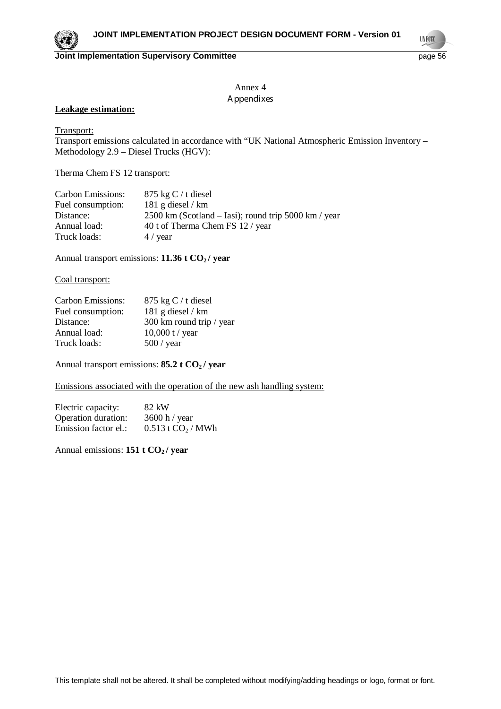Annex 4 Appendixes

#### **Leakage estimation:**

Transport:

Transport emissions calculated in accordance with "UK National Atmospheric Emission Inventory – Methodology 2.9 – Diesel Trucks (HGV):

#### Therma Chem FS 12 transport:

| <b>Carbon Emissions:</b> | $875 \text{ kg C}$ / t diesel                        |
|--------------------------|------------------------------------------------------|
| Fuel consumption:        | 181 g diesel / $km$                                  |
| Distance:                | 2500 km (Scotland – Iasi); round trip 5000 km / year |
| Annual load:             | 40 t of Therma Chem FS 12 / year                     |
| Truck loads:             | $4 / \text{year}$                                    |

Annual transport emissions: 11.36 t CO<sub>2</sub>/ year

Coal transport:

| Carbon Emissions: | $875 \text{ kg C}$ / t diesel |
|-------------------|-------------------------------|
| Fuel consumption: | 181 g diesel / $km$           |
| Distance:         | 300 km round trip / year      |
| Annual load:      | 10,000 t / year               |
| Truck loads:      | 500 / year                    |
|                   |                               |

Annual transport emissions: 85.2 t CO<sub>2</sub>/ year

Emissions associated with the operation of the new ash handling system:

| Electric capacity:   | 82 kW                           |
|----------------------|---------------------------------|
| Operation duration:  | 3600 h / year                   |
| Emission factor el.: | $0.513$ t CO <sub>2</sub> / MWh |

Annual emissions: **151 t** CO<sub>2</sub>/ year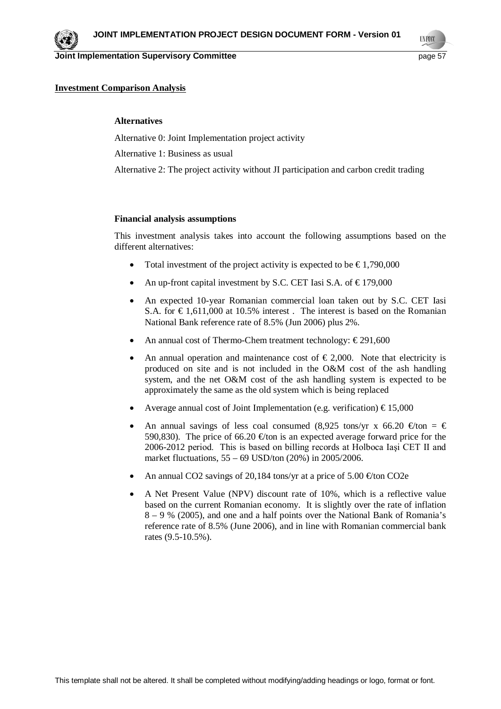**UNFCCO** 

#### **Investment Comparison Analysis**

#### **Alternatives**

Alternative 0: Joint Implementation project activity

Alternative 1: Business as usual

Alternative 2: The project activity without JI participation and carbon credit trading

#### **Financial analysis assumptions**

This investment analysis takes into account the following assumptions based on the different alternatives:

- Total investment of the project activity is expected to be  $\epsilon$ 1,790,000
- An up-front capital investment by S.C. CET Iasi S.A. of  $\epsilon$ 179,000
- An expected 10-year Romanian commercial loan taken out by S.C. CET Iasi S.A. for  $\text{\textsterling}1,611,000$  at 10.5% interest. The interest is based on the Romanian National Bank reference rate of 8.5% (Jun 2006) plus 2%.
- An annual cost of Thermo-Chem treatment technology:  $\epsilon$ 291,600
- An annual operation and maintenance cost of  $\epsilon$  2,000. Note that electricity is produced on site and is not included in the O&M cost of the ash handling system, and the net O&M cost of the ash handling system is expected to be approximately the same as the old system which is being replaced
- Average annual cost of Joint Implementation (e.g. verification)  $\epsilon$ 15,000
- An annual savings of less coal consumed (8,925 tons/yr x 66.20  $\text{\textcircled{}}t$  ton =  $\text{\textcircled{}}$ 590,830). The price of 66.20  $\oplus$  ton is an expected average forward price for the 2006-2012 period. This is based on billing records at Holboca Iaşi CET II and market fluctuations, 55 – 69 USD/ton (20%) in 2005/2006.
- An annual CO2 savings of 20,184 tons/yr at a price of  $5.00 \text{ } \text{\textsterling}$  ton CO2e
- A Net Present Value (NPV) discount rate of 10%, which is a reflective value based on the current Romanian economy. It is slightly over the rate of inflation 8 – 9 % (2005), and one and a half points over the National Bank of Romania's reference rate of 8.5% (June 2006), and in line with Romanian commercial bank rates (9.5-10.5%).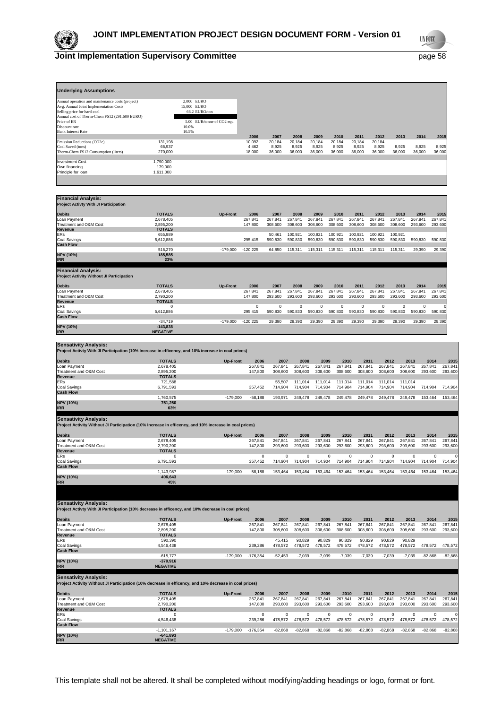

**UNFCCC** 

| <b>Underlying Assumptions</b>                                                                                                      |                               |                                    |                        |                    |                    |                    |                    |                    |                    |                    |                                         |                    |
|------------------------------------------------------------------------------------------------------------------------------------|-------------------------------|------------------------------------|------------------------|--------------------|--------------------|--------------------|--------------------|--------------------|--------------------|--------------------|-----------------------------------------|--------------------|
| Annual operation and maintenance costs (project)                                                                                   |                               | 2,000 EURO                         |                        |                    |                    |                    |                    |                    |                    |                    |                                         |                    |
| Avg. Annual Joint Implementation Costs<br>Selling price for hard coal                                                              |                               | 15,000 EURO<br>66.2 EURO/ton       |                        |                    |                    |                    |                    |                    |                    |                    |                                         |                    |
| Annual cost of Therm-Chem FS12 (291,600 EURO)                                                                                      |                               |                                    |                        |                    |                    |                    |                    |                    |                    |                    |                                         |                    |
| Price of ER<br>Discount rate                                                                                                       |                               | 5.00 EUR/tonne of CO2 equ<br>10.0% |                        |                    |                    |                    |                    |                    |                    |                    |                                         |                    |
| <b>Bank Interest Rate</b>                                                                                                          |                               | 10.5%                              |                        |                    |                    |                    |                    |                    |                    |                    |                                         |                    |
| Emission Reductions (CO2e)                                                                                                         | 131,198                       |                                    | 2006<br>10,092         | 2007<br>20,184     | 2008<br>20,184     | 2009<br>20,184     | 2010<br>20,184     | 2011<br>20,184     | 2012<br>20,184     | 2013               | 2014                                    | 2015               |
| Coal Saved (tons)<br>Therm-Chem FS12 Consumption (liters)                                                                          | 66,937<br>270,000             |                                    | 4,462<br>18,000        | 8,925<br>36,000    | 8,925<br>36,000    | 8,925<br>36,000    | 8,925<br>36,000    | 8,925<br>36,000    | 8,925<br>36,000    | 8,925<br>36,000    | 8,925<br>36,000                         | 8,925<br>36,000    |
|                                                                                                                                    |                               |                                    |                        |                    |                    |                    |                    |                    |                    |                    |                                         |                    |
| <b>Investment Cost</b><br>Own financing                                                                                            | 1,790,000<br>179,000          |                                    |                        |                    |                    |                    |                    |                    |                    |                    |                                         |                    |
| Principle for loan                                                                                                                 | 1,611,000                     |                                    |                        |                    |                    |                    |                    |                    |                    |                    |                                         |                    |
|                                                                                                                                    |                               |                                    |                        |                    |                    |                    |                    |                    |                    |                    |                                         |                    |
|                                                                                                                                    |                               |                                    |                        |                    |                    |                    |                    |                    |                    |                    |                                         |                    |
| <b>Financial Analysis:</b><br>Project Activty With JI Participation                                                                |                               |                                    |                        |                    |                    |                    |                    |                    |                    |                    |                                         |                    |
| <b>Debits</b>                                                                                                                      | <b>TOTALS</b>                 | <b>Up-Front</b>                    | 2006                   | 2007               | 2008               | 2009               | 2010               | 2011               | 2012               | 2013               | 2014                                    | 2015               |
| Loan Payment<br>Treatment and O&M Cost                                                                                             | 2,678,405<br>2,895,200        |                                    | 267,841<br>147,800     | 267,841<br>308,600 | 267,841<br>308,600 | 267,841<br>308,600 | 267,841<br>308,600 | 267,841<br>308,600 | 267,841<br>308,600 | 267,841<br>308,600 | 267,841<br>267,84<br>293,600<br>293,600 |                    |
| Revenue                                                                                                                            | <b>TOTALS</b>                 |                                    |                        |                    |                    |                    |                    |                    |                    |                    |                                         |                    |
| ERs<br>Coal Savings                                                                                                                | 655,989<br>5,612,886          |                                    | 295,415                | 50,461<br>590,830  | 100,921<br>590,830 | 100,921<br>590,830 | 100,921<br>590,830 | 100,921<br>590,830 | 100,921<br>590,830 | 100,921<br>590,830 | 590,830<br>590,830                      |                    |
| <b>Cash Flow</b>                                                                                                                   |                               |                                    |                        |                    |                    |                    |                    |                    |                    |                    |                                         |                    |
|                                                                                                                                    | 516,270<br>185,585            | $-179,000$                         | $-120,225$             | 64,850             | 115,311            | 115,311            | 115,311            | 115,311            | 115,311            | 115,311            | 29,390                                  | 29,390             |
| NPV (10%)<br>IRR                                                                                                                   | 23%                           |                                    |                        |                    |                    |                    |                    |                    |                    |                    |                                         |                    |
| <b>Financial Analysis:</b>                                                                                                         |                               |                                    |                        |                    |                    |                    |                    |                    |                    |                    |                                         |                    |
| <b>Project Activity Without JI Participation</b>                                                                                   |                               |                                    |                        |                    |                    |                    |                    |                    |                    |                    |                                         |                    |
| <b>Debits</b><br>Loan Payment                                                                                                      | <b>TOTALS</b><br>2,678,405    | <b>Up-Front</b>                    | 2006<br>267,841        | 2007<br>267,841    | 2008<br>267,841    | 2009<br>267,841    | 2010<br>267,841    | 2011<br>267,841    | 2012<br>267,841    | 2013<br>267.841    | 2014<br>267.841<br>267,84               | 2015               |
| Treatment and O&M Cost                                                                                                             | 2,790,200                     |                                    | 147,800                | 293,600            | 293,600            | 293,600            | 293,600            | 293,600            | 293,600            | 293,600            | 293,600<br>293,600                      |                    |
| Revenue<br><b>ERs</b>                                                                                                              | <b>TOTALS</b><br>$\mathbf 0$  |                                    | 0                      | 0                  | 0                  | 0                  | 0                  | 0                  | 0                  | 0                  | 0                                       | O                  |
| Coal Savings                                                                                                                       | 5,612,886                     |                                    | 295,415                | 590,830            | 590,830            | 590,830            | 590,830            | 590,830            | 590,830            | 590,830            | 590,830<br>590,830                      |                    |
| <b>Cash Flow</b>                                                                                                                   | $-34,719$                     | $-179,000$                         | $-120,225$             | 29,390             | 29,390             | 29,390             | 29,390             | 29,390             | 29,390             | 29,390             | 29,390                                  | 29,390             |
| NPV (10%)<br><b>IRR</b>                                                                                                            | $-143,838$<br><b>NEGATIVE</b> |                                    |                        |                    |                    |                    |                    |                    |                    |                    |                                         |                    |
|                                                                                                                                    |                               |                                    |                        |                    |                    |                    |                    |                    |                    |                    |                                         |                    |
| <b>Sensativity Analysis:</b>                                                                                                       |                               |                                    |                        |                    |                    |                    |                    |                    |                    |                    |                                         |                    |
| Project Activty With JI Participation (10% Increase in efficency, and 10% increase in coal prices)                                 |                               |                                    |                        |                    |                    |                    |                    |                    |                    |                    |                                         |                    |
| <b>Debits</b>                                                                                                                      | <b>TOTALS</b>                 | <b>Up-Front</b>                    | 2006                   | 2007               | 2008               | 2009               | 2010               | 2011               | 2012               | 2013               | 2014                                    | 2015               |
| Loan Payment<br>Treatment and O&M Cost                                                                                             | 2,678,405<br>2,895,200        |                                    | 267,841<br>147,800     | 267,841<br>308,600 | 267,841<br>308,600 | 267,841<br>308,600 | 267,841<br>308,600 | 267,841<br>308,600 | 267,841<br>308,600 | 267,841<br>308,600 | 267,841<br>293,600                      | 267,841<br>293,600 |
| Revenue                                                                                                                            | <b>TOTALS</b>                 |                                    |                        |                    |                    |                    |                    |                    |                    |                    |                                         |                    |
| <b>ERs</b><br>Coal Savings                                                                                                         | 721,588<br>6,791,593          |                                    | 357,452                | 55,507<br>714,904  | 111,014<br>714,904 | 111,014<br>714,904 | 111,014<br>714,904 | 111,014<br>714,904 | 111,014<br>714,904 | 111,014<br>714,904 | 714,904                                 | 714,904            |
| <b>Cash Flow</b>                                                                                                                   |                               |                                    |                        |                    |                    |                    |                    |                    |                    |                    |                                         |                    |
| <b>NPV (10%)</b>                                                                                                                   | 1,760,575<br>751,250          | $-179,000$                         | $-58,188$              | 193,971            | 249,478            | 249,478            | 249,478            | 249,478            | 249,478            | 249,478            | 153,464                                 | 153,464            |
| <b>IRR</b>                                                                                                                         | 63%                           |                                    |                        |                    |                    |                    |                    |                    |                    |                    |                                         |                    |
| <b>Sensativity Analysis:</b>                                                                                                       |                               |                                    |                        |                    |                    |                    |                    |                    |                    |                    |                                         |                    |
| Project Activity Without JI Participation (10% Increase in efficency, and 10% increase in coal prices)                             |                               |                                    |                        |                    |                    |                    |                    |                    |                    |                    |                                         |                    |
| <b>Debits</b>                                                                                                                      | <b>TOTALS</b>                 | <b>Up-Front</b>                    | 2006                   | 2007               | 2008               | 2009               | 2010               | 2011               | 2012               | 2013               | 2014                                    | 2015               |
| Loan Payment                                                                                                                       | 2.678.405                     |                                    | 267.841                | 267.841            | 267.841            | 267,841            | 267.841            | 267,841            | 267.841            | 267,841            | 267,841                                 | 267,841            |
| Treatment and O&M Cost<br>Revenue                                                                                                  | 2,790,200<br><b>TOTALS</b>    |                                    | 147,800                | 293,600            | 293,600            | 293,600            | 293,600            | 293,600            | 293,600            | 293,600            | 293,600                                 | 293,600            |
| <b>ERs</b>                                                                                                                         | $\Omega$                      |                                    | $\Omega$               | $\Omega$           | $\Omega$           | $\Omega$           | $\Omega$           | $\Omega$           | $\Omega$           | $\Omega$           | 0                                       | $\mathbf 0$        |
| Coal Savings<br><b>Cash Flow</b>                                                                                                   | 6,791,593                     |                                    | 357,452                | 714,904            | 714,904            | 714,904            | 714,904            | 714,904            | 714,904            | 714,904            | 714,904                                 | 714,904            |
| <b>NPV (10%)</b>                                                                                                                   | 1,143,987<br>406,643          | $-179,000$                         | $-58,188$              | 153,464            | 153,464            | 153,464            | 153,464            | 153,464            | 153,464            | 153,464            | 153,464                                 | 153,464            |
| <b>IRR</b>                                                                                                                         | 45%                           |                                    |                        |                    |                    |                    |                    |                    |                    |                    |                                         |                    |
|                                                                                                                                    |                               |                                    |                        |                    |                    |                    |                    |                    |                    |                    |                                         |                    |
|                                                                                                                                    |                               |                                    |                        |                    |                    |                    |                    |                    |                    |                    |                                         |                    |
| <b>Sensativity Analysis:</b><br>Project Activty With JI Participation (10% decrease in efficency, and 10% decrease in coal prices) |                               |                                    |                        |                    |                    |                    |                    |                    |                    |                    |                                         |                    |
|                                                                                                                                    |                               |                                    |                        |                    |                    |                    |                    |                    |                    |                    |                                         |                    |
| <b>Debits</b><br>Loan Payment                                                                                                      | <b>TOTALS</b><br>2,678,405    | <b>Up-Front</b>                    | 2006<br>267,841        | 2007<br>267,841    | 2008<br>267,841    | 2009<br>267,841    | 2010<br>267,841    | 2011<br>267,841    | 2012<br>267,841    | 2013<br>267,841    | 2014<br>267,841                         | 2015<br>267,841    |
| Treatment and O&M Cost                                                                                                             | 2,895,200                     |                                    | 147,800                | 308,600            | 308,600            | 308,600            | 308,600            | 308,600            | 308,600            | 308,600            | 293,600                                 | 293,600            |
| Revenue<br><b>ERs</b>                                                                                                              | <b>TOTALS</b><br>590,390      |                                    |                        | 45,415             | 90,829             | 90,829             | 90,829             | 90,829             | 90,829             | 90,829             |                                         |                    |
| Coal Savings                                                                                                                       | 4,546,438                     |                                    | 239,286                | 478,572            | 478,572            | 478,572            | 478,572            | 478,572            | 478,572            | 478,572            | 478,572                                 | 478,572            |
| <b>Cash Flow</b>                                                                                                                   | $-615,777$                    | $-179,000$                         | $-176,354$             | $-52,453$          | $-7,039$           | $-7,039$           | $-7,039$           | $-7,039$           | $-7,039$           | $-7,039$           | $-82,868$                               | $-82,868$          |
| NPV (10%)<br><b>IRR</b>                                                                                                            | -370,916<br><b>NEGATIVE</b>   |                                    |                        |                    |                    |                    |                    |                    |                    |                    |                                         |                    |
| <b>Sensativity Analysis:</b>                                                                                                       |                               |                                    |                        |                    |                    |                    |                    |                    |                    |                    |                                         |                    |
| Project Activity Without JI Participation (10% decrease in efficency, and 10% decrease in coal prices)                             |                               |                                    |                        |                    |                    |                    |                    |                    |                    |                    |                                         |                    |
| <b>Debits</b>                                                                                                                      | <b>TOTALS</b>                 | <b>Up-Front</b>                    | 2006                   | 2007               | 2008               | 2009               | 2010               | 2011               | 2012               | 2013               | 2014                                    | 2015               |
| Loan Payment<br>Treatment and O&M Cost                                                                                             | 2,678,405<br>2,790,200        |                                    | 267,841<br>147,800     | 267,841<br>293,600 | 267,841<br>293,600 | 267,841<br>293,600 | 267,841<br>293,600 | 267,841<br>293,600 | 267,841<br>293,600 | 267,841<br>293,600 | 267,841<br>293,600                      | 267,841<br>293,600 |
| Revenue                                                                                                                            | <b>TOTALS</b>                 |                                    |                        |                    |                    |                    |                    |                    |                    |                    |                                         |                    |
| <b>ERs</b><br>Coal Savings                                                                                                         | 0<br>4,546,438                |                                    | $\mathbf 0$<br>239,286 | 0<br>478,572       | 0<br>478,572       | 0<br>478,572       | 0<br>478,572       | 0<br>478,572       | 0<br>478,572       | 0<br>478,572       | 0<br>478,572                            | 0<br>478,572       |
| <b>Cash Flow</b>                                                                                                                   |                               |                                    |                        |                    |                    |                    |                    |                    |                    |                    |                                         |                    |
| NPV (10%)                                                                                                                          | $-1, 101, 167$<br>$-641,893$  | $-179,000$                         | $-176,354$             | $-82,868$          | $-82,868$          | $-82,868$          | $-82,868$          | $-82,868$          | $-82,868$          | $-82,868$          | $-82,868$                               | $-82,868$          |
| <b>IRR</b>                                                                                                                         | <b>NEGATIVE</b>               |                                    |                        |                    |                    |                    |                    |                    |                    |                    |                                         |                    |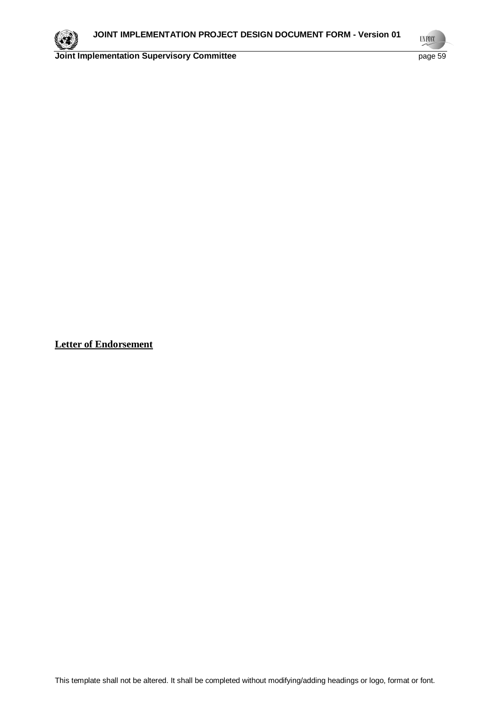

**UNFCCC** 

#### **Letter of Endorsement**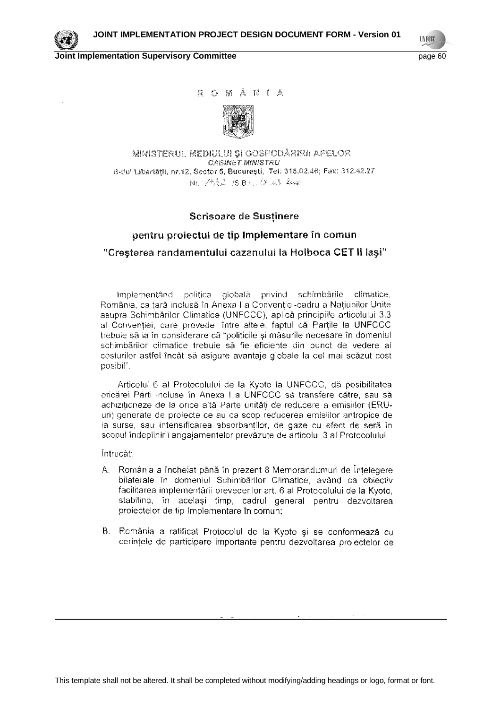

**Joint Implementation Supervisory Committee and Committee and Construction Committee by August 2016** 

**UNFCCO** 

ROMANIA



MINISTERUL MEDIULUI ȘI GOSPODĂRIRII APELOR **CABINET MINISTRU** B-dul Libertății, nr.12, Sector 5, București, Tel: 316.02.46; Fax: 312.42.27  $Nr$ ,  $M32.18.81... (2.03.296)$ 

#### Scrisoare de Sustinere

#### pentru proiectul de tip Implementare în comun

"Creșterea randamentului cazanului la Holboca CET II lași"

Implementând politica globală privind schimbările climatice, România, ca tară inclusă în Anexa I a Conventiei-cadru a Natiunilor Unite asupra Schimbărilor Climatice (UNFCCC), aplică principiile articolului 3.3 al Conventiei, care prevede, între altele, faptul că Parțile la UNFCCC trebuie să ia în considerare că "politicile și măsurile necesare în domeniul schimbărilor climatice trebuie să fie eficiente din punct de vedere al costurilor astfel încât să asigure avantaje globale la cel mai scăzut cost posibil".

Articolul 6 al Protocolului de la Kyoto la UNFCCC, dă posibilitatea oricărei Părti incluse în Anexa I a UNFCCC să transfere către, sau să achizitioneze de la orice altă Parte unităti de reducere a emisiilor (ERUuri) generate de proiecte ce au ca scop reducerea emisillor antropice de la surse, sau intensificarea absorbantilor, de gaze cu efect de seră în scopul îndeplinirii angajamentelor prevăzute de articolul 3 al Protocolului.

Întrucât:

- A. România a încheiat până în prezent 8 Memorandumuri de Întelegere bilaterale în domeniul Schimbărilor Climatice, având ca obiectiv facilitarea implementării prevederilor art. 6 al Protocolului de la Kyoto, stabilind, în același timp, cadrul general pentru dezvoltarea projectelor de tip Implementare în comun;
- B. România a ratificat Protocolul de la Kyoto și se conformează cu cerințele de participare importante pentru dezvoltarea proiectelor de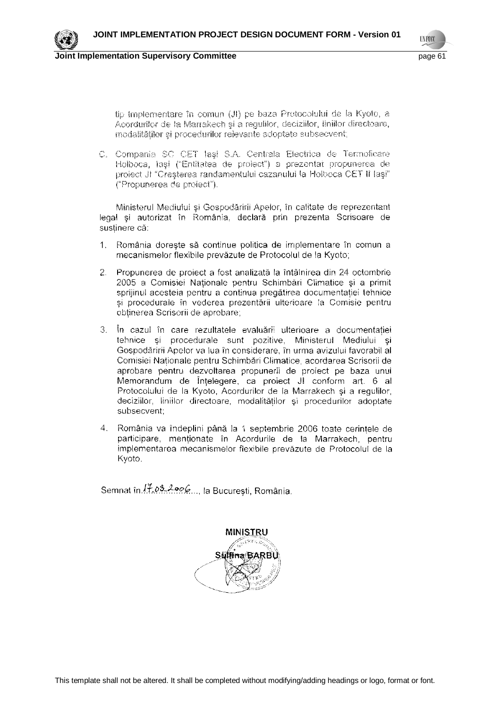

**Int Implementation Supervisory Committee** *page 61* **and page 61 and page 61 and page 61 and page 61 and page 61 and page 61 and page 61 and page 61 and page 61 and page 61 and page 61 and page 61 and page 61 and page 61 an** 

**UNFCC** 

tio Implementare în comun (JI) pe baza Protocolului de la Kyoto, a Acordurilor de la Marrakech și a regulilor, deciziilor, liniilor directoare, modalităților și procedurilor relevante adoptate subsecvent;

C. Compania SC CET lasi S.A. Centrala Electrica de Termoficare Holboca, lasi ("Entitatea de proiect") a prezentat propunerea de project JI "Cresterea randamentului cazanului la Holboca CET II lasi" ("Propunerea de project").

Ministerul Mediului și Gospodăririi Apelor, în calitate de reprezentant legal și autorizat în România, declară prin prezenta Scrisoare de sustinere că:

- România doreste să continue politica de implementare în comun a  $1<sup>1</sup>$ mecanismelor flexibile prevăzute de Protocolul de la Kyoto;
- Propunerea de proiect a fost analizată la întâlnirea din 24 octombrie  $2<sup>1</sup>$ 2005 a Comisiei Nationale pentru Schimbări Climatice și a primit sprijinul acesteia pentru a continua pregătirea documentatiei tehnice si procedurale în vederea prezentării ulterioare la Comisie pentru obtinerea Scrisorii de aprobare:
- 3. În cazul în care rezultatele evaluării ulterioare a documentației tehnice și procedurale sunt pozitive. Ministerul Mediului și Gospodăririi Apelor va lua în considerare, în urma avizului favorabil al Comisiei Nationale pentru Schimbări Climatice, acordarea Scrisorii de aprobare pentru dezvoltarea propunerii de proiect pe baza unui Memorandum de Întelegere, ca proiect JI conform art. 6 al Protocolului de la Kyoto, Acordurilor de la Marrakech și a regulilor, deciziilor, liniilor directoare, modalităților și procedurilor adoptate subsecvent;
- 4. România va îndeplini până la 1 septembrie 2006 toate cerintele de participare, mentionate în Acordurile de la Marrakech, pentru implementarea mecanismelor flexibile prevăzute de Protocolul de la Kvoto.

Semnat în 17.03.2006.... la Bucuresti. România.

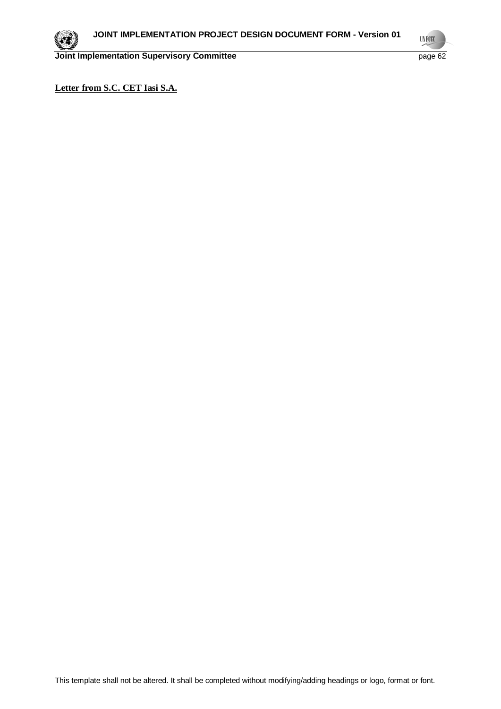

**UNFCCC** 

**Letter from S.C. CET Iasi S.A.**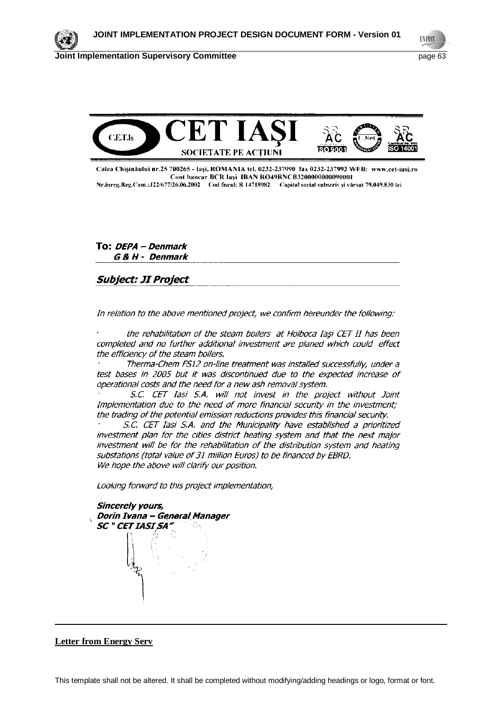

**Joint Implementation Supervisory Committee Committee** *page* **63** 

**UNFCCC** 



Calea Chisinăului nr.25 700265 - Iasi, ROMANIA tel. 0232-237990 fax 0232-237992 WEB; www.cet-iasi.ro Cont bancar BCR laşi IBAN RO49RNCB3200000000090001 Nr.înreg.Reg.Com.:J22/677/26.06.2002 Cod fiscal: R 14718982 Capital social subscris și vărsat 79.049.830 lei

To: DEPA - Denmark G & H - Denmark

#### Subject: JI Project

In relation to the above mentioned project, we confirm hereunder the following:

the rehabilitation of the steam boilers at Holboca Iasi CET II has been completed and no further additional investment are planed which could effect the efficiency of the steam boilers.

Therma-Chem FS12 on-line treatment was installed successfully, under a test bases in 2005 but it was discontinued due to the expected increase of operational costs and the need for a new ash removal system.

S.C. CET Iasi S.A. will not invest in the project without Joint Implementation due to the need of more financial security in the investment; the trading of the potential emission reductions provides this financial security.

S.C. CET Iasi S.A. and the Municipality have established a prioritized investment plan for the cities district heating system and that the next major investment will be for the rehabilitation of the distribution system and heating substations (total value of 31 million Euros) to be financed by EBRD. We hope the above will clarify our position.

Looking forward to this project implementation,

**Sincerely yours,** Dorin Ivana - General Manager **SC " CET IASI SA"** 

**Letter from Energy Serv**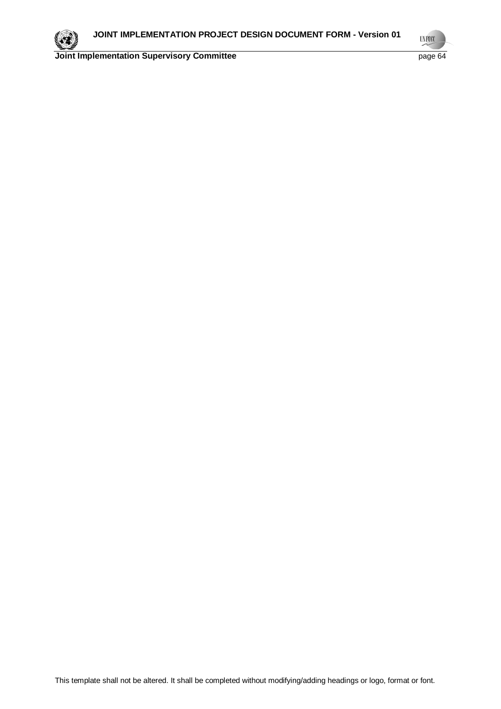

**UNFCCC**